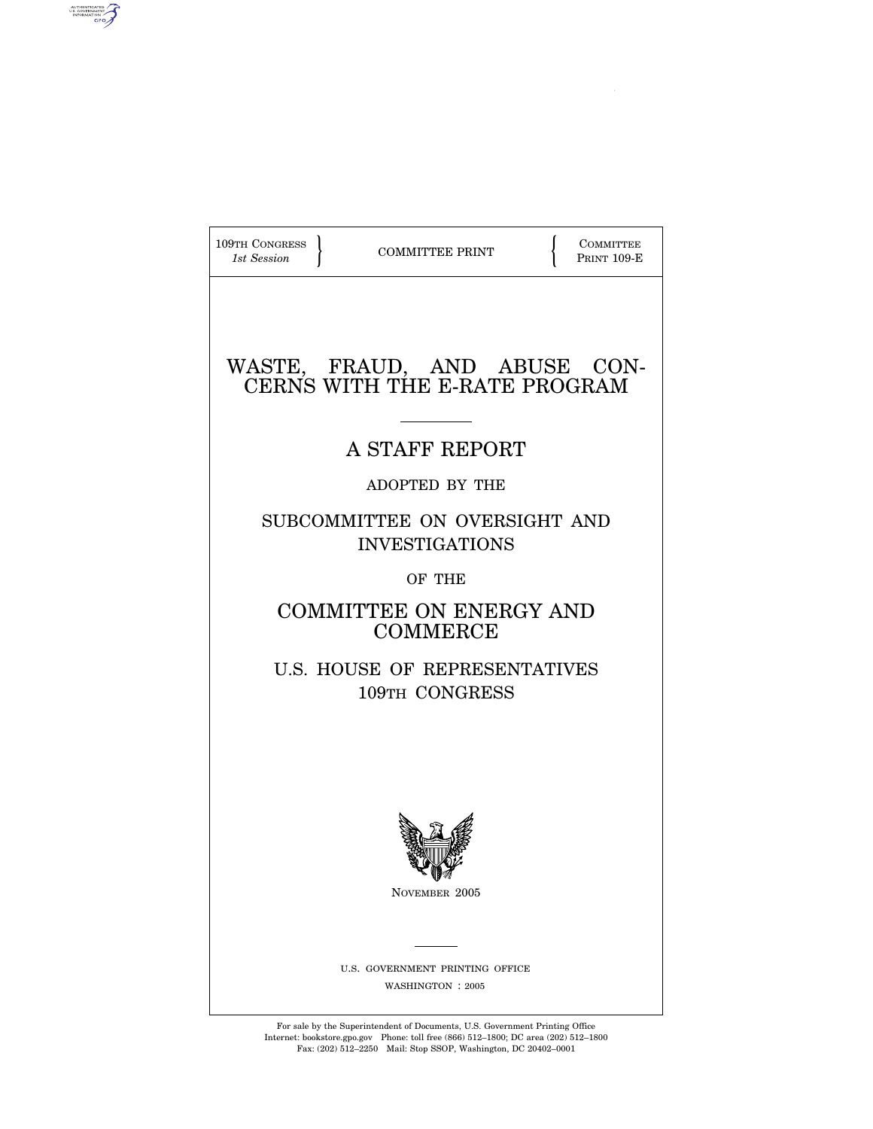| 109TH CONGRESS<br>1st Session                                 | <b>COMMITTEE PRINT</b>                              |  | <b>COMMITTEE</b><br><b>PRINT 109-E</b> |  |
|---------------------------------------------------------------|-----------------------------------------------------|--|----------------------------------------|--|
| WASTE, FRAUD, AND ABUSE CON-<br>CERNS WITH THE E-RATE PROGRAM |                                                     |  |                                        |  |
|                                                               | A STAFF REPORT                                      |  |                                        |  |
|                                                               | ADOPTED BY THE                                      |  |                                        |  |
| SUBCOMMITTEE ON OVERSIGHT AND<br><b>INVESTIGATIONS</b>        |                                                     |  |                                        |  |
|                                                               | OF THE                                              |  |                                        |  |
|                                                               | COMMITTEE ON ENERGY AND<br><b>COMMERCE</b>          |  |                                        |  |
|                                                               | U.S. HOUSE OF REPRESENTATIVES<br>109TH CONGRESS     |  |                                        |  |
|                                                               |                                                     |  |                                        |  |
|                                                               | `V#                                                 |  |                                        |  |
|                                                               | NOVEMBER 2005                                       |  |                                        |  |
|                                                               | U.S. GOVERNMENT PRINTING OFFICE<br>WASHINGTON: 2005 |  |                                        |  |

AUTHENTICATED

For sale by the Superintendent of Documents, U.S. Government Printing Office Internet: bookstore.gpo.gov Phone: toll free (866) 512–1800; DC area (202) 512–1800 Fax: (202) 512–2250 Mail: Stop SSOP, Washington, DC 20402–0001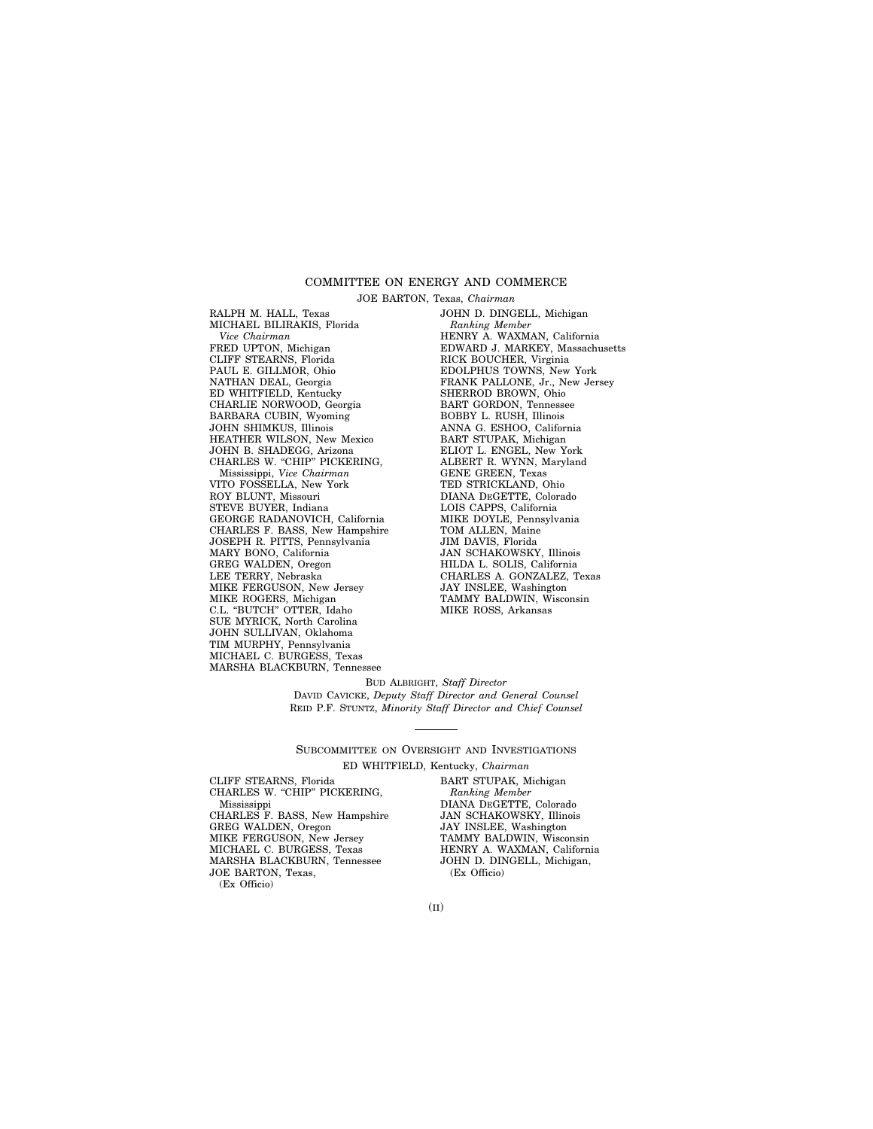#### COMMITTEE ON ENERGY AND COMMERCE

JOE BARTON, Texas, *Chairman*

RALPH M. HALL, Texas MICHAEL BILIRAKIS, Florida *Vice Chairman* FRED UPTON, Michigan CLIFF STEARNS, Florida PAUL E. GILLMOR, Ohio NATHAN DEAL, Georgia ED WHITFIELD, Kentucky CHARLIE NORWOOD, Georgia BARBARA CUBIN, Wyoming JOHN SHIMKUS, Illinois HEATHER WILSON, New Mexico JOHN B. SHADEGG, Arizona CHARLES W. "CHIP" PICKERING, Mississippi, *Vice Chairman* VITO FOSSELLA, New York ROY BLUNT, Missouri STEVE BUYER, Indiana GEORGE RADANOVICH, California CHARLES F. BASS, New Hampshire JOSEPH R. PITTS, Pennsylvania MARY BONO, California GREG WALDEN, Oregon LEE TERRY, Nebraska MIKE FERGUSON, New Jersey MIKE ROGERS, Michigan C.L. "BUTCH" OTTER, Idaho SUE MYRICK, North Carolina JOHN SULLIVAN, Oklahoma TIM MURPHY, Pennsylvania MICHAEL C. BURGESS, Texas MARSHA BLACKBURN, Tennessee

JOHN D. DINGELL, Michigan *Ranking Member* HENRY A. WAXMAN, California EDWARD J. MARKEY, Massachusetts RICK BOUCHER, Virginia EDOLPHUS TOWNS, New York FRANK PALLONE, Jr., New Jersey SHERROD BROWN, Ohio BART GORDON, Tennessee BOBBY L. RUSH, Illinois ANNA G. ESHOO, California BART STUPAK, Michigan ELIOT L. ENGEL, New York ALBERT R. WYNN, Maryland GENE GREEN, Texas TED STRICKLAND, Ohio DIANA DEGETTE, Colorado LOIS CAPPS, California MIKE DOYLE, Pennsylvania TOM ALLEN, Maine JIM DAVIS, Florida JAN SCHAKOWSKY, Illinois HILDA L. SOLIS, California CHARLES A. GONZALEZ, Texas JAY INSLEE, Washington TAMMY BALDWIN, Wisconsin MIKE ROSS, Arkansas

BUD ALBRIGHT, *Staff Director* DAVID CAVICKE, *Deputy Staff Director and General Counsel* REID P.F. STUNTZ, *Minority Staff Director and Chief Counsel*

SUBCOMMITTEE ON OVERSIGHT AND INVESTIGATIONS ED WHITFIELD, Kentucky, *Chairman*

CLIFF STEARNS, Florida CHARLES W. "CHIP" PICKERING, Mississippi CHARLES F. BASS, New Hampshire GREG WALDEN, Oregon MIKE FERGUSON, New Jersey MICHAEL C. BURGESS, Texas MARSHA BLACKBURN, Tennessee JOE BARTON, Texas, (Ex Officio)

BART STUPAK, Michigan *Ranking Member* DIANA DEGETTE, Colorado JAN SCHAKOWSKY, Illinois JAY INSLEE, Washington TAMMY BALDWIN, Wisconsin HENRY A. WAXMAN, California JOHN D. DINGELL, Michigan, (Ex Officio)

(II)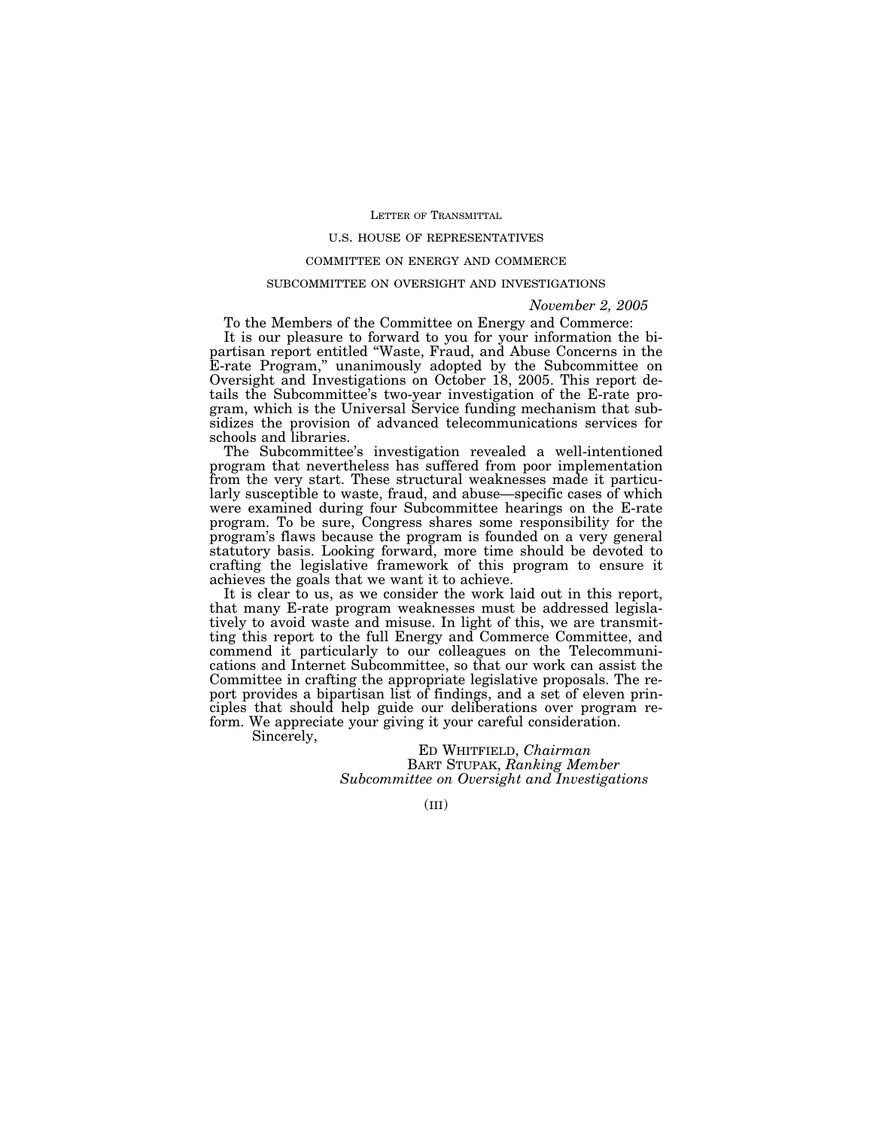#### LETTER OF TRANSMITTAL

# U.S. HOUSE OF REPRESENTATIVES

# COMMITTEE ON ENERGY AND COMMERCE

# SUBCOMMITTEE ON OVERSIGHT AND INVESTIGATIONS

#### *November 2, 2005*

To the Members of the Committee on Energy and Commerce:

It is our pleasure to forward to you for your information the bipartisan report entitled ''Waste, Fraud, and Abuse Concerns in the E-rate Program,'' unanimously adopted by the Subcommittee on Oversight and Investigations on October 18, 2005. This report details the Subcommittee's two-year investigation of the E-rate program, which is the Universal Service funding mechanism that subsidizes the provision of advanced telecommunications services for schools and libraries.

The Subcommittee's investigation revealed a well-intentioned program that nevertheless has suffered from poor implementation from the very start. These structural weaknesses made it particularly susceptible to waste, fraud, and abuse—specific cases of which were examined during four Subcommittee hearings on the E-rate program. To be sure, Congress shares some responsibility for the program's flaws because the program is founded on a very general statutory basis. Looking forward, more time should be devoted to crafting the legislative framework of this program to ensure it achieves the goals that we want it to achieve.

It is clear to us, as we consider the work laid out in this report, that many E-rate program weaknesses must be addressed legislatively to avoid waste and misuse. In light of this, we are transmitting this report to the full Energy and Commerce Committee, and commend it particularly to our colleagues on the Telecommunications and Internet Subcommittee, so that our work can assist the Committee in crafting the appropriate legislative proposals. The report provides a bipartisan list of findings, and a set of eleven principles that should help guide our deliberations over program reform. We appreciate your giving it your careful consideration.

Sincerely,

ED WHITFIELD, *Chairman* BART STUPAK, *Ranking Member Subcommittee on Oversight and Investigations*

 $(III)$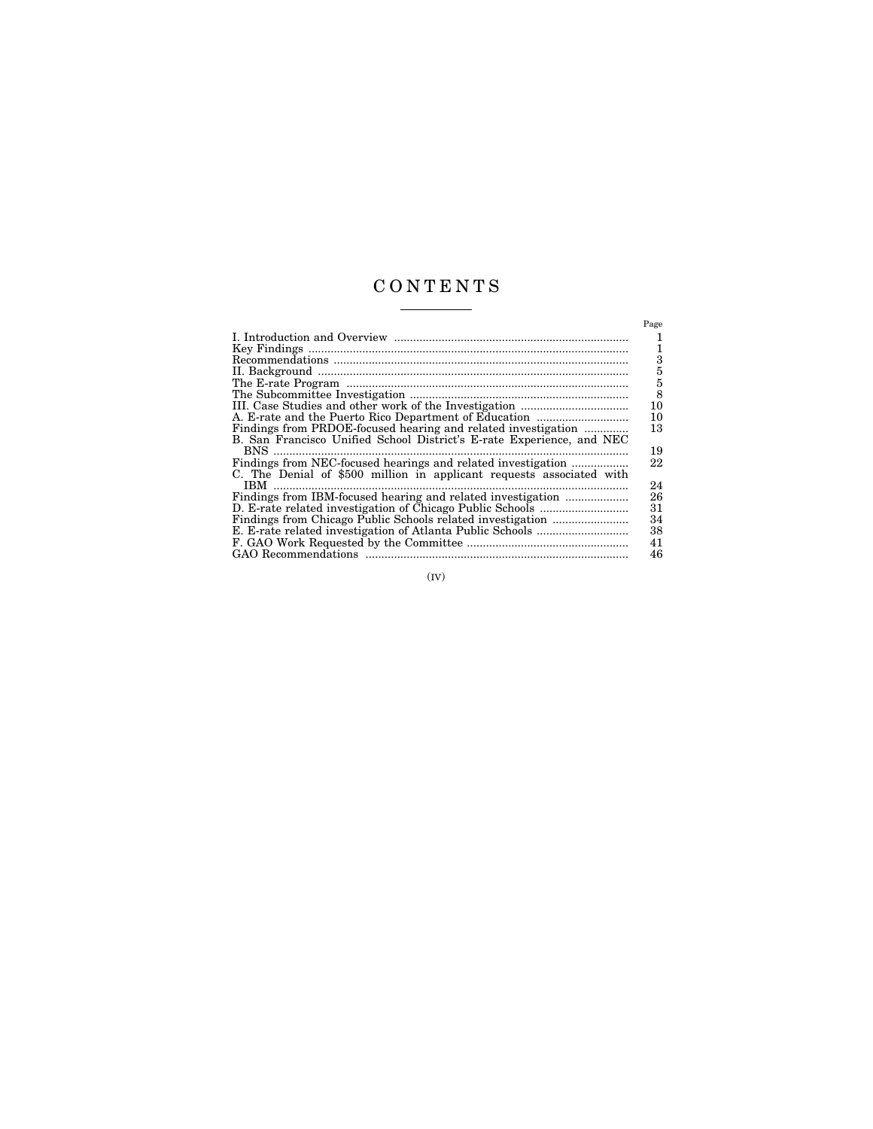# C O N T E N T S

|                                                                       | Page |
|-----------------------------------------------------------------------|------|
|                                                                       | 1    |
|                                                                       | 1    |
|                                                                       | 3    |
|                                                                       | 5    |
|                                                                       | 5    |
|                                                                       | 8    |
|                                                                       | 10   |
|                                                                       | 10   |
| Findings from PRDOE-focused hearing and related investigation         | 13   |
| B. San Francisco Unified School District's E-rate Experience, and NEC |      |
| $BNS$                                                                 | 19   |
|                                                                       | 22   |
| C. The Denial of \$500 million in applicant requests associated with  |      |
|                                                                       | 24   |
| Findings from IBM-focused hearing and related investigation           | 26   |
|                                                                       | 31   |
|                                                                       | 34   |
|                                                                       | 38   |
|                                                                       | 41   |
|                                                                       | 46   |

 $($ IV $)$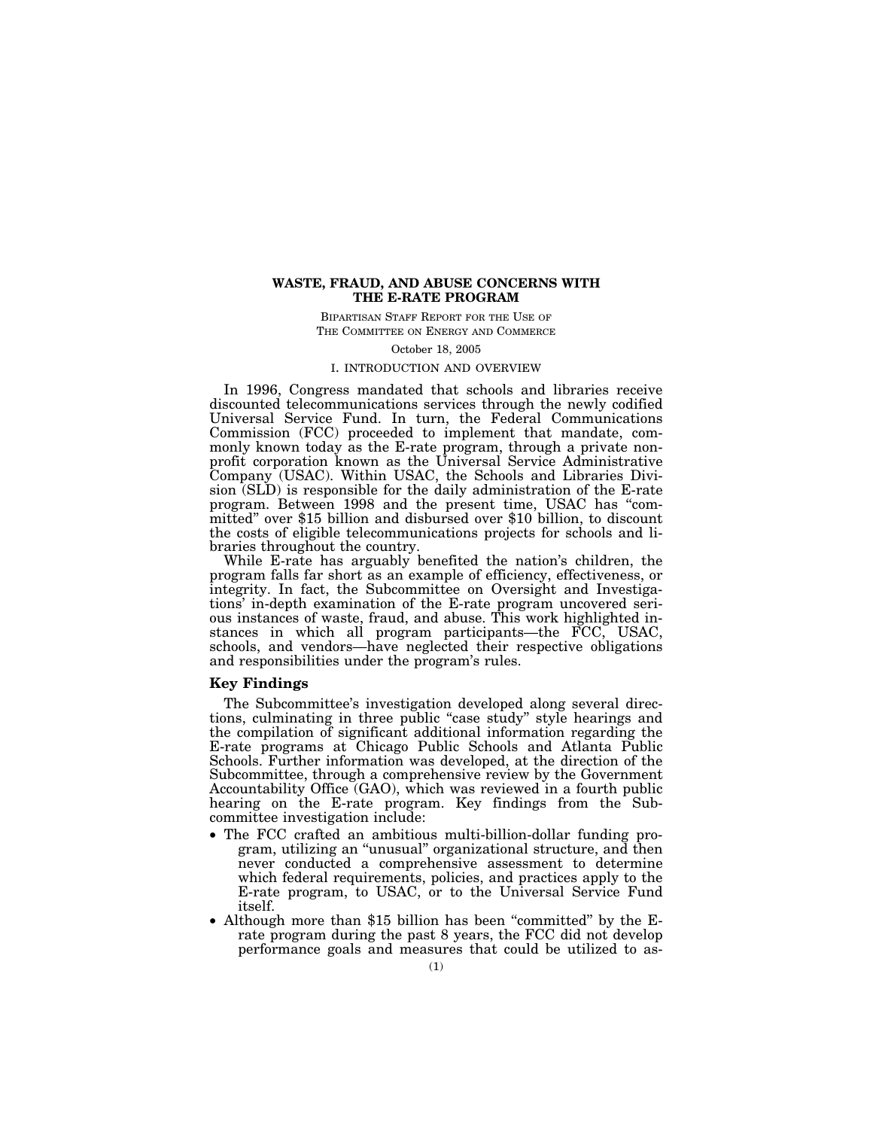# **WASTE, FRAUD, AND ABUSE CONCERNS WITH THE E-RATE PROGRAM**

BIPARTISAN STAFF REPORT FOR THE USE OF THE COMMITTEE ON ENERGY AND COMMERCE

October 18, 2005

# I. INTRODUCTION AND OVERVIEW

In 1996, Congress mandated that schools and libraries receive discounted telecommunications services through the newly codified Universal Service Fund. In turn, the Federal Communications Commission (FCC) proceeded to implement that mandate, commonly known today as the E-rate program, through a private nonprofit corporation known as the Universal Service Administrative Company (USAC). Within USAC, the Schools and Libraries Division (SLD) is responsible for the daily administration of the E-rate program. Between 1998 and the present time, USAC has ''committed'' over \$15 billion and disbursed over \$10 billion, to discount the costs of eligible telecommunications projects for schools and libraries throughout the country.

While E-rate has arguably benefited the nation's children, the program falls far short as an example of efficiency, effectiveness, or integrity. In fact, the Subcommittee on Oversight and Investigations' in-depth examination of the E-rate program uncovered serious instances of waste, fraud, and abuse. This work highlighted instances in which all program participants—the FCC, USAC, schools, and vendors—have neglected their respective obligations and responsibilities under the program's rules.

# **Key Findings**

The Subcommittee's investigation developed along several directions, culminating in three public "case study" style hearings and the compilation of significant additional information regarding the E-rate programs at Chicago Public Schools and Atlanta Public Schools. Further information was developed, at the direction of the Subcommittee, through a comprehensive review by the Government Accountability Office (GAO), which was reviewed in a fourth public hearing on the E-rate program. Key findings from the Subcommittee investigation include:

- The FCC crafted an ambitious multi-billion-dollar funding program, utilizing an ''unusual'' organizational structure, and then never conducted a comprehensive assessment to determine which federal requirements, policies, and practices apply to the E-rate program, to USAC, or to the Universal Service Fund itself.
- Although more than \$15 billion has been ''committed'' by the Erate program during the past 8 years, the FCC did not develop performance goals and measures that could be utilized to as-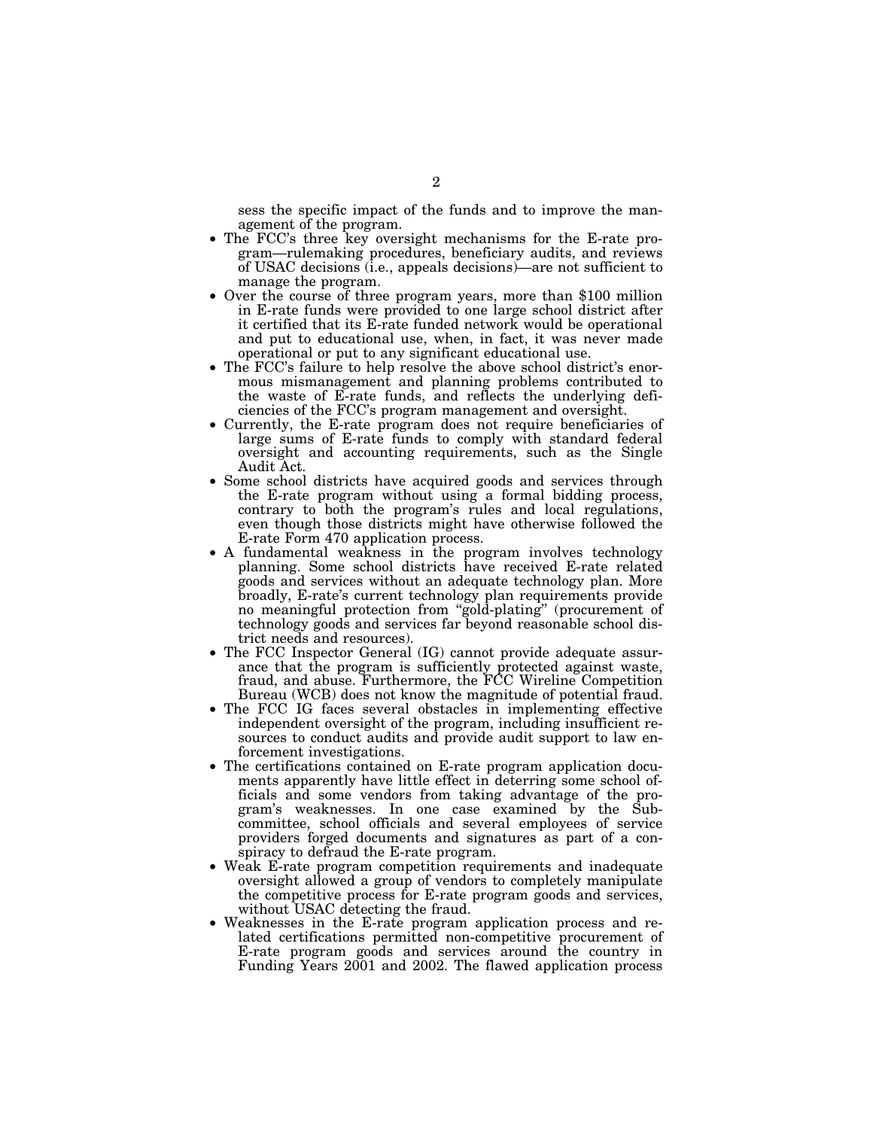sess the specific impact of the funds and to improve the management of the program.

- The FCC's three key oversight mechanisms for the E-rate program—rulemaking procedures, beneficiary audits, and reviews of USAC decisions (i.e., appeals decisions)—are not sufficient to manage the program.
- Over the course of three program years, more than \$100 million in E-rate funds were provided to one large school district after it certified that its E-rate funded network would be operational and put to educational use, when, in fact, it was never made operational or put to any significant educational use.
- The FCC's failure to help resolve the above school district's enormous mismanagement and planning problems contributed to the waste of E-rate funds, and reflects the underlying deficiencies of the FCC's program management and oversight.
- Currently, the E-rate program does not require beneficiaries of large sums of E-rate funds to comply with standard federal oversight and accounting requirements, such as the Single Audit Act.
- Some school districts have acquired goods and services through the E-rate program without using a formal bidding process, contrary to both the program's rules and local regulations, even though those districts might have otherwise followed the E-rate Form 470 application process.
- A fundamental weakness in the program involves technology planning. Some school districts have received E-rate related goods and services without an adequate technology plan. More broadly, E-rate's current technology plan requirements provide no meaningful protection from ''gold-plating'' (procurement of technology goods and services far beyond reasonable school district needs and resources).
- The FCC Inspector General (IG) cannot provide adequate assurance that the program is sufficiently protected against waste, fraud, and abuse. Furthermore, the FCC Wireline Competition Bureau (WCB) does not know the magnitude of potential fraud.
- The FCC IG faces several obstacles in implementing effective independent oversight of the program, including insufficient resources to conduct audits and provide audit support to law enforcement investigations.
- The certifications contained on E-rate program application documents apparently have little effect in deterring some school officials and some vendors from taking advantage of the program's weaknesses. In one case examined by the Subcommittee, school officials and several employees of service providers forged documents and signatures as part of a conspiracy to defraud the E-rate program.
- Weak E-rate program competition requirements and inadequate oversight allowed a group of vendors to completely manipulate the competitive process for E-rate program goods and services, without USAC detecting the fraud.
- Weaknesses in the E-rate program application process and related certifications permitted non-competitive procurement of E-rate program goods and services around the country in Funding Years 2001 and 2002. The flawed application process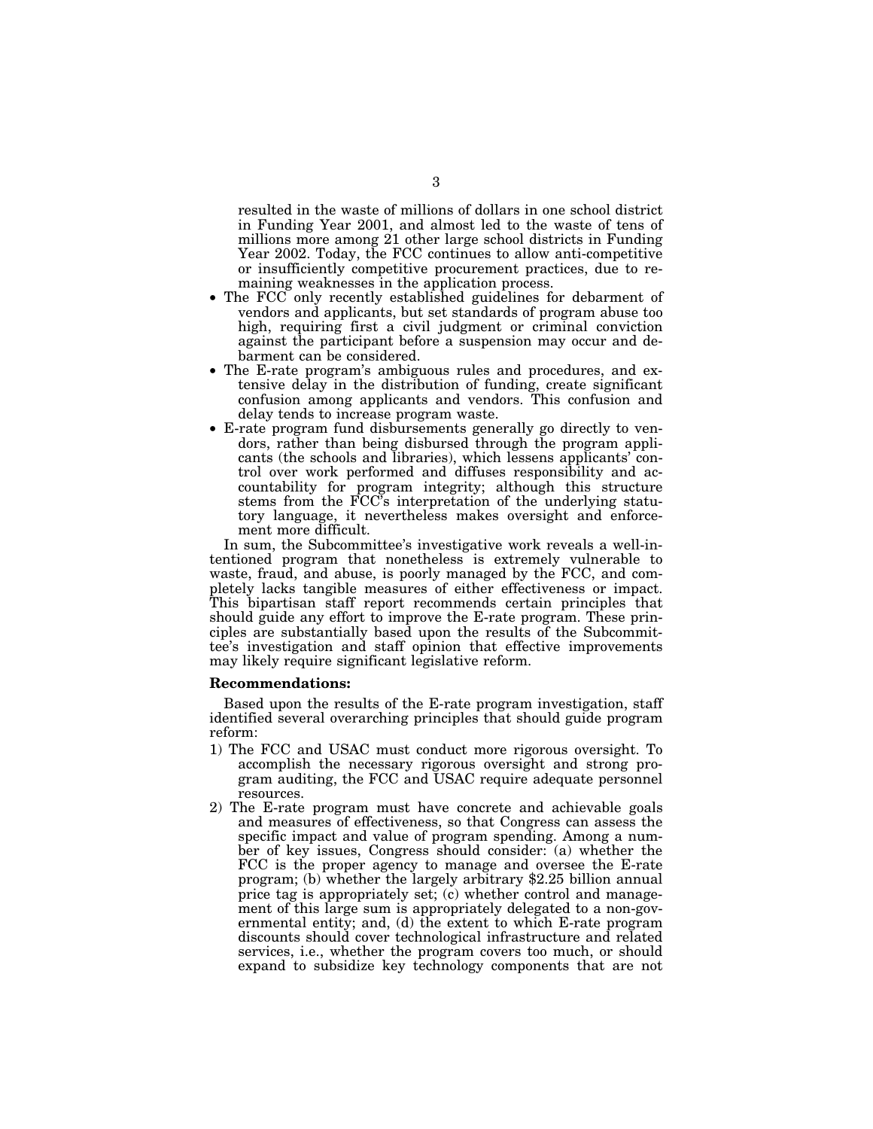resulted in the waste of millions of dollars in one school district in Funding Year 2001, and almost led to the waste of tens of millions more among 21 other large school districts in Funding Year 2002. Today, the FCC continues to allow anti-competitive or insufficiently competitive procurement practices, due to remaining weaknesses in the application process.

- The FCC only recently established guidelines for debarment of vendors and applicants, but set standards of program abuse too high, requiring first a civil judgment or criminal conviction against the participant before a suspension may occur and debarment can be considered.
- The E-rate program's ambiguous rules and procedures, and extensive delay in the distribution of funding, create significant confusion among applicants and vendors. This confusion and delay tends to increase program waste.
- E-rate program fund disbursements generally go directly to vendors, rather than being disbursed through the program applicants (the schools and libraries), which lessens applicants' control over work performed and diffuses responsibility and accountability for program integrity; although this structure stems from the FCC's interpretation of the underlying statutory language, it nevertheless makes oversight and enforcement more difficult.

In sum, the Subcommittee's investigative work reveals a well-intentioned program that nonetheless is extremely vulnerable to waste, fraud, and abuse, is poorly managed by the FCC, and completely lacks tangible measures of either effectiveness or impact. This bipartisan staff report recommends certain principles that should guide any effort to improve the E-rate program. These principles are substantially based upon the results of the Subcommittee's investigation and staff opinion that effective improvements may likely require significant legislative reform.

#### **Recommendations:**

Based upon the results of the E-rate program investigation, staff identified several overarching principles that should guide program reform:

- 1) The FCC and USAC must conduct more rigorous oversight. To accomplish the necessary rigorous oversight and strong program auditing, the FCC and USAC require adequate personnel resources.
- 2) The E-rate program must have concrete and achievable goals and measures of effectiveness, so that Congress can assess the specific impact and value of program spending. Among a number of key issues, Congress should consider: (a) whether the FCC is the proper agency to manage and oversee the E-rate program; (b) whether the largely arbitrary \$2.25 billion annual price tag is appropriately set; (c) whether control and management of this large sum is appropriately delegated to a non-governmental entity; and, (d) the extent to which E-rate program discounts should cover technological infrastructure and related services, i.e., whether the program covers too much, or should expand to subsidize key technology components that are not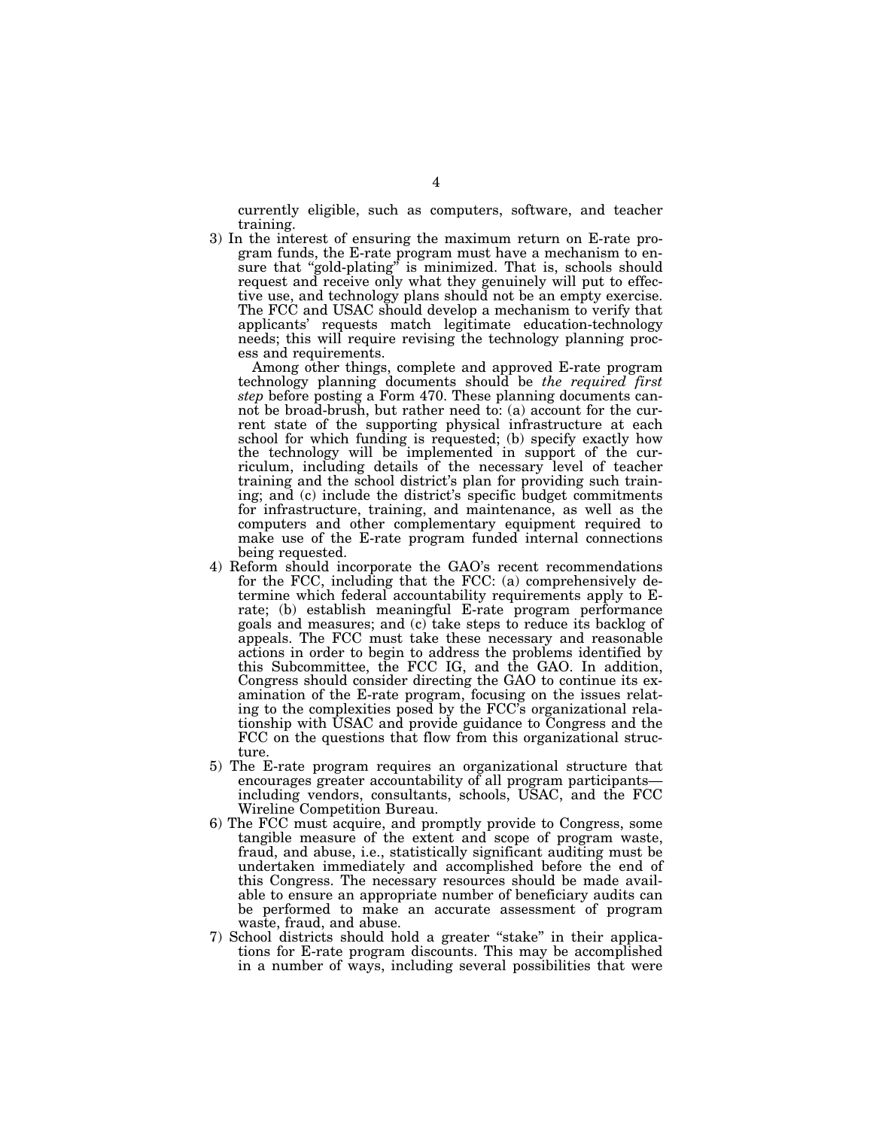currently eligible, such as computers, software, and teacher training.

3) In the interest of ensuring the maximum return on E-rate program funds, the E-rate program must have a mechanism to ensure that "gold-plating" is minimized. That is, schools should request and receive only what they genuinely will put to effective use, and technology plans should not be an empty exercise. The FCC and USAC should develop a mechanism to verify that applicants' requests match legitimate education-technology needs; this will require revising the technology planning process and requirements.

Among other things, complete and approved E-rate program technology planning documents should be *the required first step* before posting a Form 470. These planning documents cannot be broad-brush, but rather need to: (a) account for the current state of the supporting physical infrastructure at each school for which funding is requested; (b) specify exactly how the technology will be implemented in support of the curriculum, including details of the necessary level of teacher training and the school district's plan for providing such training; and (c) include the district's specific budget commitments for infrastructure, training, and maintenance, as well as the computers and other complementary equipment required to make use of the E-rate program funded internal connections being requested.

- 4) Reform should incorporate the GAO's recent recommendations for the FCC, including that the FCC: (a) comprehensively determine which federal accountability requirements apply to Erate; (b) establish meaningful E-rate program performance goals and measures; and (c) take steps to reduce its backlog of appeals. The FCC must take these necessary and reasonable actions in order to begin to address the problems identified by this Subcommittee, the FCC IG, and the GAO. In addition, Congress should consider directing the GAO to continue its examination of the E-rate program, focusing on the issues relating to the complexities posed by the FCC's organizational relationship with USAC and provide guidance to Congress and the FCC on the questions that flow from this organizational structure.
- 5) The E-rate program requires an organizational structure that encourages greater accountability of all program participantsincluding vendors, consultants, schools, USAC, and the FCC Wireline Competition Bureau.
- 6) The FCC must acquire, and promptly provide to Congress, some tangible measure of the extent and scope of program waste, fraud, and abuse, i.e., statistically significant auditing must be undertaken immediately and accomplished before the end of this Congress. The necessary resources should be made available to ensure an appropriate number of beneficiary audits can be performed to make an accurate assessment of program waste, fraud, and abuse.
- 7) School districts should hold a greater ''stake'' in their applications for E-rate program discounts. This may be accomplished in a number of ways, including several possibilities that were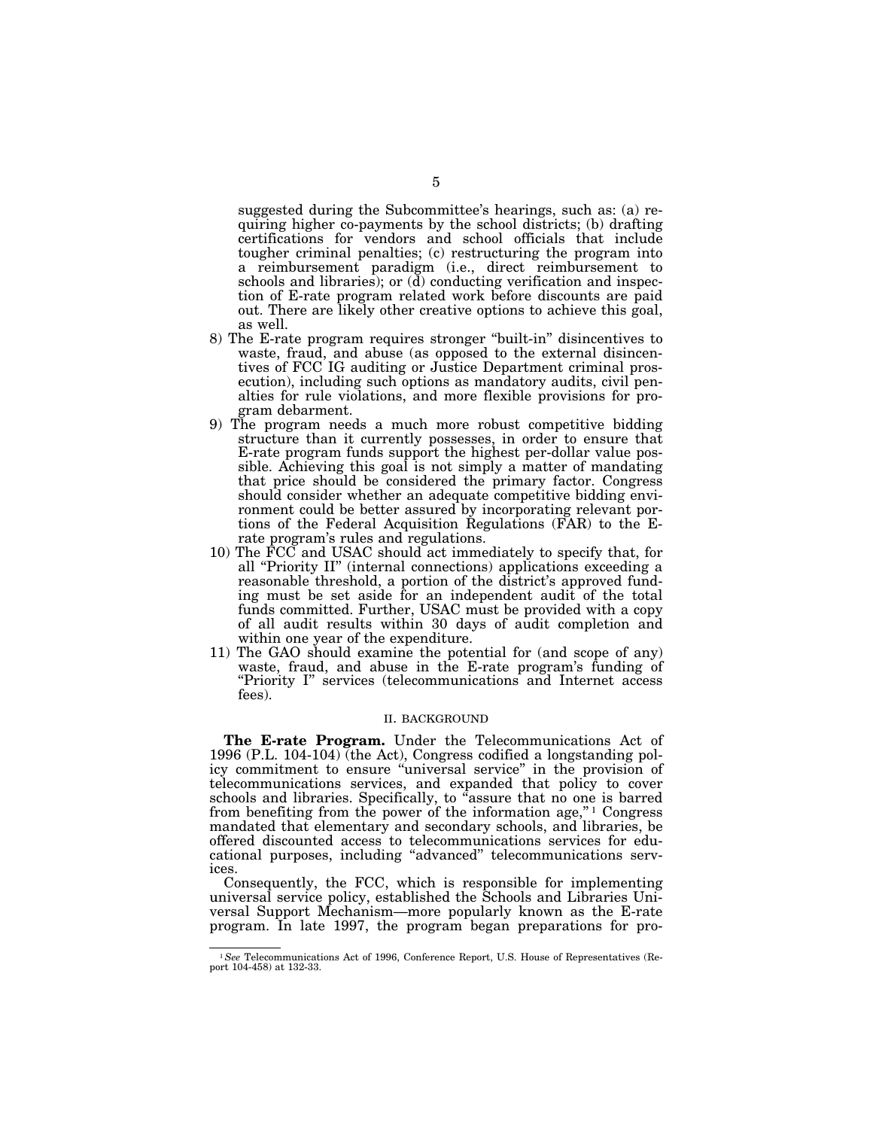suggested during the Subcommittee's hearings, such as: (a) requiring higher co-payments by the school districts; (b) drafting certifications for vendors and school officials that include tougher criminal penalties; (c) restructuring the program into a reimbursement paradigm (i.e., direct reimbursement to schools and libraries); or  $(d)$  conducting verification and inspection of E-rate program related work before discounts are paid out. There are likely other creative options to achieve this goal, as well.

- 8) The E-rate program requires stronger ''built-in'' disincentives to waste, fraud, and abuse (as opposed to the external disincentives of FCC IG auditing or Justice Department criminal prosecution), including such options as mandatory audits, civil penalties for rule violations, and more flexible provisions for program debarment.
- 9) The program needs a much more robust competitive bidding structure than it currently possesses, in order to ensure that E-rate program funds support the highest per-dollar value possible. Achieving this goal is not simply a matter of mandating that price should be considered the primary factor. Congress should consider whether an adequate competitive bidding environment could be better assured by incorporating relevant portions of the Federal Acquisition Regulations (FAR) to the Erate program's rules and regulations.
- 10) The FCC and USAC should act immediately to specify that, for all ''Priority II'' (internal connections) applications exceeding a reasonable threshold, a portion of the district's approved funding must be set aside for an independent audit of the total funds committed. Further, USAC must be provided with a copy of all audit results within 30 days of audit completion and within one year of the expenditure.
- 11) The GAO should examine the potential for (and scope of any) waste, fraud, and abuse in the E-rate program's funding of "Priority I" services (telecommunications and Internet access fees).

#### II. BACKGROUND

**The E-rate Program.** Under the Telecommunications Act of 1996 (P.L. 104-104) (the Act), Congress codified a longstanding policy commitment to ensure "universal service" in the provision of telecommunications services, and expanded that policy to cover schools and libraries. Specifically, to ''assure that no one is barred from benefiting from the power of the information age,"<sup>1</sup> Congress mandated that elementary and secondary schools, and libraries, be offered discounted access to telecommunications services for educational purposes, including ''advanced'' telecommunications services.

Consequently, the FCC, which is responsible for implementing universal service policy, established the Schools and Libraries Universal Support Mechanism—more popularly known as the E-rate program. In late 1997, the program began preparations for pro-

<sup>1</sup>*See* Telecommunications Act of 1996, Conference Report, U.S. House of Representatives (Report 104-458) at 132-33.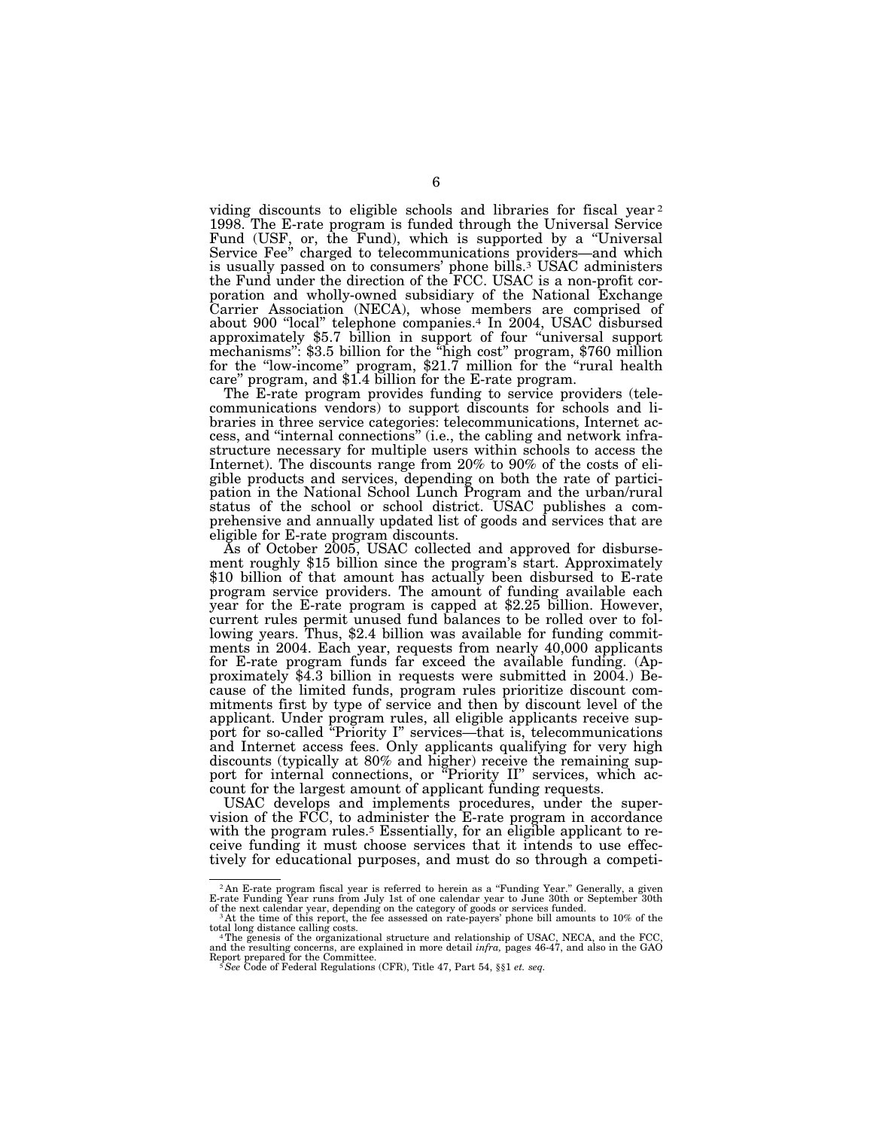viding discounts to eligible schools and libraries for fiscal year 2 1998. The E-rate program is funded through the Universal Service Fund (USF, or, the Fund), which is supported by a "Universal Service Fee'' charged to telecommunications providers—and which is usually passed on to consumers' phone bills.3 USAC administers the Fund under the direction of the FCC. USAC is a non-profit corporation and wholly-owned subsidiary of the National Exchange Carrier Association (NECA), whose members are comprised of about 900 "local" telephone companies.<sup>4</sup> In 2004, USAC disbursed approximately \$5.7 billion in support of four ''universal support mechanisms'': \$3.5 billion for the ''high cost'' program, \$760 million for the "low-income" program, \$21.7 million for the "rural health care'' program, and \$1.4 billion for the E-rate program.

The E-rate program provides funding to service providers (telecommunications vendors) to support discounts for schools and libraries in three service categories: telecommunications, Internet access, and ''internal connections'' (i.e., the cabling and network infrastructure necessary for multiple users within schools to access the Internet). The discounts range from 20% to 90% of the costs of eligible products and services, depending on both the rate of participation in the National School Lunch Program and the urban/rural status of the school or school district. USAC publishes a comprehensive and annually updated list of goods and services that are eligible for E-rate program discounts.

As of October 2005, USAC collected and approved for disburse- ment roughly \$15 billion since the program's start. Approximately \$10 billion of that amount has actually been disbursed to E-rate program service providers. The amount of funding available each year for the E-rate program is capped at \$2.25 billion. However, current rules permit unused fund balances to be rolled over to following years. Thus, \$2.4 billion was available for funding commitments in 2004. Each year, requests from nearly 40,000 applicants for E-rate program funds far exceed the available funding. (Approximately \$4.3 billion in requests were submitted in 2004.) Because of the limited funds, program rules prioritize discount commitments first by type of service and then by discount level of the applicant. Under program rules, all eligible applicants receive support for so-called ''Priority I'' services—that is, telecommunications and Internet access fees. Only applicants qualifying for very high discounts (typically at 80% and higher) receive the remaining support for internal connections, or "Priority II" services, which account for the largest amount of applicant funding requests.

USAC develops and implements procedures, under the supervision of the FCC, to administer the E-rate program in accordance with the program rules.<sup>5</sup> Essentially, for an eligible applicant to receive funding it must choose services that it intends to use effectively for educational purposes, and must do so through a competi-

<sup>&</sup>lt;sup>2</sup>An E-rate program fiscal year is referred to herein as a "Funding Year." Generally, a given<br>E-rate Funding Year runs from July 1st of one calendar year to June 30th or September 30th

of the next calendar year, depending on the category of goods or services funded. <sup>3</sup> At the time of this report, the fee assessed on rate-payers' phone bill amounts to 10% of the total long distance calling costs.<br><sup>4</sup>The genesis of the organizational structure and relationship of USAC, NECA, and the FCC

and the resulting concerns, are explained in more detail *infra,* pages 46-47, and also in the GAO Report prepared for the Committee.<br><sup>5</sup>*See* Code of Federal Regulations (CFR), Title 47, Part 54, §§1 *et. seq.*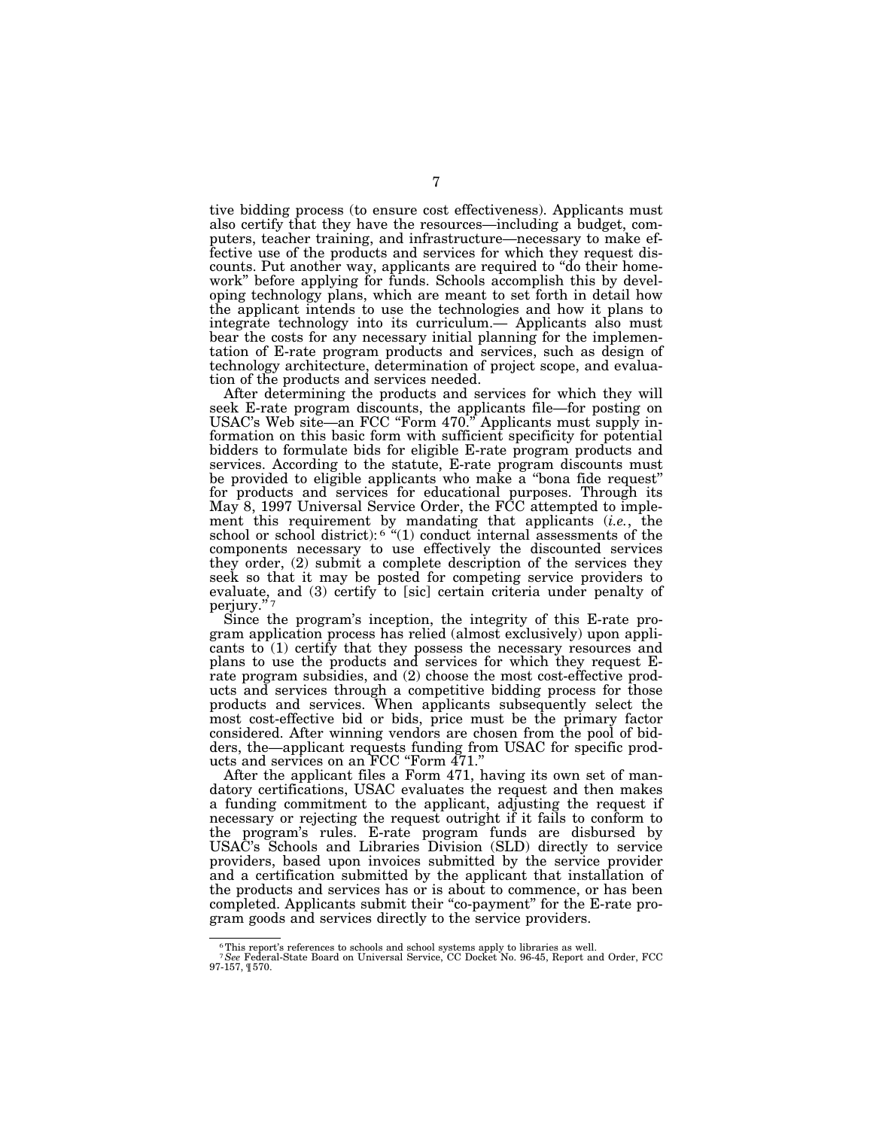tive bidding process (to ensure cost effectiveness). Applicants must also certify that they have the resources—including a budget, computers, teacher training, and infrastructure—necessary to make effective use of the products and services for which they request discounts. Put another way, applicants are required to ''do their homework'' before applying for funds. Schools accomplish this by developing technology plans, which are meant to set forth in detail how the applicant intends to use the technologies and how it plans to integrate technology into its curriculum.— Applicants also must bear the costs for any necessary initial planning for the implementation of E-rate program products and services, such as design of technology architecture, determination of project scope, and evaluation of the products and services needed.

After determining the products and services for which they will seek E-rate program discounts, the applicants file—for posting on USAC's Web site—an FCC "Form 470." Applicants must supply information on this basic form with sufficient specificity for potential bidders to formulate bids for eligible E-rate program products and services. According to the statute, E-rate program discounts must be provided to eligible applicants who make a "bona fide request" for products and services for educational purposes. Through its May 8, 1997 Universal Service Order, the FCC attempted to implement this requirement by mandating that applicants (*i.e.*, the school or school district):  $6$  "(1) conduct internal assessments of the components necessary to use effectively the discounted services they order, (2) submit a complete description of the services they seek so that it may be posted for competing service providers to evaluate, and (3) certify to [sic] certain criteria under penalty of perjury."?

Since the program's inception, the integrity of this E-rate program application process has relied (almost exclusively) upon applicants to (1) certify that they possess the necessary resources and plans to use the products and services for which they request Erate program subsidies, and (2) choose the most cost-effective products and services through a competitive bidding process for those products and services. When applicants subsequently select the most cost-effective bid or bids, price must be the primary factor considered. After winning vendors are chosen from the pool of bidders, the—applicant requests funding from USAC for specific products and services on an FCC ''Form 471.''

After the applicant files a Form 471, having its own set of mandatory certifications, USAC evaluates the request and then makes a funding commitment to the applicant, adjusting the request if necessary or rejecting the request outright if it fails to conform to the program's rules. E-rate program funds are disbursed by USAC's Schools and Libraries Division (SLD) directly to service providers, based upon invoices submitted by the service provider and a certification submitted by the applicant that installation of the products and services has or is about to commence, or has been completed. Applicants submit their ''co-payment'' for the E-rate program goods and services directly to the service providers.

<sup>6</sup>This report's references to schools and school systems apply to libraries as well.

<sup>7</sup>*See* Federal-State Board on Universal Service, CC Docket No. 96-45, Report and Order, FCC 97-157, ¶ 570.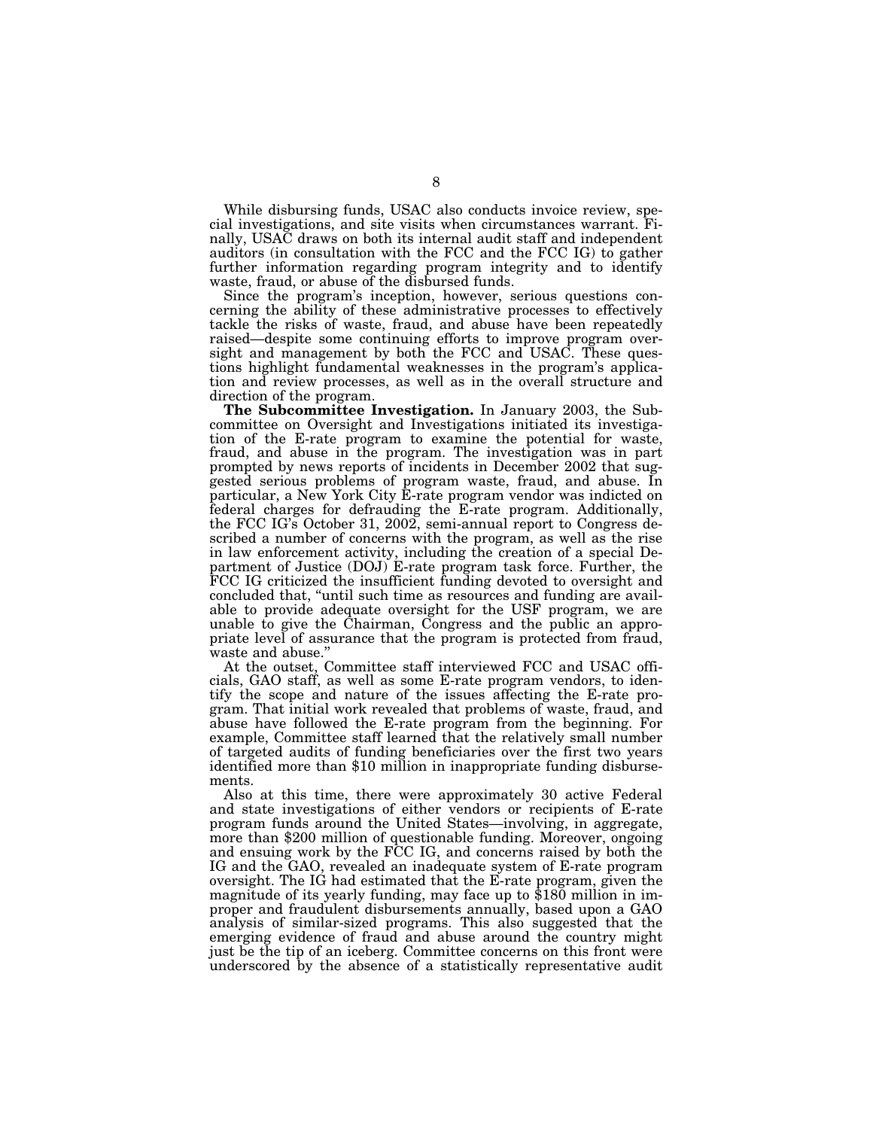While disbursing funds, USAC also conducts invoice review, special investigations, and site visits when circumstances warrant. Finally, USAC draws on both its internal audit staff and independent auditors (in consultation with the FCC and the FCC IG) to gather further information regarding program integrity and to identify waste, fraud, or abuse of the disbursed funds.

Since the program's inception, however, serious questions concerning the ability of these administrative processes to effectively tackle the risks of waste, fraud, and abuse have been repeatedly raised—despite some continuing efforts to improve program oversight and management by both the FCC and USAC. These questions highlight fundamental weaknesses in the program's application and review processes, as well as in the overall structure and direction of the program.

**The Subcommittee Investigation.** In January 2003, the Subcommittee on Oversight and Investigations initiated its investigation of the E-rate program to examine the potential for waste, fraud, and abuse in the program. The investigation was in part prompted by news reports of incidents in December 2002 that suggested serious problems of program waste, fraud, and abuse. In particular, a New York City E-rate program vendor was indicted on federal charges for defrauding the E-rate program. Additionally, the FCC IG's October 31, 2002, semi-annual report to Congress described a number of concerns with the program, as well as the rise in law enforcement activity, including the creation of a special Department of Justice (DOJ) E-rate program task force. Further, the FCC IG criticized the insufficient funding devoted to oversight and concluded that, ''until such time as resources and funding are available to provide adequate oversight for the USF program, we are unable to give the Chairman, Congress and the public an appropriate level of assurance that the program is protected from fraud, waste and abuse.''

At the outset, Committee staff interviewed FCC and USAC officials, GAO staff, as well as some E-rate program vendors, to identify the scope and nature of the issues affecting the E-rate program. That initial work revealed that problems of waste, fraud, and abuse have followed the E-rate program from the beginning. For example, Committee staff learned that the relatively small number of targeted audits of funding beneficiaries over the first two years identified more than \$10 million in inappropriate funding disbursements.

Also at this time, there were approximately 30 active Federal and state investigations of either vendors or recipients of E-rate program funds around the United States—involving, in aggregate, more than \$200 million of questionable funding. Moreover, ongoing and ensuing work by the FCC IG, and concerns raised by both the IG and the GAO, revealed an inadequate system of E-rate program oversight. The IG had estimated that the E-rate program, given the magnitude of its yearly funding, may face up to \$180 million in improper and fraudulent disbursements annually, based upon a GAO analysis of similar-sized programs. This also suggested that the emerging evidence of fraud and abuse around the country might just be the tip of an iceberg. Committee concerns on this front were underscored by the absence of a statistically representative audit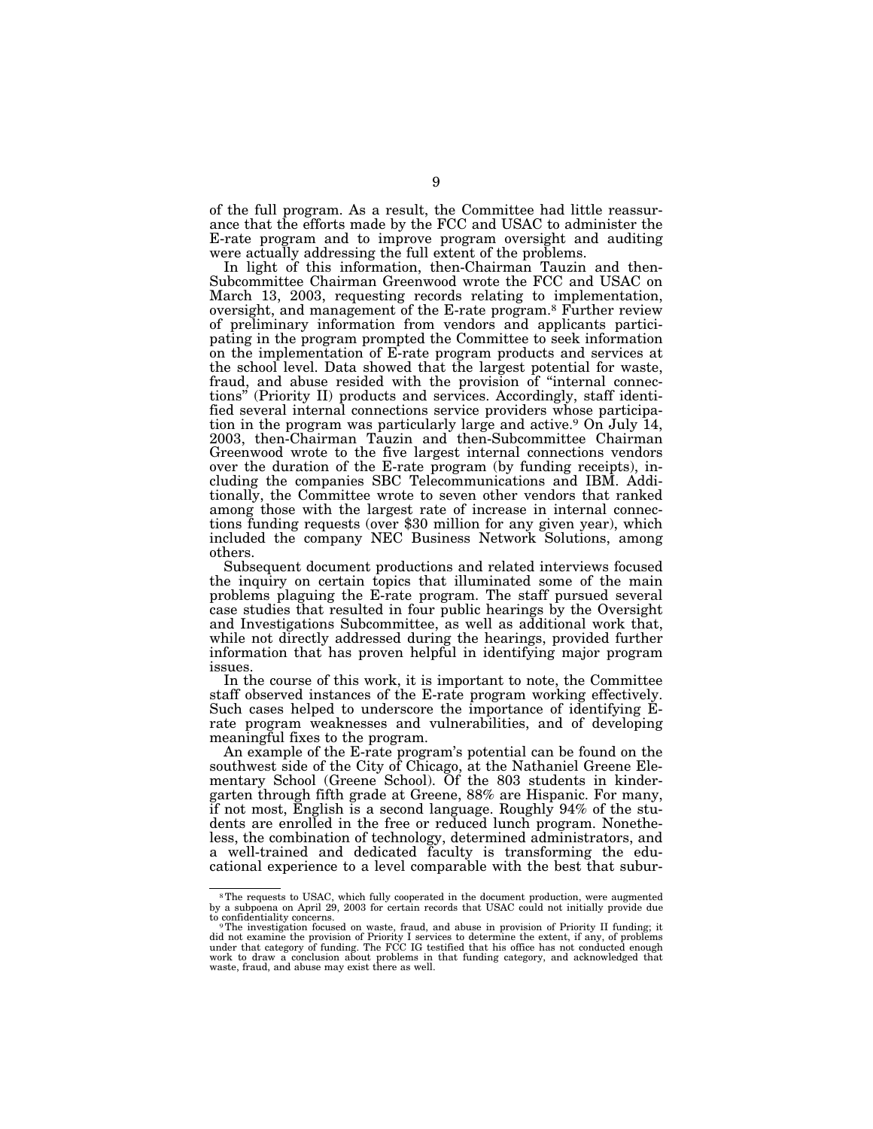of the full program. As a result, the Committee had little reassurance that the efforts made by the FCC and USAC to administer the E-rate program and to improve program oversight and auditing were actually addressing the full extent of the problems.

In light of this information, then-Chairman Tauzin and then-Subcommittee Chairman Greenwood wrote the FCC and USAC on March 13, 2003, requesting records relating to implementation, oversight, and management of the E-rate program.8 Further review of preliminary information from vendors and applicants participating in the program prompted the Committee to seek information on the implementation of E-rate program products and services at the school level. Data showed that the largest potential for waste, fraud, and abuse resided with the provision of "internal connections'' (Priority II) products and services. Accordingly, staff identified several internal connections service providers whose participation in the program was particularly large and active.9 On July 14, 2003, then-Chairman Tauzin and then-Subcommittee Chairman Greenwood wrote to the five largest internal connections vendors over the duration of the E-rate program (by funding receipts), including the companies SBC Telecommunications and IBM. Additionally, the Committee wrote to seven other vendors that ranked among those with the largest rate of increase in internal connections funding requests (over \$30 million for any given year), which included the company NEC Business Network Solutions, among others.

Subsequent document productions and related interviews focused the inquiry on certain topics that illuminated some of the main problems plaguing the E-rate program. The staff pursued several case studies that resulted in four public hearings by the Oversight and Investigations Subcommittee, as well as additional work that, while not directly addressed during the hearings, provided further information that has proven helpful in identifying major program issues.

In the course of this work, it is important to note, the Committee staff observed instances of the E-rate program working effectively. Such cases helped to underscore the importance of identifying Erate program weaknesses and vulnerabilities, and of developing meaningful fixes to the program.

An example of the E-rate program's potential can be found on the southwest side of the City of Chicago, at the Nathaniel Greene Elementary School (Greene School). Of the 803 students in kindergarten through fifth grade at Greene, 88% are Hispanic. For many, if not most, English is a second language. Roughly 94% of the students are enrolled in the free or reduced lunch program. Nonetheless, the combination of technology, determined administrators, and a well-trained and dedicated faculty is transforming the educational experience to a level comparable with the best that subur-

<sup>8</sup>The requests to USAC, which fully cooperated in the document production, were augmented by a subpoena on April 29, 2003 for certain records that USAC could not initially provide due

to confidentiality concerns. 9The investigation focused on waste, fraud, and abuse in provision of Priority II funding; it did not examine the provision of Priority I services to determine the extent, if any, of problems under that category of funding. The FCC IG testified that his office has not conducted enough work to draw a conclusion about problems in that funding category, and acknowledged that waste, fraud, and abuse may exist there as well.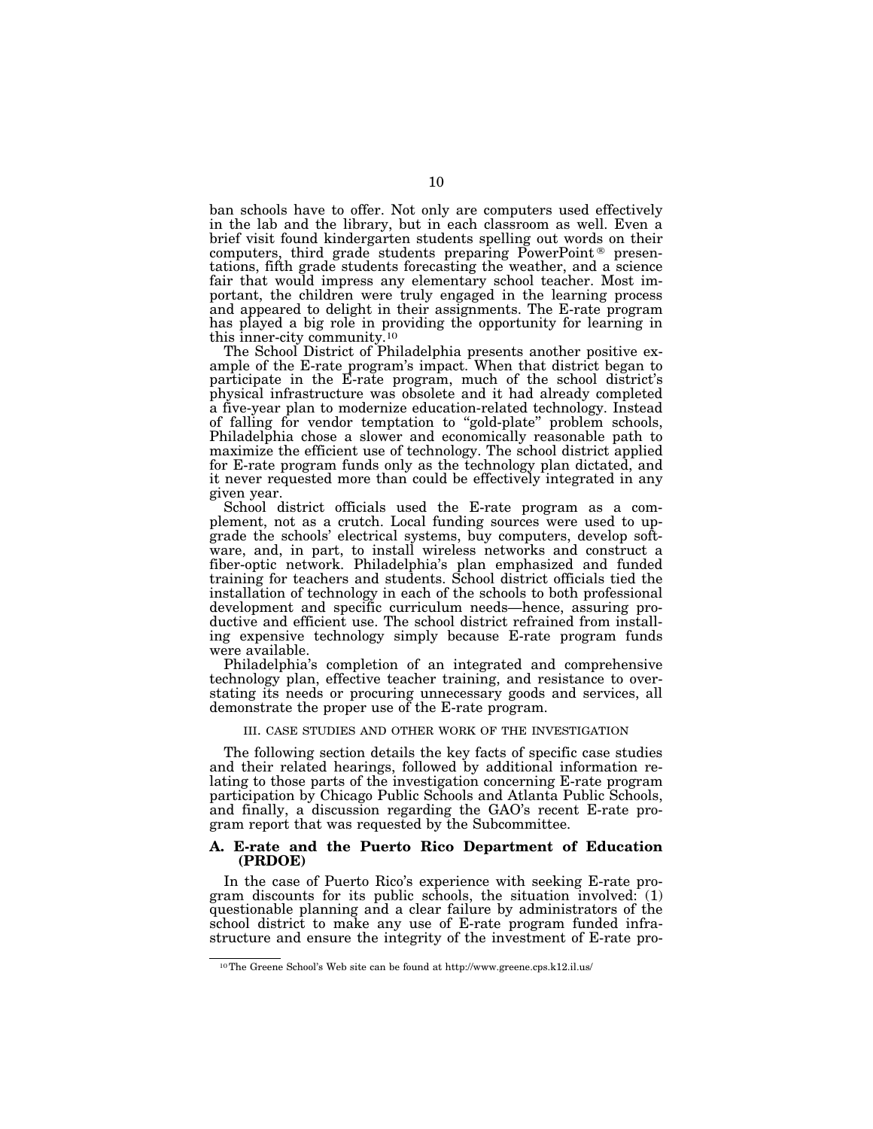ban schools have to offer. Not only are computers used effectively in the lab and the library, but in each classroom as well. Even a brief visit found kindergarten students spelling out words on their computers, third grade students preparing  $\tilde{P}_{o}$  presentations, fifth grade students forecasting the weather, and a science fair that would impress any elementary school teacher. Most important, the children were truly engaged in the learning process and appeared to delight in their assignments. The E-rate program has played a big role in providing the opportunity for learning in this inner-city community.10

The School District of Philadelphia presents another positive example of the E-rate program's impact. When that district began to participate in the E-rate program, much of the school district's physical infrastructure was obsolete and it had already completed a five-year plan to modernize education-related technology. Instead of falling for vendor temptation to ''gold-plate'' problem schools, Philadelphia chose a slower and economically reasonable path to maximize the efficient use of technology. The school district applied for E-rate program funds only as the technology plan dictated, and it never requested more than could be effectively integrated in any given year.

School district officials used the E-rate program as a complement, not as a crutch. Local funding sources were used to upgrade the schools' electrical systems, buy computers, develop software, and, in part, to install wireless networks and construct a fiber-optic network. Philadelphia's plan emphasized and funded training for teachers and students. School district officials tied the installation of technology in each of the schools to both professional development and specific curriculum needs—hence, assuring productive and efficient use. The school district refrained from installing expensive technology simply because E-rate program funds were available.

Philadelphia's completion of an integrated and comprehensive technology plan, effective teacher training, and resistance to overstating its needs or procuring unnecessary goods and services, all demonstrate the proper use of the E-rate program.

#### III. CASE STUDIES AND OTHER WORK OF THE INVESTIGATION

The following section details the key facts of specific case studies and their related hearings, followed by additional information relating to those parts of the investigation concerning E-rate program participation by Chicago Public Schools and Atlanta Public Schools, and finally, a discussion regarding the GAO's recent E-rate program report that was requested by the Subcommittee.

### **A. E-rate and the Puerto Rico Department of Education (PRDOE)**

In the case of Puerto Rico's experience with seeking E-rate program discounts for its public schools, the situation involved: (1) questionable planning and a clear failure by administrators of the school district to make any use of E-rate program funded infrastructure and ensure the integrity of the investment of E-rate pro-

<sup>10</sup>The Greene School's Web site can be found at http://www.greene.cps.k12.il.us/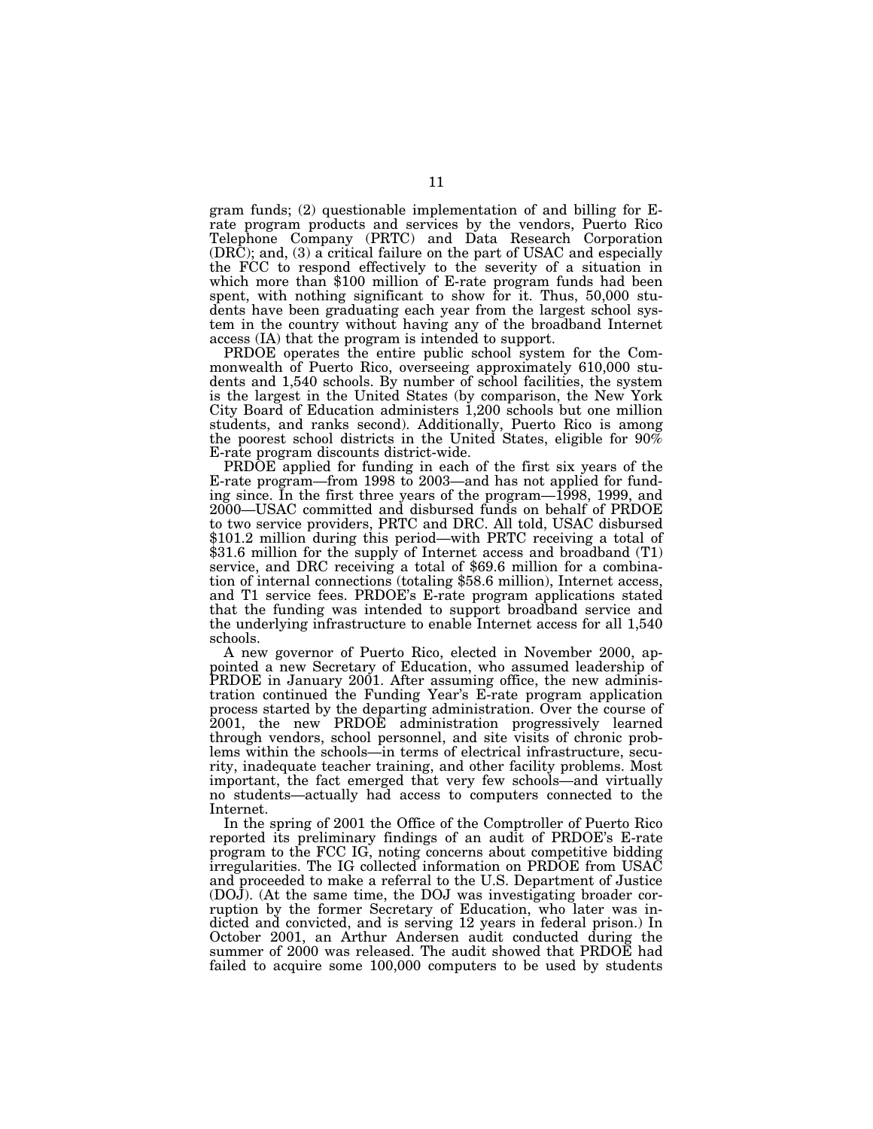gram funds; (2) questionable implementation of and billing for Erate program products and services by the vendors, Puerto Rico Telephone Company (PRTC) and Data Research Corporation (DRC); and, (3) a critical failure on the part of USAC and especially the FCC to respond effectively to the severity of a situation in which more than \$100 million of E-rate program funds had been spent, with nothing significant to show for it. Thus, 50,000 students have been graduating each year from the largest school system in the country without having any of the broadband Internet access (IA) that the program is intended to support.

PRDOE operates the entire public school system for the Commonwealth of Puerto Rico, overseeing approximately 610,000 students and 1,540 schools. By number of school facilities, the system is the largest in the United States (by comparison, the New York City Board of Education administers 1,200 schools but one million students, and ranks second). Additionally, Puerto Rico is among the poorest school districts in the United States, eligible for 90% E-rate program discounts district-wide.

PRDOE applied for funding in each of the first six years of the E-rate program—from 1998 to 2003—and has not applied for funding since. In the first three years of the program—1998, 1999, and 2000—USAC committed and disbursed funds on behalf of PRDOE to two service providers, PRTC and DRC. All told, USAC disbursed \$101.2 million during this period—with PRTC receiving a total of \$31.6 million for the supply of Internet access and broadband (T1) service, and DRC receiving a total of \$69.6 million for a combination of internal connections (totaling \$58.6 million), Internet access, and T1 service fees. PRDOE's E-rate program applications stated that the funding was intended to support broadband service and the underlying infrastructure to enable Internet access for all 1,540 schools.

A new governor of Puerto Rico, elected in November 2000, appointed a new Secretary of Education, who assumed leadership of PRDOE in January 2001. After assuming office, the new administration continued the Funding Year's E-rate program application process started by the departing administration. Over the course of 2001, the new PRDOE administration progressively learned through vendors, school personnel, and site visits of chronic problems within the schools—in terms of electrical infrastructure, security, inadequate teacher training, and other facility problems. Most important, the fact emerged that very few schools—and virtually no students—actually had access to computers connected to the Internet.

In the spring of 2001 the Office of the Comptroller of Puerto Rico reported its preliminary findings of an audit of PRDOE's E-rate program to the FCC IG, noting concerns about competitive bidding irregularities. The IG collected information on PRDOE from USAC and proceeded to make a referral to the U.S. Department of Justice (DOJ). (At the same time, the DOJ was investigating broader corruption by the former Secretary of Education, who later was indicted and convicted, and is serving 12 years in federal prison.) In October 2001, an Arthur Andersen audit conducted during the summer of 2000 was released. The audit showed that PRDOE had failed to acquire some 100,000 computers to be used by students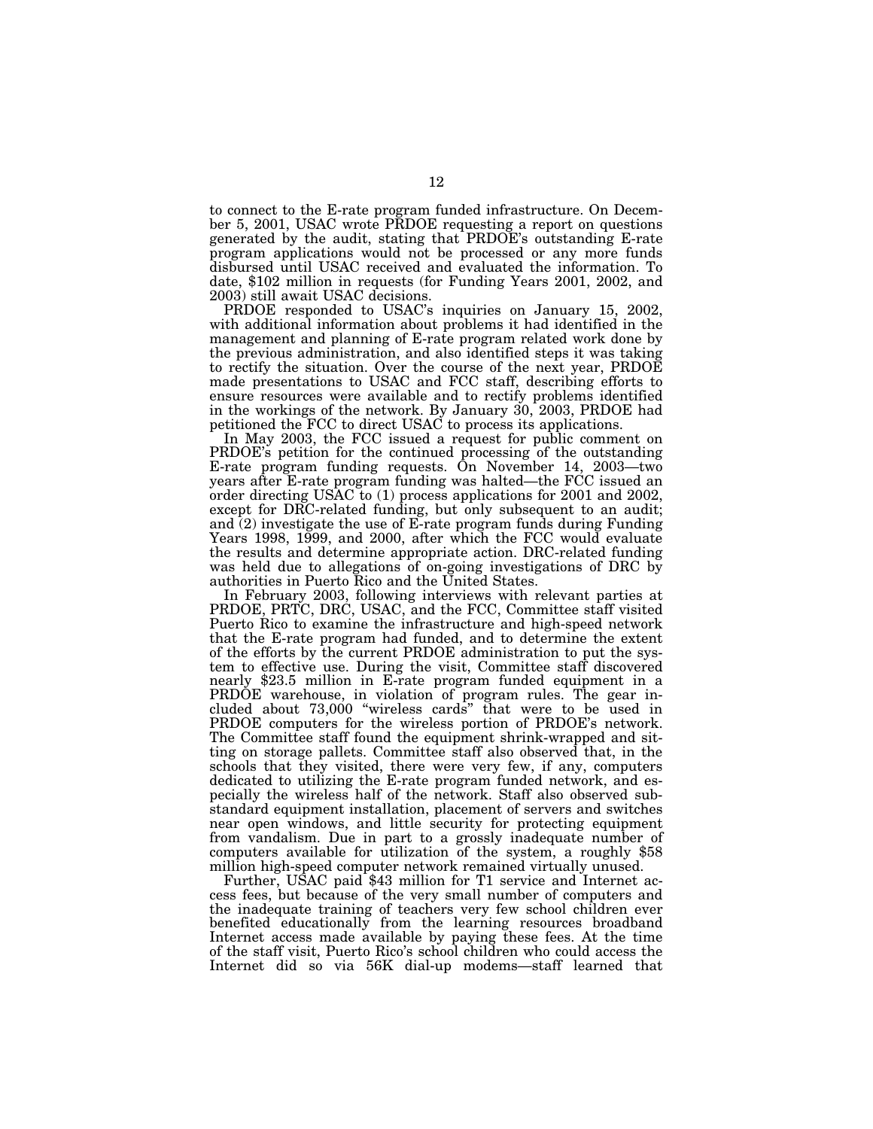to connect to the E-rate program funded infrastructure. On December 5, 2001, USAC wrote PRDOE requesting a report on questions generated by the audit, stating that PRDOE's outstanding E-rate program applications would not be processed or any more funds disbursed until USAC received and evaluated the information. To date, \$102 million in requests (for Funding Years 2001, 2002, and 2003) still await USAC decisions.

PRDOE responded to USAC's inquiries on January 15, 2002, with additional information about problems it had identified in the management and planning of E-rate program related work done by the previous administration, and also identified steps it was taking to rectify the situation. Over the course of the next year, PRDOE made presentations to USAC and FCC staff, describing efforts to ensure resources were available and to rectify problems identified in the workings of the network. By January 30, 2003, PRDOE had petitioned the FCC to direct USAC to process its applications.

In May 2003, the FCC issued a request for public comment on PRDOE's petition for the continued processing of the outstanding E-rate program funding requests. On November 14, 2003—two years after E-rate program funding was halted—the FCC issued an order directing USAC to (1) process applications for 2001 and 2002, except for DRC-related funding, but only subsequent to an audit; and  $(2)$  investigate the use of E-rate program funds during Funding Years 1998, 1999, and 2000, after which the FCC would evaluate the results and determine appropriate action. DRC-related funding was held due to allegations of on-going investigations of DRC by authorities in Puerto Rico and the United States.

In February 2003, following interviews with relevant parties at PRDOE, PRTC, DRC, USAC, and the FCC, Committee staff visited Puerto Rico to examine the infrastructure and high-speed network that the E-rate program had funded, and to determine the extent of the efforts by the current PRDOE administration to put the system to effective use. During the visit, Committee staff discovered nearly \$23.5 million in E-rate program funded equipment in a PRDOE warehouse, in violation of program rules. The gear included about  $73,000$  "wireless cards" that were to be used in PRDOE computers for the wireless portion of PRDOE's network. The Committee staff found the equipment shrink-wrapped and sitting on storage pallets. Committee staff also observed that, in the schools that they visited, there were very few, if any, computers dedicated to utilizing the E-rate program funded network, and especially the wireless half of the network. Staff also observed substandard equipment installation, placement of servers and switches near open windows, and little security for protecting equipment from vandalism. Due in part to a grossly inadequate number of computers available for utilization of the system, a roughly \$58 million high-speed computer network remained virtually unused.

Further, USAC paid \$43 million for T1 service and Internet access fees, but because of the very small number of computers and the inadequate training of teachers very few school children ever benefited educationally from the learning resources broadband Internet access made available by paying these fees. At the time of the staff visit, Puerto Rico's school children who could access the Internet did so via 56K dial-up modems—staff learned that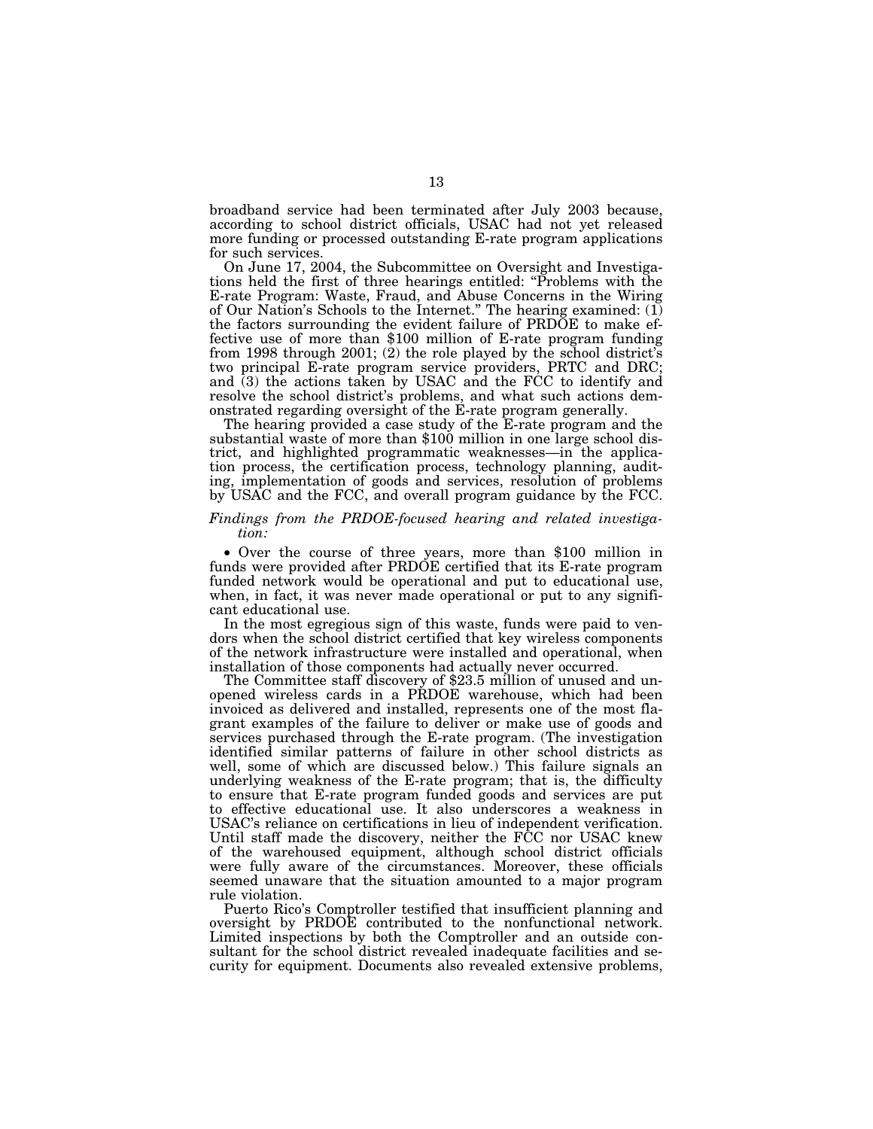broadband service had been terminated after July 2003 because, according to school district officials, USAC had not yet released more funding or processed outstanding E-rate program applications for such services.

On June 17, 2004, the Subcommittee on Oversight and Investigations held the first of three hearings entitled: ''Problems with the E-rate Program: Waste, Fraud, and Abuse Concerns in the Wiring of Our Nation's Schools to the Internet.'' The hearing examined: (1) the factors surrounding the evident failure of PRDOE to make effective use of more than \$100 million of E-rate program funding from 1998 through 2001; (2) the role played by the school district's two principal E-rate program service providers, PRTC and DRC; and (3) the actions taken by USAC and the FCC to identify and resolve the school district's problems, and what such actions demonstrated regarding oversight of the E-rate program generally.

The hearing provided a case study of the E-rate program and the substantial waste of more than \$100 million in one large school district, and highlighted programmatic weaknesses—in the application process, the certification process, technology planning, auditing, implementation of goods and services, resolution of problems by USAC and the FCC, and overall program guidance by the FCC.

# *Findings from the PRDOE-focused hearing and related investigation:*

• Over the course of three years, more than \$100 million in funds were provided after PRDOE certified that its E-rate program funded network would be operational and put to educational use, when, in fact, it was never made operational or put to any significant educational use.

In the most egregious sign of this waste, funds were paid to vendors when the school district certified that key wireless components of the network infrastructure were installed and operational, when installation of those components had actually never occurred.

The Committee staff discovery of \$23.5 million of unused and unopened wireless cards in a PRDOE warehouse, which had been invoiced as delivered and installed, represents one of the most flagrant examples of the failure to deliver or make use of goods and services purchased through the E-rate program. (The investigation identified similar patterns of failure in other school districts as well, some of which are discussed below.) This failure signals an underlying weakness of the E-rate program; that is, the difficulty to ensure that E-rate program funded goods and services are put to effective educational use. It also underscores a weakness in USAC's reliance on certifications in lieu of independent verification. Until staff made the discovery, neither the FCC nor USAC knew of the warehoused equipment, although school district officials were fully aware of the circumstances. Moreover, these officials seemed unaware that the situation amounted to a major program rule violation.

Puerto Rico's Comptroller testified that insufficient planning and oversight by PRDOE contributed to the nonfunctional network. Limited inspections by both the Comptroller and an outside consultant for the school district revealed inadequate facilities and security for equipment. Documents also revealed extensive problems,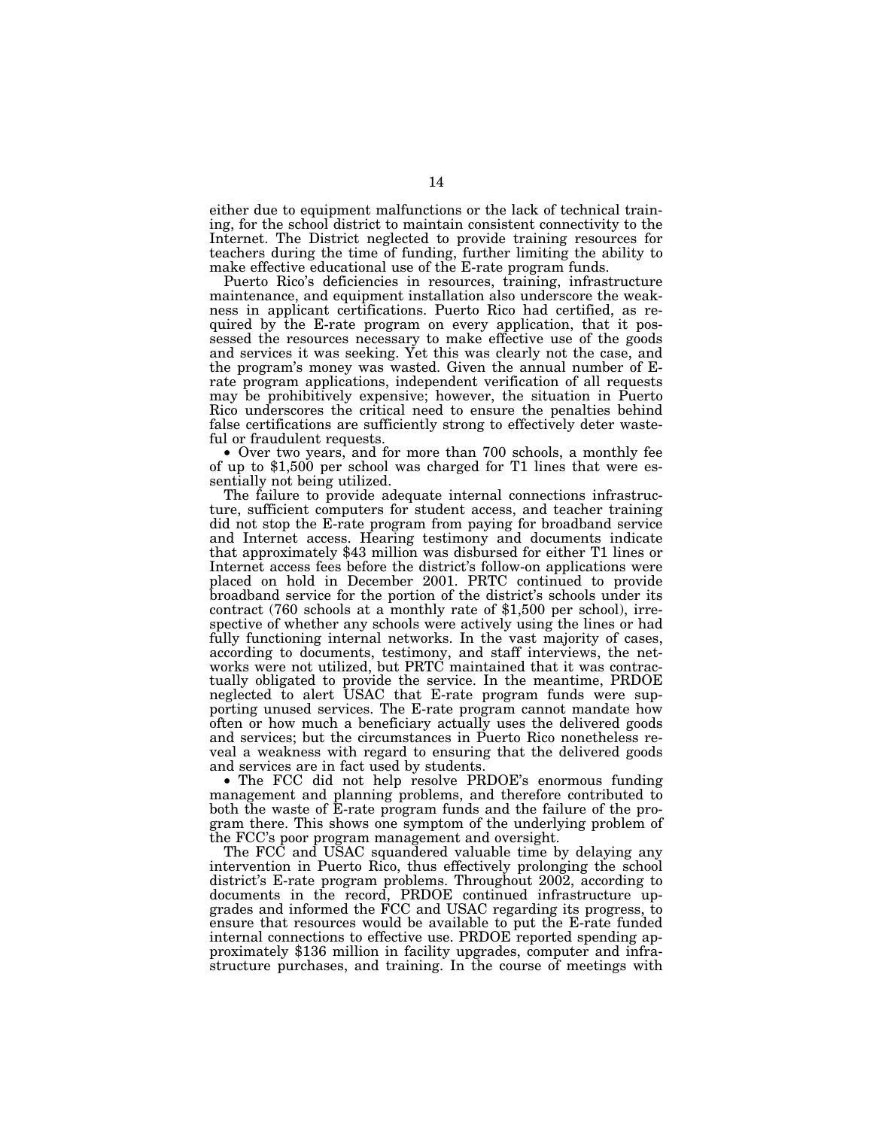either due to equipment malfunctions or the lack of technical training, for the school district to maintain consistent connectivity to the Internet. The District neglected to provide training resources for teachers during the time of funding, further limiting the ability to make effective educational use of the E-rate program funds.

Puerto Rico's deficiencies in resources, training, infrastructure maintenance, and equipment installation also underscore the weakness in applicant certifications. Puerto Rico had certified, as required by the E-rate program on every application, that it possessed the resources necessary to make effective use of the goods and services it was seeking. Yet this was clearly not the case, and the program's money was wasted. Given the annual number of Erate program applications, independent verification of all requests may be prohibitively expensive; however, the situation in Puerto Rico underscores the critical need to ensure the penalties behind false certifications are sufficiently strong to effectively deter waste-

ful or fraudulent requests.<br>• Over two years, and for more than 700 schools, a monthly fee of up to \$1,500 per school was charged for T1 lines that were essentially not being utilized.

The failure to provide adequate internal connections infrastructure, sufficient computers for student access, and teacher training did not stop the E-rate program from paying for broadband service and Internet access. Hearing testimony and documents indicate that approximately \$43 million was disbursed for either T1 lines or Internet access fees before the district's follow-on applications were placed on hold in December 2001. PRTC continued to provide broadband service for the portion of the district's schools under its contract (760 schools at a monthly rate of \$1,500 per school), irrespective of whether any schools were actively using the lines or had fully functioning internal networks. In the vast majority of cases, according to documents, testimony, and staff interviews, the networks were not utilized, but PRTC maintained that it was contractually obligated to provide the service. In the meantime, PRDOE neglected to alert USAC that E-rate program funds were supporting unused services. The E-rate program cannot mandate how often or how much a beneficiary actually uses the delivered goods and services; but the circumstances in Puerto Rico nonetheless reveal a weakness with regard to ensuring that the delivered goods and services are in fact used by students.

• The FCC did not help resolve PRDOE's enormous funding management and planning problems, and therefore contributed to both the waste of E-rate program funds and the failure of the program there. This shows one symptom of the underlying problem of the FCC's poor program management and oversight.

The FCC and USAC squandered valuable time by delaying any intervention in Puerto Rico, thus effectively prolonging the school district's E-rate program problems. Throughout 2002, according to documents in the record, PRDOE continued infrastructure upgrades and informed the FCC and USAC regarding its progress, to ensure that resources would be available to put the E-rate funded internal connections to effective use. PRDOE reported spending approximately \$136 million in facility upgrades, computer and infrastructure purchases, and training. In the course of meetings with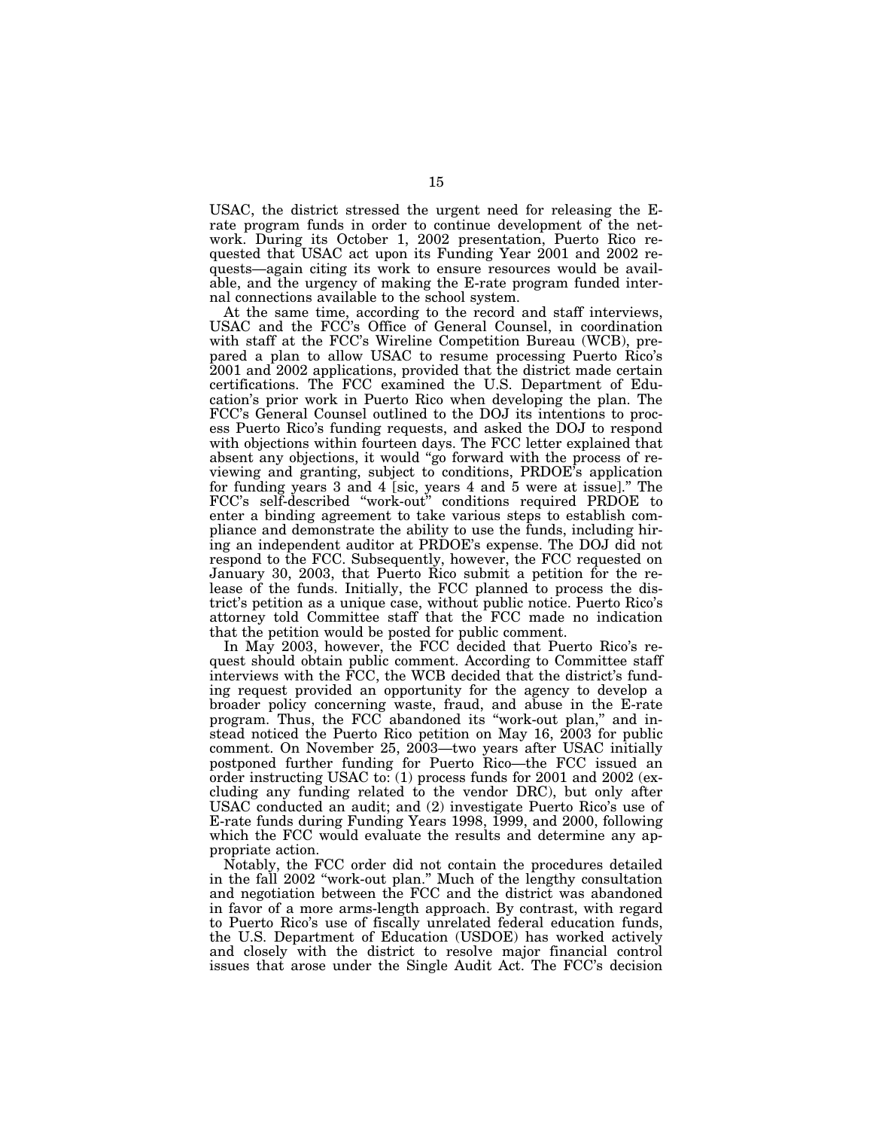USAC, the district stressed the urgent need for releasing the Erate program funds in order to continue development of the network. During its October 1, 2002 presentation, Puerto Rico requested that USAC act upon its Funding Year 2001 and 2002 requests—again citing its work to ensure resources would be available, and the urgency of making the E-rate program funded internal connections available to the school system.

At the same time, according to the record and staff interviews, USAC and the FCC's Office of General Counsel, in coordination with staff at the FCC's Wireline Competition Bureau (WCB), prepared a plan to allow USAC to resume processing Puerto Rico's 2001 and 2002 applications, provided that the district made certain certifications. The FCC examined the U.S. Department of Education's prior work in Puerto Rico when developing the plan. The FCC's General Counsel outlined to the DOJ its intentions to process Puerto Rico's funding requests, and asked the DOJ to respond with objections within fourteen days. The FCC letter explained that absent any objections, it would ''go forward with the process of reviewing and granting, subject to conditions, PRDOE's application for funding years 3 and 4 [sic, years 4 and 5 were at issue].'' The FCC's self-described ''work-out'' conditions required PRDOE to enter a binding agreement to take various steps to establish compliance and demonstrate the ability to use the funds, including hiring an independent auditor at PRDOE's expense. The DOJ did not respond to the FCC. Subsequently, however, the FCC requested on January 30, 2003, that Puerto Rico submit a petition for the release of the funds. Initially, the FCC planned to process the district's petition as a unique case, without public notice. Puerto Rico's attorney told Committee staff that the FCC made no indication that the petition would be posted for public comment.

In May 2003, however, the FCC decided that Puerto Rico's request should obtain public comment. According to Committee staff interviews with the FCC, the WCB decided that the district's funding request provided an opportunity for the agency to develop a broader policy concerning waste, fraud, and abuse in the E-rate program. Thus, the FCC abandoned its ''work-out plan,'' and instead noticed the Puerto Rico petition on May 16, 2003 for public comment. On November 25, 2003—two years after USAC initially postponed further funding for Puerto Rico—the FCC issued an order instructing USAC to: (1) process funds for 2001 and 2002 (excluding any funding related to the vendor DRC), but only after USAC conducted an audit; and (2) investigate Puerto Rico's use of E-rate funds during Funding Years 1998, 1999, and 2000, following which the FCC would evaluate the results and determine any appropriate action.

Notably, the FCC order did not contain the procedures detailed in the fall 2002 ''work-out plan.'' Much of the lengthy consultation and negotiation between the FCC and the district was abandoned in favor of a more arms-length approach. By contrast, with regard to Puerto Rico's use of fiscally unrelated federal education funds, the U.S. Department of Education (USDOE) has worked actively and closely with the district to resolve major financial control issues that arose under the Single Audit Act. The FCC's decision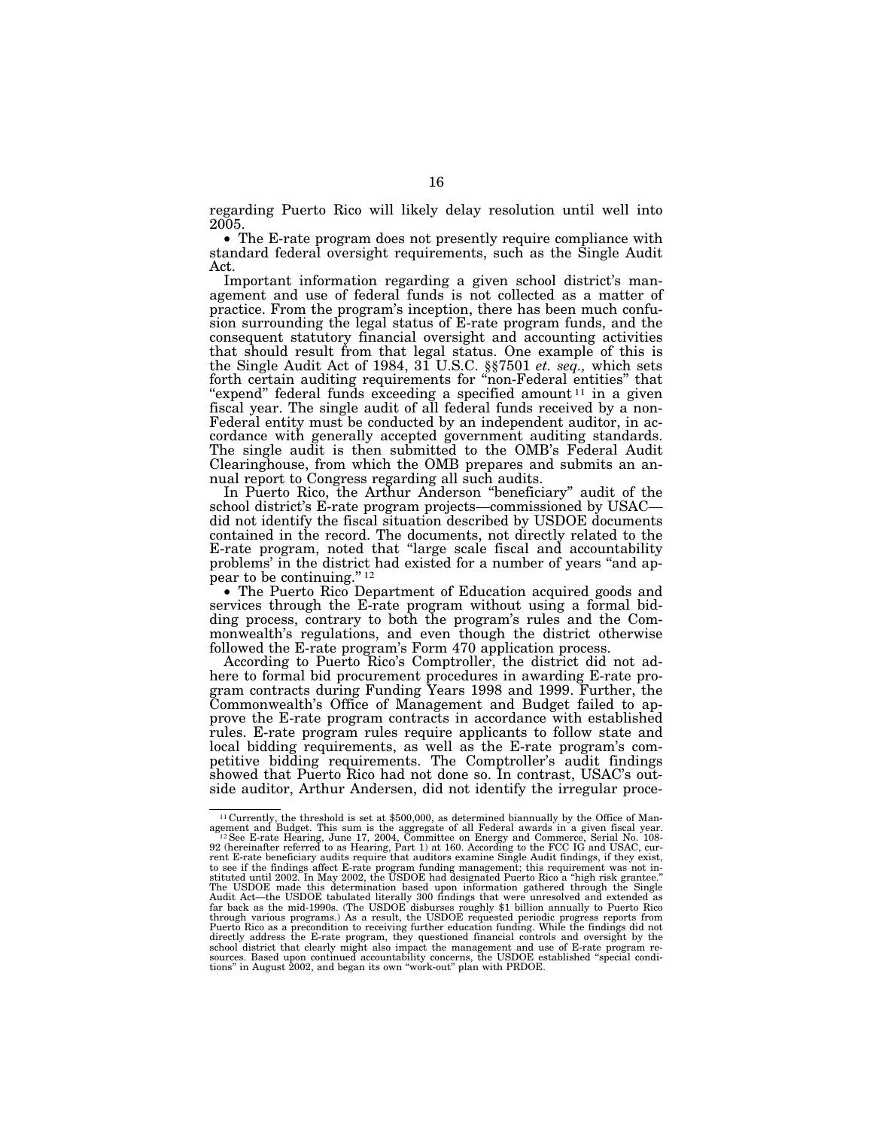regarding Puerto Rico will likely delay resolution until well into

• The E-rate program does not presently require compliance with standard federal oversight requirements, such as the Single Audit Act.

Important information regarding a given school district's management and use of federal funds is not collected as a matter of practice. From the program's inception, there has been much confusion surrounding the legal status of E-rate program funds, and the consequent statutory financial oversight and accounting activities that should result from that legal status. One example of this is the Single Audit Act of 1984, 31 U.S.C. §§7501 *et. seq.,* which sets forth certain auditing requirements for ''non-Federal entities'' that "expend" federal funds exceeding a specified amount<sup>11</sup> in a given fiscal year. The single audit of all federal funds received by a non-Federal entity must be conducted by an independent auditor, in accordance with generally accepted government auditing standards. The single audit is then submitted to the OMB's Federal Audit Clearinghouse, from which the OMB prepares and submits an annual report to Congress regarding all such audits.

In Puerto Rico, the Arthur Anderson ''beneficiary'' audit of the school district's E-rate program projects—commissioned by USAC did not identify the fiscal situation described by USDOE documents contained in the record. The documents, not directly related to the E-rate program, noted that ''large scale fiscal and accountability problems' in the district had existed for a number of years ''and appear to be continuing."<sup>12</sup>

• The Puerto Rico Department of Education acquired goods and services through the E-rate program without using a formal bidding process, contrary to both the program's rules and the Commonwealth's regulations, and even though the district otherwise followed the E-rate program's Form 470 application process.

According to Puerto Rico's Comptroller, the district did not adhere to formal bid procurement procedures in awarding E-rate program contracts during Funding Years 1998 and 1999. Further, the Commonwealth's Office of Management and Budget failed to approve the E-rate program contracts in accordance with established rules. E-rate program rules require applicants to follow state and local bidding requirements, as well as the E-rate program's competitive bidding requirements. The Comptroller's audit findings showed that Puerto Rico had not done so. In contrast, USAC's outside auditor, Arthur Andersen, did not identify the irregular proce-

<sup>&</sup>lt;sup>11</sup> Currently, the threshold is set at \$500,000, as determined biannually by the Office of Management and Budget. This sum is the aggregate of all Federal awards in a given fiscal year.<br><sup>12</sup> See E-rate Hearing, June 17, 2004, Committee on Energy and Commerce, Serial No. 108-<br>2) (hereinafter referred to as Hearing, to see if the findings affect E-rate program funding management; this requirement was not in-<br>stituted until 2002. In May 2002, the USDOE had designated Puerto Rico a "high risk grantee."<br>The USDOE made this determination Audit Act—the USDOE tabulated literally 300 findings that were unresolved and extended as<br>far back as the mid-1990s. (The USDOE disburses roughly \$1 billion annually to Puerto Rico<br>through various programs.) As a result, t Puerto Rico as a precondition to receiving further education funding. While the findings did not directly address the E-rate program, they questioned financial controls and oversight by the school district that clearly might also impact the management and use of E-rate program resources. Based upon continued accountability concerns, the USDOE established ''special condi-tions'' in August 2002, and began its own ''work-out'' plan with PRDOE.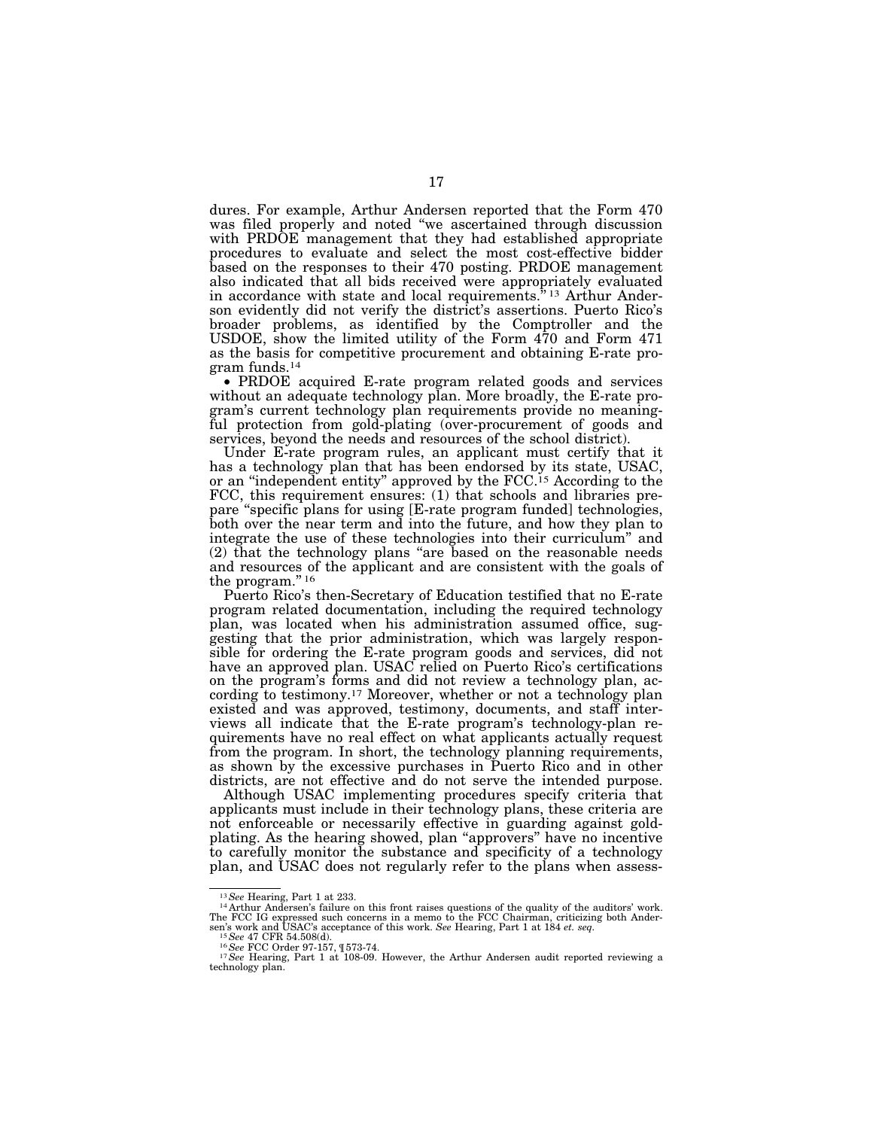dures. For example, Arthur Andersen reported that the Form 470 was filed properly and noted ''we ascertained through discussion with PRDOE management that they had established appropriate procedures to evaluate and select the most cost-effective bidder based on the responses to their 470 posting. PRDOE management also indicated that all bids received were appropriately evaluated in accordance with state and local requirements.<sup>"</sup><sup>13</sup> Arthur Anderson evidently did not verify the district's assertions. Puerto Rico's broader problems, as identified by the Comptroller and the USDOE, show the limited utility of the Form 470 and Form 471 as the basis for competitive procurement and obtaining E-rate program funds.14

17

• PRDOE acquired E-rate program related goods and services without an adequate technology plan. More broadly, the E-rate program's current technology plan requirements provide no meaningful protection from gold-plating (over-procurement of goods and services, beyond the needs and resources of the school district).

Under E-rate program rules, an applicant must certify that it has a technology plan that has been endorsed by its state, USAC, or an ''independent entity'' approved by the FCC.15 According to the FCC, this requirement ensures: (1) that schools and libraries prepare ''specific plans for using [E-rate program funded] technologies, both over the near term and into the future, and how they plan to integrate the use of these technologies into their curriculum'' and (2) that the technology plans ''are based on the reasonable needs and resources of the applicant and are consistent with the goals of the program."<sup>16</sup>

Puerto Rico's then-Secretary of Education testified that no E-rate program related documentation, including the required technology plan, was located when his administration assumed office, suggesting that the prior administration, which was largely responsible for ordering the E-rate program goods and services, did not have an approved plan. USAC relied on Puerto Rico's certifications on the program's forms and did not review a technology plan, according to testimony.17 Moreover, whether or not a technology plan existed and was approved, testimony, documents, and staff interviews all indicate that the E-rate program's technology-plan requirements have no real effect on what applicants actually request from the program. In short, the technology planning requirements, as shown by the excessive purchases in Puerto Rico and in other districts, are not effective and do not serve the intended purpose.

Although USAC implementing procedures specify criteria that applicants must include in their technology plans, these criteria are not enforceable or necessarily effective in guarding against goldplating. As the hearing showed, plan ''approvers'' have no incentive to carefully monitor the substance and specificity of a technology plan, and USAC does not regularly refer to the plans when assess-

<sup>&</sup>lt;sup>13</sup> See Hearing, Part 1 at 233.<br><sup>14</sup> Arthur Andersen's failure on this front raises questions of the quality of the auditors' work.<br>The FCC IG expressed such concerns in a memo to the FCC Chairman, criticizing both Andersen's work and USAC's acceptance of this work. See Hearing, Part 1 at 184 *et. seq.*<br><sup>15</sup> See 47 CFR 54.508(d).<br><sup>16</sup> See FCC Order 97-157, ¶573-74.<br><sup>17</sup> See Hearing, Part 1 at 108-09. However, the Arthur Andersen audit rep

technology plan.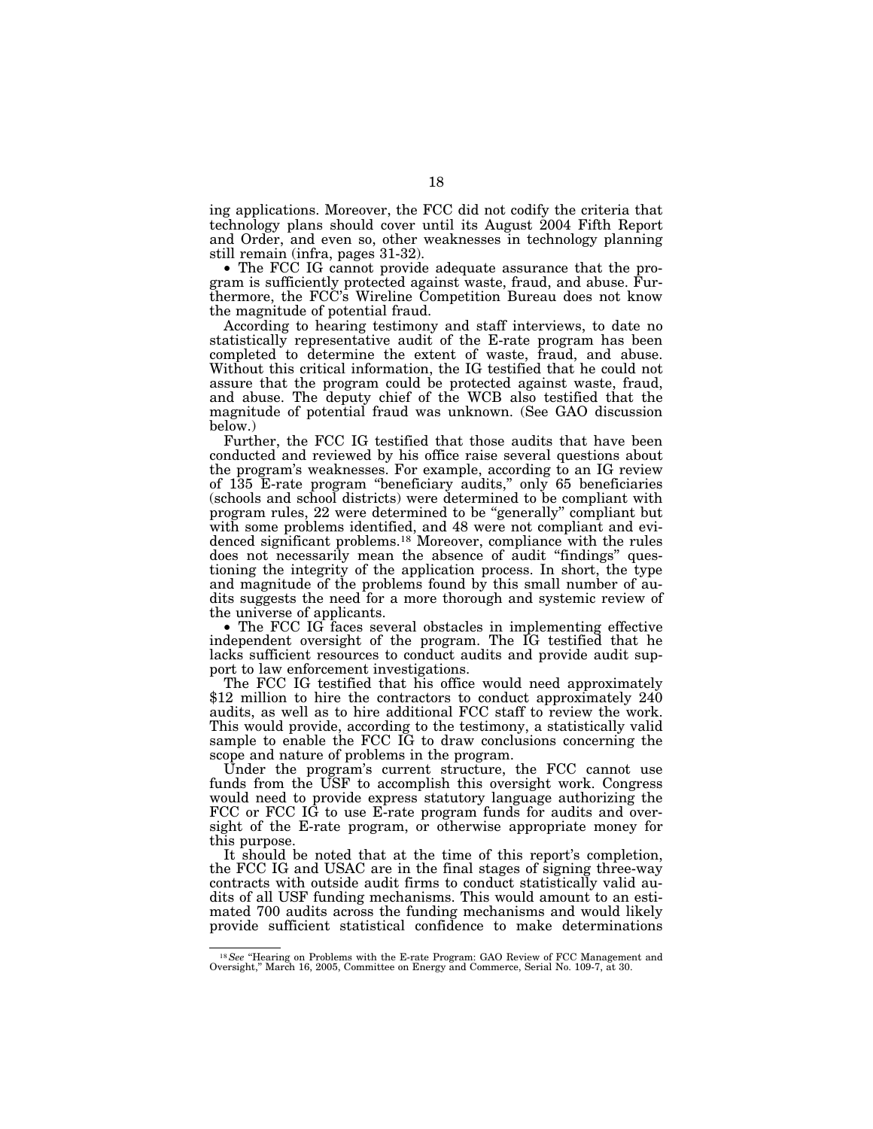ing applications. Moreover, the FCC did not codify the criteria that technology plans should cover until its August 2004 Fifth Report and Order, and even so, other weaknesses in technology planning still remain (infra, pages 31-32).

• The FCC IG cannot provide adequate assurance that the program is sufficiently protected against waste, fraud, and abuse. Furthermore, the FCC's Wireline Competition Bureau does not know the magnitude of potential fraud.

According to hearing testimony and staff interviews, to date no statistically representative audit of the E-rate program has been completed to determine the extent of waste, fraud, and abuse. Without this critical information, the IG testified that he could not assure that the program could be protected against waste, fraud, and abuse. The deputy chief of the WCB also testified that the magnitude of potential fraud was unknown. (See GAO discussion below.)

Further, the FCC IG testified that those audits that have been conducted and reviewed by his office raise several questions about the program's weaknesses. For example, according to an IG review of 135 E-rate program ''beneficiary audits,'' only 65 beneficiaries (schools and school districts) were determined to be compliant with program rules, 22 were determined to be ''generally'' compliant but with some problems identified, and 48 were not compliant and evidenced significant problems.<sup>18</sup> Moreover, compliance with the rules does not necessarily mean the absence of audit ''findings'' questioning the integrity of the application process. In short, the type and magnitude of the problems found by this small number of audits suggests the need for a more thorough and systemic review of the universe of applicants.

• The FCC IG faces several obstacles in implementing effective independent oversight of the program. The IG testified that he lacks sufficient resources to conduct audits and provide audit support to law enforcement investigations.

The FCC IG testified that his office would need approximately \$12 million to hire the contractors to conduct approximately 240 audits, as well as to hire additional FCC staff to review the work. This would provide, according to the testimony, a statistically valid sample to enable the FCC IG to draw conclusions concerning the scope and nature of problems in the program.

Under the program's current structure, the FCC cannot use funds from the USF to accomplish this oversight work. Congress would need to provide express statutory language authorizing the FCC or FCC IG to use E-rate program funds for audits and oversight of the E-rate program, or otherwise appropriate money for this purpose.

It should be noted that at the time of this report's completion, the FCC IG and USAC are in the final stages of signing three-way contracts with outside audit firms to conduct statistically valid audits of all USF funding mechanisms. This would amount to an estimated 700 audits across the funding mechanisms and would likely provide sufficient statistical confidence to make determinations

<sup>&</sup>lt;sup>18</sup> See "Hearing on Problems with the E-rate Program: GAO Review of FCC Management and Oversight," March 16, 2005, Committee on Energy and Commerce, Serial No. 109-7, at 30.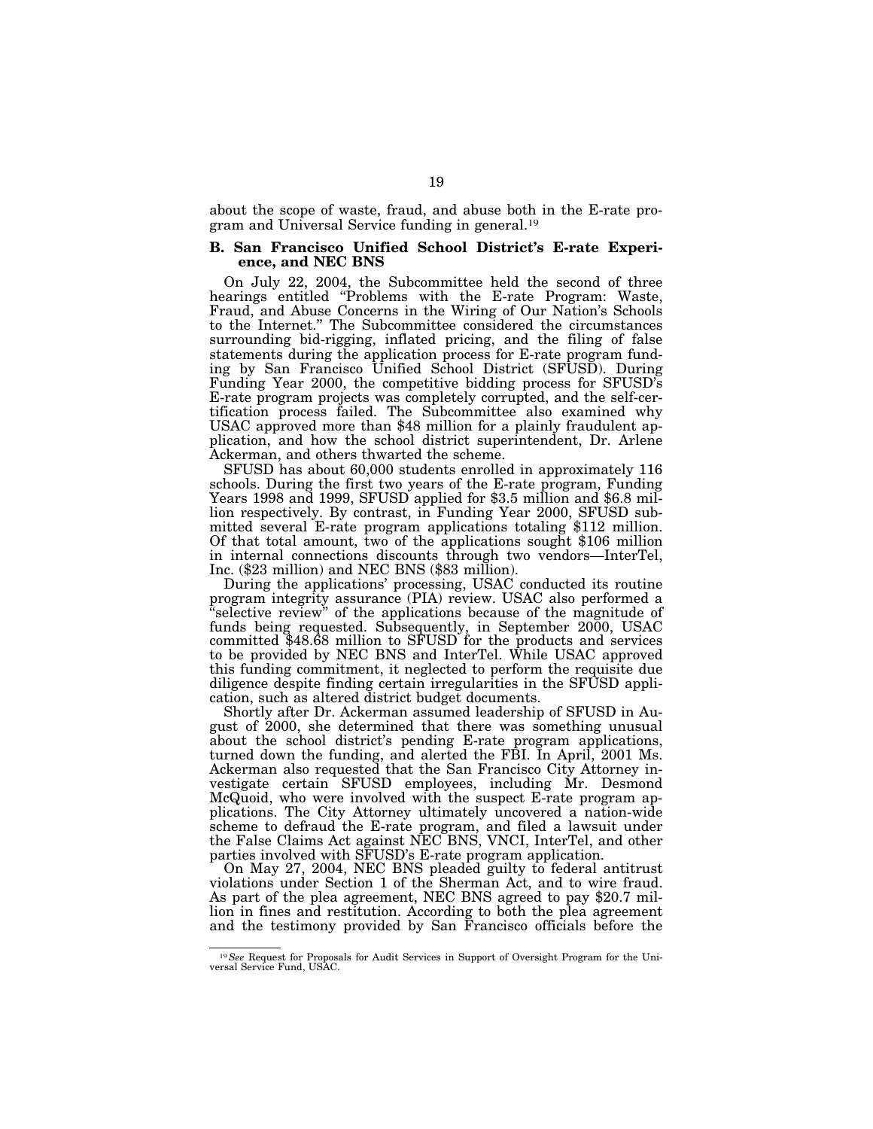about the scope of waste, fraud, and abuse both in the E-rate program and Universal Service funding in general.19

# **B. San Francisco Unified School District's E-rate Experience, and NEC BNS**

On July 22, 2004, the Subcommittee held the second of three hearings entitled "Problems with the E-rate Program: Waste, Fraud, and Abuse Concerns in the Wiring of Our Nation's Schools to the Internet.'' The Subcommittee considered the circumstances surrounding bid-rigging, inflated pricing, and the filing of false statements during the application process for E-rate program funding by San Francisco Unified School District (SFUSD). During Funding Year 2000, the competitive bidding process for SFUSD's E-rate program projects was completely corrupted, and the self-certification process failed. The Subcommittee also examined why USAC approved more than \$48 million for a plainly fraudulent application, and how the school district superintendent, Dr. Arlene Ackerman, and others thwarted the scheme.

SFUSD has about 60,000 students enrolled in approximately 116 schools. During the first two years of the E-rate program, Funding Years 1998 and 1999, SFUSD applied for \$3.5 million and \$6.8 million respectively. By contrast, in Funding Year 2000, SFUSD submitted several E-rate program applications totaling \$112 million. Of that total amount, two of the applications sought \$106 million in internal connections discounts through two vendors—InterTel, Inc. (\$23 million) and NEC BNS (\$83 million).

During the applications' processing, USAC conducted its routine program integrity assurance (PIA) review. USAC also performed a ''selective review'' of the applications because of the magnitude of funds being requested. Subsequently, in September 2000, USAC committed \$48.68 million to SFUSD for the products and services to be provided by NEC BNS and InterTel. While USAC approved this funding commitment, it neglected to perform the requisite due diligence despite finding certain irregularities in the SFUSD application, such as altered district budget documents.

Shortly after Dr. Ackerman assumed leadership of SFUSD in August of 2000, she determined that there was something unusual about the school district's pending E-rate program applications, turned down the funding, and alerted the FBI. In April, 2001 Ms. Ackerman also requested that the San Francisco City Attorney investigate certain SFUSD employees, including Mr. Desmond McQuoid, who were involved with the suspect E-rate program applications. The City Attorney ultimately uncovered a nation-wide scheme to defraud the E-rate program, and filed a lawsuit under the False Claims Act against NEC BNS, VNCI, InterTel, and other parties involved with SFUSD's E-rate program application.

On May 27, 2004, NEC BNS pleaded guilty to federal antitrust violations under Section 1 of the Sherman Act, and to wire fraud. As part of the plea agreement, NEC BNS agreed to pay \$20.7 million in fines and restitution. According to both the plea agreement and the testimony provided by San Francisco officials before the

<sup>19</sup>*See* Request for Proposals for Audit Services in Support of Oversight Program for the Uni-versal Service Fund, USAC.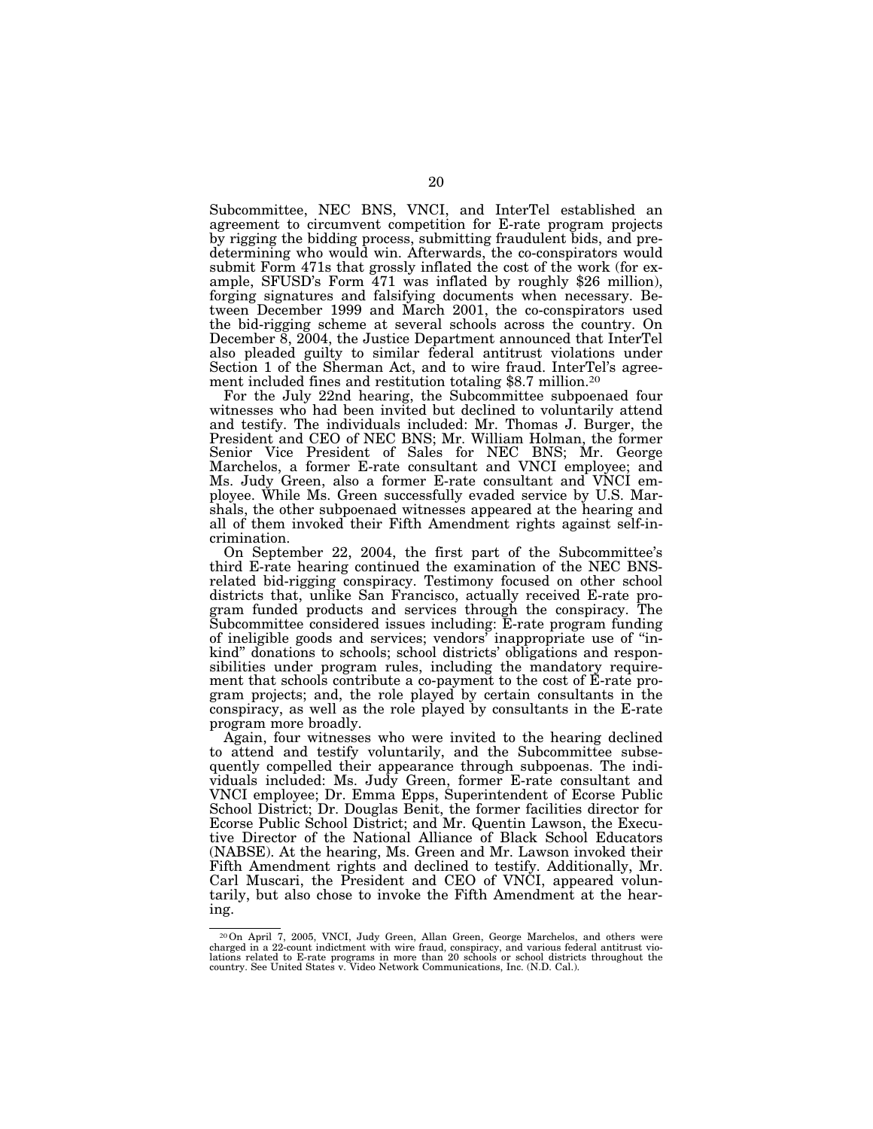Subcommittee, NEC BNS, VNCI, and InterTel established an agreement to circumvent competition for E-rate program projects by rigging the bidding process, submitting fraudulent bids, and predetermining who would win. Afterwards, the co-conspirators would submit Form 471s that grossly inflated the cost of the work (for example, SFUSD's Form 471 was inflated by roughly \$26 million), forging signatures and falsifying documents when necessary. Between December 1999 and March 2001, the co-conspirators used the bid-rigging scheme at several schools across the country. On December 8, 2004, the Justice Department announced that InterTel also pleaded guilty to similar federal antitrust violations under Section 1 of the Sherman Act, and to wire fraud. InterTel's agreement included fines and restitution totaling \$8.7 million.20

For the July 22nd hearing, the Subcommittee subpoenaed four witnesses who had been invited but declined to voluntarily attend and testify. The individuals included: Mr. Thomas J. Burger, the President and CEO of NEC BNS; Mr. William Holman, the former Senior Vice President of Sales for NEC BNS; Mr. George Marchelos, a former E-rate consultant and VNCI employee; and Ms. Judy Green, also a former E-rate consultant and VNCI employee. While Ms. Green successfully evaded service by U.S. Marshals, the other subpoenaed witnesses appeared at the hearing and all of them invoked their Fifth Amendment rights against self-incrimination.

On September 22, 2004, the first part of the Subcommittee's third E-rate hearing continued the examination of the NEC BNSrelated bid-rigging conspiracy. Testimony focused on other school districts that, unlike San Francisco, actually received E-rate program funded products and services through the conspiracy. The Subcommittee considered issues including: E-rate program funding of ineligible goods and services; vendors' inappropriate use of ''inkind'' donations to schools; school districts' obligations and responsibilities under program rules, including the mandatory requirement that schools contribute a co-payment to the cost of E-rate program projects; and, the role played by certain consultants in the conspiracy, as well as the role played by consultants in the E-rate program more broadly.

Again, four witnesses who were invited to the hearing declined to attend and testify voluntarily, and the Subcommittee subsequently compelled their appearance through subpoenas. The individuals included: Ms. Judy Green, former E-rate consultant and VNCI employee; Dr. Emma Epps, Superintendent of Ecorse Public School District; Dr. Douglas Benit, the former facilities director for Ecorse Public School District; and Mr. Quentin Lawson, the Executive Director of the National Alliance of Black School Educators (NABSE). At the hearing, Ms. Green and Mr. Lawson invoked their Fifth Amendment rights and declined to testify. Additionally, Mr. Carl Muscari, the President and CEO of VNCI, appeared voluntarily, but also chose to invoke the Fifth Amendment at the hearing.

<sup>20</sup>On April 7, 2005, VNCI, Judy Green, Allan Green, George Marchelos, and others were charged in a 22-count indictment with wire fraud, conspiracy, and various federal antitrust violations related to E-rate programs in more than 20 schools or school districts throughout the country. See United States v. Video Network Communications, Inc. (N.D. Cal.).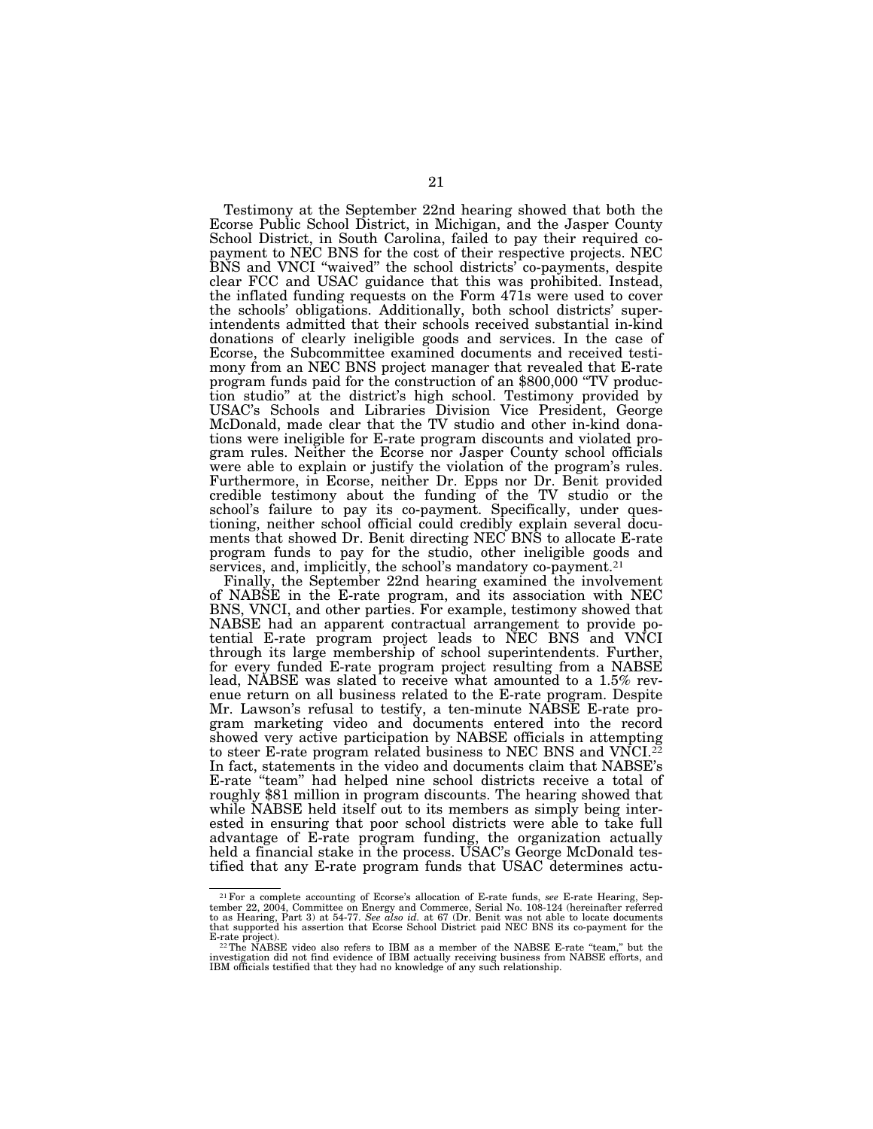Testimony at the September 22nd hearing showed that both the Ecorse Public School District, in Michigan, and the Jasper County School District, in South Carolina, failed to pay their required copayment to NEC BNS for the cost of their respective projects. NEC BNS and VNCI ''waived'' the school districts' co-payments, despite clear FCC and USAC guidance that this was prohibited. Instead, the inflated funding requests on the Form 471s were used to cover the schools' obligations. Additionally, both school districts' superintendents admitted that their schools received substantial in-kind donations of clearly ineligible goods and services. In the case of Ecorse, the Subcommittee examined documents and received testimony from an NEC BNS project manager that revealed that E-rate program funds paid for the construction of an \$800,000 ''TV production studio'' at the district's high school. Testimony provided by USAC's Schools and Libraries Division Vice President, George McDonald, made clear that the TV studio and other in-kind donations were ineligible for E-rate program discounts and violated program rules. Neither the Ecorse nor Jasper County school officials were able to explain or justify the violation of the program's rules. Furthermore, in Ecorse, neither Dr. Epps nor Dr. Benit provided credible testimony about the funding of the TV studio or the school's failure to pay its co-payment. Specifically, under questioning, neither school official could credibly explain several documents that showed Dr. Benit directing NEC BNS to allocate E-rate program funds to pay for the studio, other ineligible goods and services, and, implicitly, the school's mandatory co-payment.<sup>21</sup>

Finally, the September 22nd hearing examined the involvement of NABSE in the E-rate program, and its association with NEC BNS, VNCI, and other parties. For example, testimony showed that NABSE had an apparent contractual arrangement to provide potential E-rate program project leads to NEC BNS and VNCI through its large membership of school superintendents. Further, for every funded E-rate program project resulting from a NABSE lead, NABSE was slated to receive what amounted to a 1.5% revenue return on all business related to the E-rate program. Despite Mr. Lawson's refusal to testify, a ten-minute NABSE E-rate program marketing video and documents entered into the record showed very active participation by NABSE officials in attempting to steer E-rate program related business to NEC BNS and VNCI. $^{22}$ In fact, statements in the video and documents claim that NABSE's E-rate ''team'' had helped nine school districts receive a total of roughly \$81 million in program discounts. The hearing showed that while NABSE held itself out to its members as simply being interested in ensuring that poor school districts were able to take full advantage of E-rate program funding, the organization actually held a financial stake in the process. USAC's George McDonald testified that any E-rate program funds that USAC determines actu-

<sup>&</sup>lt;sup>21</sup> For a complete accounting of Ecorse's allocation of E-rate funds, see E-rate Hearing, September 22, 2004, Committee on Energy and Commerce, Serial No. 108-124 (hereinafter referred to as Hearing, Part 3) at 54-77. Se that supported his assertion that Ecorse School District paid NEC BNS its co-payment for the

<sup>&</sup>lt;sup>22</sup>The NABSE video also refers to IBM as a member of the NABSE E-rate "team," but the investigation did not find evidence of IBM actually receiving business from NABSE efforts, and IBM officials testified that they had no knowledge of any such relationship.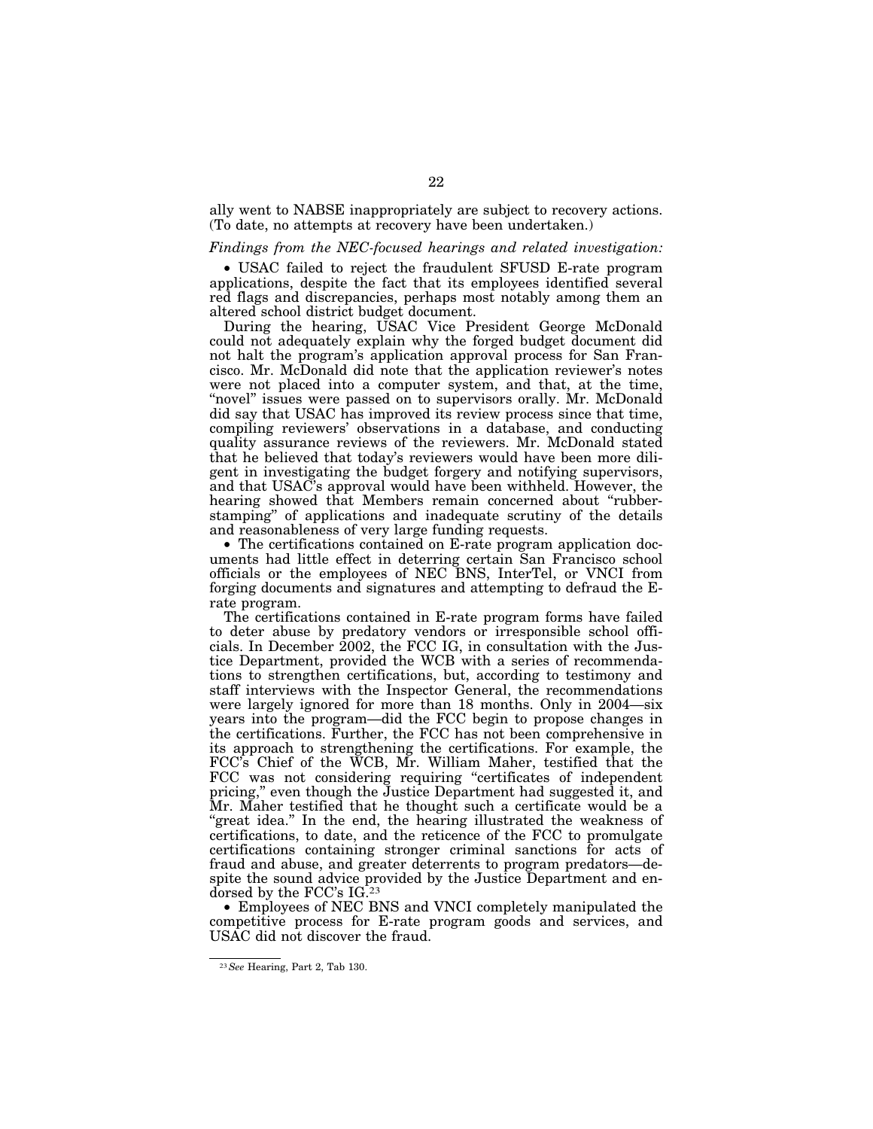ally went to NABSE inappropriately are subject to recovery actions. (To date, no attempts at recovery have been undertaken.)

# *Findings from the NEC-focused hearings and related investigation:*

• USAC failed to reject the fraudulent SFUSD E-rate program applications, despite the fact that its employees identified several red flags and discrepancies, perhaps most notably among them an altered school district budget document.

During the hearing, USAC Vice President George McDonald could not adequately explain why the forged budget document did not halt the program's application approval process for San Francisco. Mr. McDonald did note that the application reviewer's notes were not placed into a computer system, and that, at the time, "novel" issues were passed on to supervisors orally. Mr. McDonald did say that USAC has improved its review process since that time, compiling reviewers' observations in a database, and conducting quality assurance reviews of the reviewers. Mr. McDonald stated that he believed that today's reviewers would have been more diligent in investigating the budget forgery and notifying supervisors, and that USAC's approval would have been withheld. However, the hearing showed that Members remain concerned about "rubberstamping'' of applications and inadequate scrutiny of the details and reasonableness of very large funding requests.

• The certifications contained on E-rate program application documents had little effect in deterring certain San Francisco school officials or the employees of NEC BNS, InterTel, or VNCI from forging documents and signatures and attempting to defraud the Erate program.

The certifications contained in E-rate program forms have failed to deter abuse by predatory vendors or irresponsible school officials. In December 2002, the FCC IG, in consultation with the Justice Department, provided the WCB with a series of recommendations to strengthen certifications, but, according to testimony and staff interviews with the Inspector General, the recommendations were largely ignored for more than 18 months. Only in 2004—six years into the program—did the FCC begin to propose changes in the certifications. Further, the FCC has not been comprehensive in its approach to strengthening the certifications. For example, the FCC's Chief of the WCB, Mr. William Maher, testified that the FCC was not considering requiring "certificates of independent pricing,'' even though the Justice Department had suggested it, and Mr. Maher testified that he thought such a certificate would be a "great idea." In the end, the hearing illustrated the weakness of certifications, to date, and the reticence of the FCC to promulgate certifications containing stronger criminal sanctions for acts of fraud and abuse, and greater deterrents to program predators—despite the sound advice provided by the Justice Department and endorsed by the FCC's IG.23

• Employees of NEC BNS and VNCI completely manipulated the competitive process for E-rate program goods and services, and USAC did not discover the fraud.

<sup>23</sup>*See* Hearing, Part 2, Tab 130.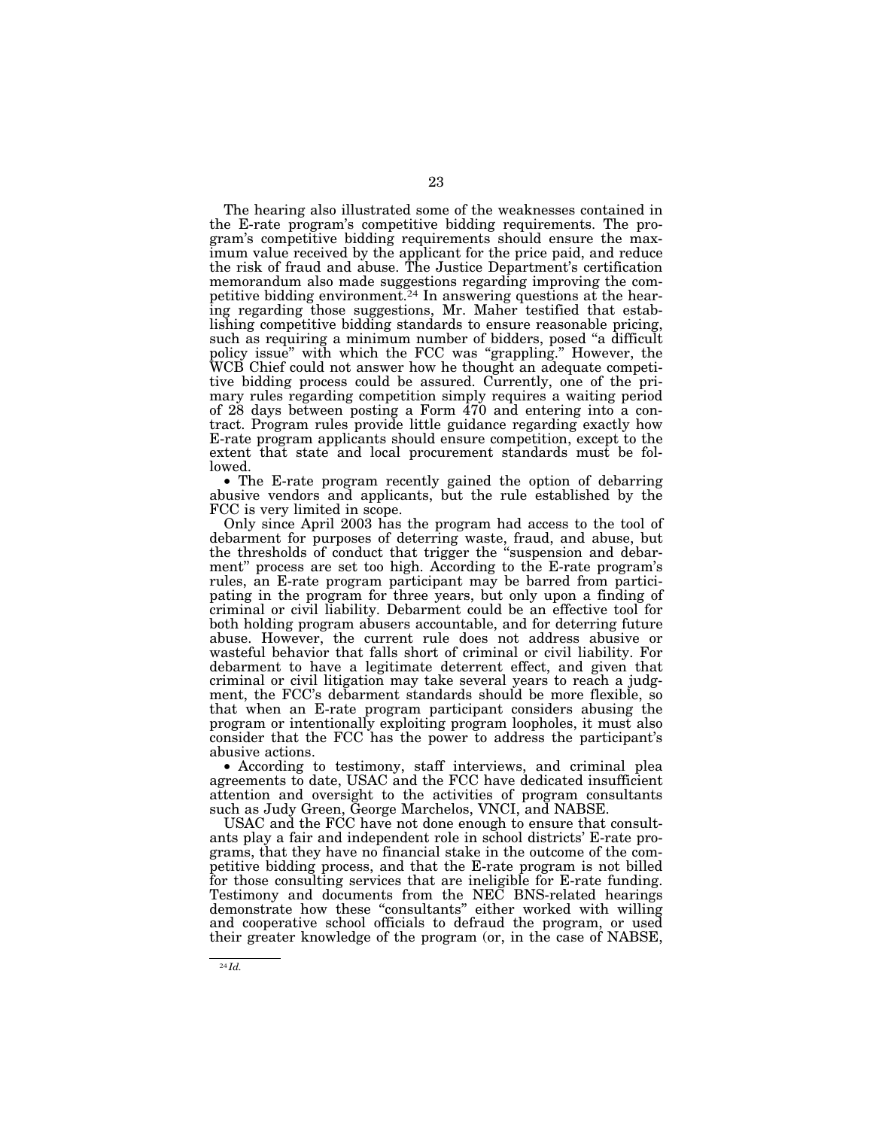The hearing also illustrated some of the weaknesses contained in the E-rate program's competitive bidding requirements. The program's competitive bidding requirements should ensure the maximum value received by the applicant for the price paid, and reduce the risk of fraud and abuse. The Justice Department's certification memorandum also made suggestions regarding improving the competitive bidding environment.24 In answering questions at the hearing regarding those suggestions, Mr. Maher testified that establishing competitive bidding standards to ensure reasonable pricing, such as requiring a minimum number of bidders, posed "a difficult policy issue'' with which the FCC was ''grappling.'' However, the WCB Chief could not answer how he thought an adequate competitive bidding process could be assured. Currently, one of the primary rules regarding competition simply requires a waiting period of 28 days between posting a Form 470 and entering into a contract. Program rules provide little guidance regarding exactly how E-rate program applicants should ensure competition, except to the extent that state and local procurement standards must be followed.

• The E-rate program recently gained the option of debarring abusive vendors and applicants, but the rule established by the FCC is very limited in scope.

Only since April 2003 has the program had access to the tool of debarment for purposes of deterring waste, fraud, and abuse, but the thresholds of conduct that trigger the ''suspension and debarment'' process are set too high. According to the E-rate program's rules, an E-rate program participant may be barred from participating in the program for three years, but only upon a finding of criminal or civil liability. Debarment could be an effective tool for both holding program abusers accountable, and for deterring future abuse. However, the current rule does not address abusive or wasteful behavior that falls short of criminal or civil liability. For debarment to have a legitimate deterrent effect, and given that criminal or civil litigation may take several years to reach a judgment, the FCC's debarment standards should be more flexible, so that when an E-rate program participant considers abusing the program or intentionally exploiting program loopholes, it must also consider that the FCC has the power to address the participant's abusive actions.

• According to testimony, staff interviews, and criminal plea agreements to date, USAC and the FCC have dedicated insufficient attention and oversight to the activities of program consultants such as Judy Green, George Marchelos, VNCI, and NABSE.

USAC and the FCC have not done enough to ensure that consultants play a fair and independent role in school districts' E-rate programs, that they have no financial stake in the outcome of the competitive bidding process, and that the E-rate program is not billed for those consulting services that are ineligible for E-rate funding. Testimony and documents from the NEC BNS-related hearings demonstrate how these ''consultants'' either worked with willing and cooperative school officials to defraud the program, or used their greater knowledge of the program (or, in the case of NABSE,

<sup>24</sup> *Id.*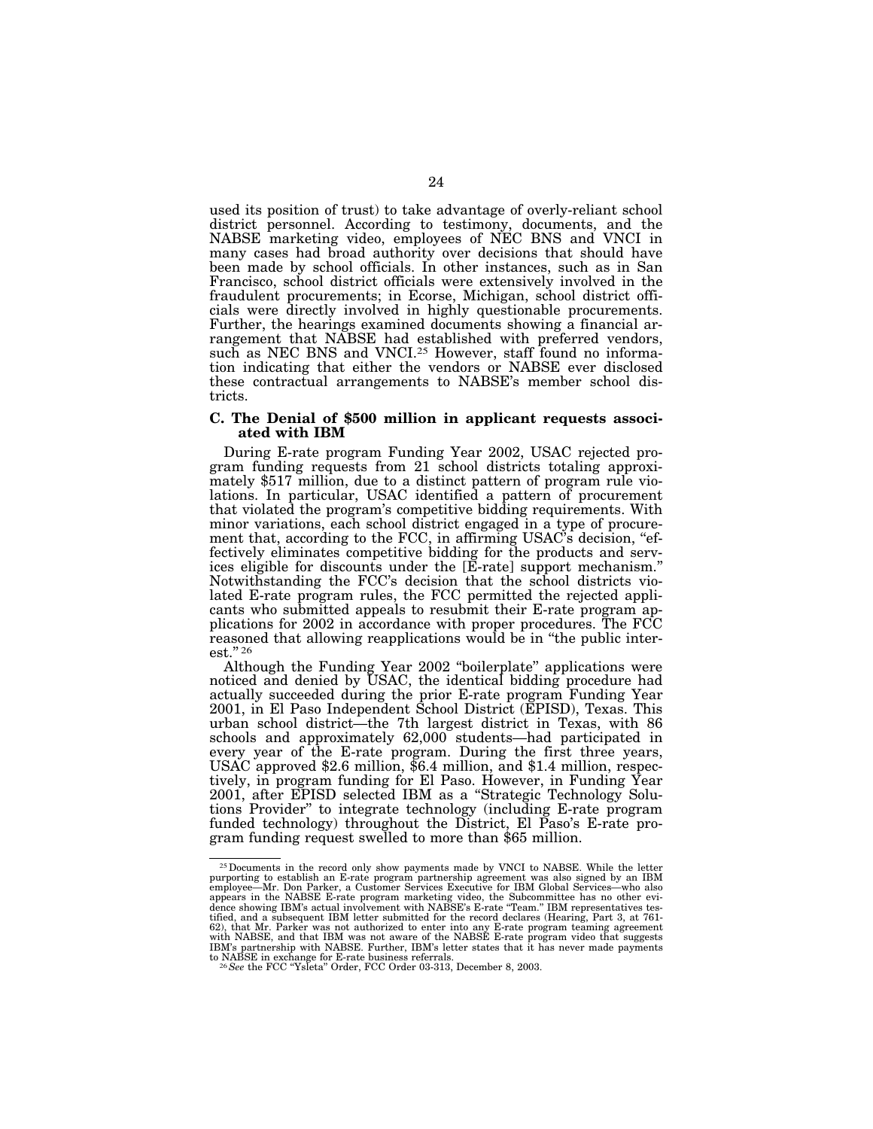used its position of trust) to take advantage of overly-reliant school district personnel. According to testimony, documents, and the NABSE marketing video, employees of NEC BNS and VNCI in many cases had broad authority over decisions that should have been made by school officials. In other instances, such as in San Francisco, school district officials were extensively involved in the fraudulent procurements; in Ecorse, Michigan, school district officials were directly involved in highly questionable procurements. Further, the hearings examined documents showing a financial arrangement that NABSE had established with preferred vendors, such as NEC BNS and VNCI.25 However, staff found no information indicating that either the vendors or NABSE ever disclosed these contractual arrangements to NABSE's member school districts.

# **C. The Denial of \$500 million in applicant requests associated with IBM**

During E-rate program Funding Year 2002, USAC rejected program funding requests from 21 school districts totaling approximately \$517 million, due to a distinct pattern of program rule violations. In particular, USAC identified a pattern of procurement that violated the program's competitive bidding requirements. With minor variations, each school district engaged in a type of procurement that, according to the FCC, in affirming USAC's decision, "effectively eliminates competitive bidding for the products and services eligible for discounts under the [E-rate] support mechanism.'' Notwithstanding the FCC's decision that the school districts violated E-rate program rules, the FCC permitted the rejected applicants who submitted appeals to resubmit their E-rate program applications for 2002 in accordance with proper procedures. The FCC reasoned that allowing reapplications would be in ''the public interest."<sup>26</sup>

Although the Funding Year 2002 ''boilerplate'' applications were noticed and denied by USAC, the identical bidding procedure had actually succeeded during the prior E-rate program Funding Year 2001, in El Paso Independent School District (EPISD), Texas. This urban school district—the 7th largest district in Texas, with 86 schools and approximately 62,000 students—had participated in every year of the E-rate program. During the first three years, USAC approved \$2.6 million, \$6.4 million, and \$1.4 million, respectively, in program funding for El Paso. However, in Funding Year 2001, after EPISD selected IBM as a ''Strategic Technology Solutions Provider'' to integrate technology (including E-rate program funded technology) throughout the District, El Paso's E-rate program funding request swelled to more than \$65 million.

<sup>&</sup>lt;sup>25</sup> Documents in the record only show payments made by VNCI to NABSE. While the letter purporting to establish an E-rate program partnership agreement was also signed by an IBM employee—Mr. Don Parker, a Customer Service appears in the NABSE E-rate program marketing video, the Subcommittee has no other evi-dence showing IBM's actual involvement with NABSE's E-rate ''Team.'' IBM representatives testified, and a subsequent IBM letter submitted for the record declares (Hearing, Part 3, at 761- 62), that Mr. Parker was not authorized to enter into any E-rate program teaming agreement<br>with NABSE, and that IBM was not aware of the NABSE E-rate program video that suggests<br>IBM's partnership with NABSE. Further, IBM's to NABSE in exchange for E-rate business referrals.<br><sup>26</sup>*See* the FCC "Ysleta" Order, FCC Order 03-313, December 8, 2003.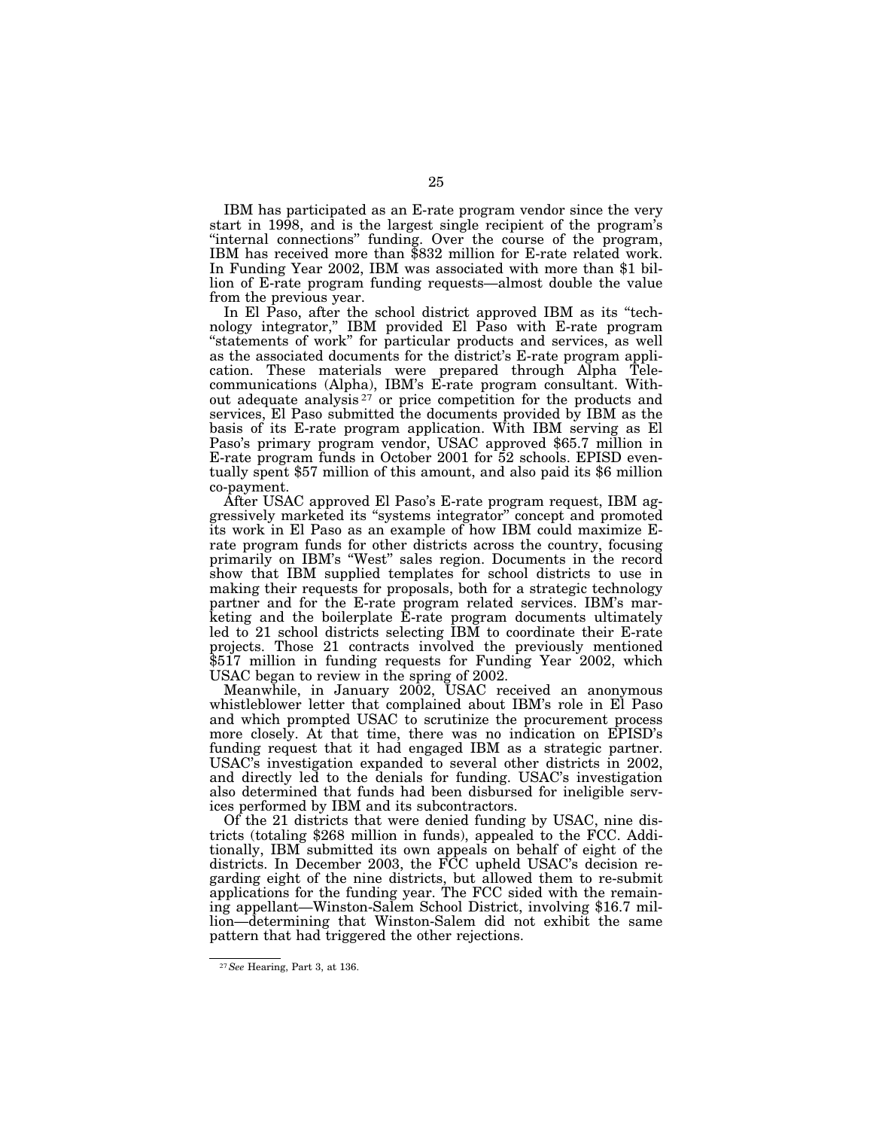IBM has participated as an E-rate program vendor since the very start in 1998, and is the largest single recipient of the program's ''internal connections'' funding. Over the course of the program, IBM has received more than \$832 million for E-rate related work. In Funding Year 2002, IBM was associated with more than \$1 billion of E-rate program funding requests—almost double the value from the previous year.

In El Paso, after the school district approved IBM as its ''technology integrator,'' IBM provided El Paso with E-rate program ''statements of work'' for particular products and services, as well as the associated documents for the district's E-rate program application. These materials were prepared through Alpha Telecommunications (Alpha), IBM's E-rate program consultant. Without adequate analysis 27 or price competition for the products and services, El Paso submitted the documents provided by IBM as the basis of its E-rate program application. With IBM serving as El Paso's primary program vendor, USAC approved \$65.7 million in E-rate program funds in October 2001 for 52 schools. EPISD eventually spent \$57 million of this amount, and also paid its \$6 million co-payment.

After USAC approved El Paso's E-rate program request, IBM aggressively marketed its ''systems integrator'' concept and promoted its work in El Paso as an example of how IBM could maximize Erate program funds for other districts across the country, focusing primarily on IBM's ''West'' sales region. Documents in the record show that IBM supplied templates for school districts to use in making their requests for proposals, both for a strategic technology partner and for the E-rate program related services. IBM's marketing and the boilerplate E-rate program documents ultimately led to 21 school districts selecting IBM to coordinate their E-rate projects. Those 21 contracts involved the previously mentioned \$517 million in funding requests for Funding Year 2002, which USAC began to review in the spring of 2002.

Meanwhile, in January 2002, USAC received an anonymous whistleblower letter that complained about IBM's role in El Paso and which prompted USAC to scrutinize the procurement process more closely. At that time, there was no indication on EPISD's funding request that it had engaged IBM as a strategic partner. USAC's investigation expanded to several other districts in 2002, and directly led to the denials for funding. USAC's investigation also determined that funds had been disbursed for ineligible services performed by IBM and its subcontractors.

Of the 21 districts that were denied funding by USAC, nine districts (totaling \$268 million in funds), appealed to the FCC. Additionally, IBM submitted its own appeals on behalf of eight of the districts. In December 2003, the FCC upheld USAC's decision regarding eight of the nine districts, but allowed them to re-submit applications for the funding year. The FCC sided with the remaining appellant—Winston-Salem School District, involving \$16.7 million—determining that Winston-Salem did not exhibit the same pattern that had triggered the other rejections.

<sup>27</sup>*See* Hearing, Part 3, at 136.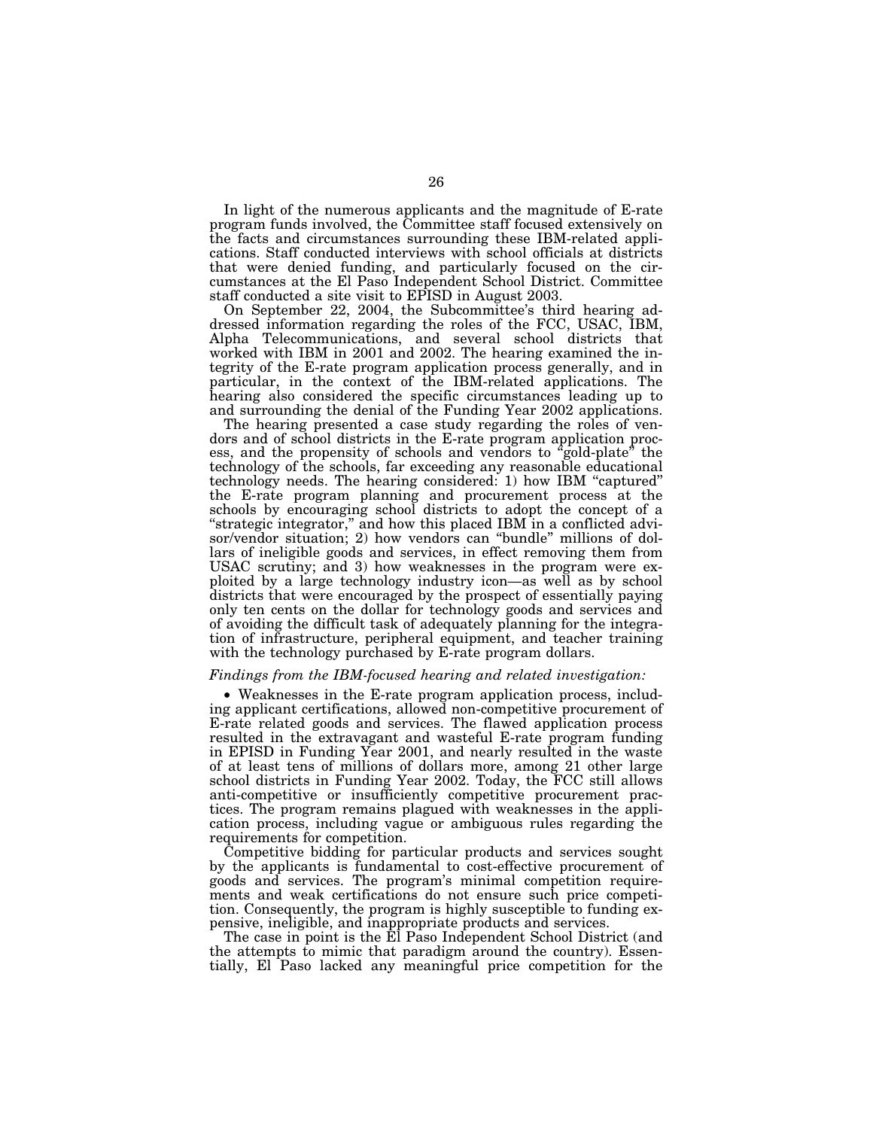In light of the numerous applicants and the magnitude of E-rate program funds involved, the Committee staff focused extensively on the facts and circumstances surrounding these IBM-related applications. Staff conducted interviews with school officials at districts that were denied funding, and particularly focused on the circumstances at the El Paso Independent School District. Committee staff conducted a site visit to EPISD in August 2003.

On September 22, 2004, the Subcommittee's third hearing addressed information regarding the roles of the FCC, USAC, IBM, Alpha Telecommunications, and several school districts that worked with IBM in 2001 and 2002. The hearing examined the integrity of the E-rate program application process generally, and in particular, in the context of the IBM-related applications. The hearing also considered the specific circumstances leading up to and surrounding the denial of the Funding Year 2002 applications.

The hearing presented a case study regarding the roles of vendors and of school districts in the E-rate program application process, and the propensity of schools and vendors to "gold-plate" the technology of the schools, far exceeding any reasonable educational technology needs. The hearing considered: 1) how IBM ''captured'' the E-rate program planning and procurement process at the schools by encouraging school districts to adopt the concept of a ''strategic integrator,'' and how this placed IBM in a conflicted advisor/vendor situation; 2) how vendors can ''bundle'' millions of dollars of ineligible goods and services, in effect removing them from USAC scrutiny; and 3) how weaknesses in the program were exploited by a large technology industry icon—as well as by school districts that were encouraged by the prospect of essentially paying only ten cents on the dollar for technology goods and services and of avoiding the difficult task of adequately planning for the integration of infrastructure, peripheral equipment, and teacher training with the technology purchased by E-rate program dollars.

# *Findings from the IBM-focused hearing and related investigation:*

• Weaknesses in the E-rate program application process, including applicant certifications, allowed non-competitive procurement of E-rate related goods and services. The flawed application process resulted in the extravagant and wasteful E-rate program funding in EPISD in Funding Year 2001, and nearly resulted in the waste of at least tens of millions of dollars more, among 21 other large school districts in Funding Year 2002. Today, the FCC still allows anti-competitive or insufficiently competitive procurement practices. The program remains plagued with weaknesses in the application process, including vague or ambiguous rules regarding the requirements for competition.

Competitive bidding for particular products and services sought by the applicants is fundamental to cost-effective procurement of goods and services. The program's minimal competition requirements and weak certifications do not ensure such price competition. Consequently, the program is highly susceptible to funding expensive, ineligible, and inappropriate products and services.

The case in point is the El Paso Independent School District (and the attempts to mimic that paradigm around the country). Essentially, El Paso lacked any meaningful price competition for the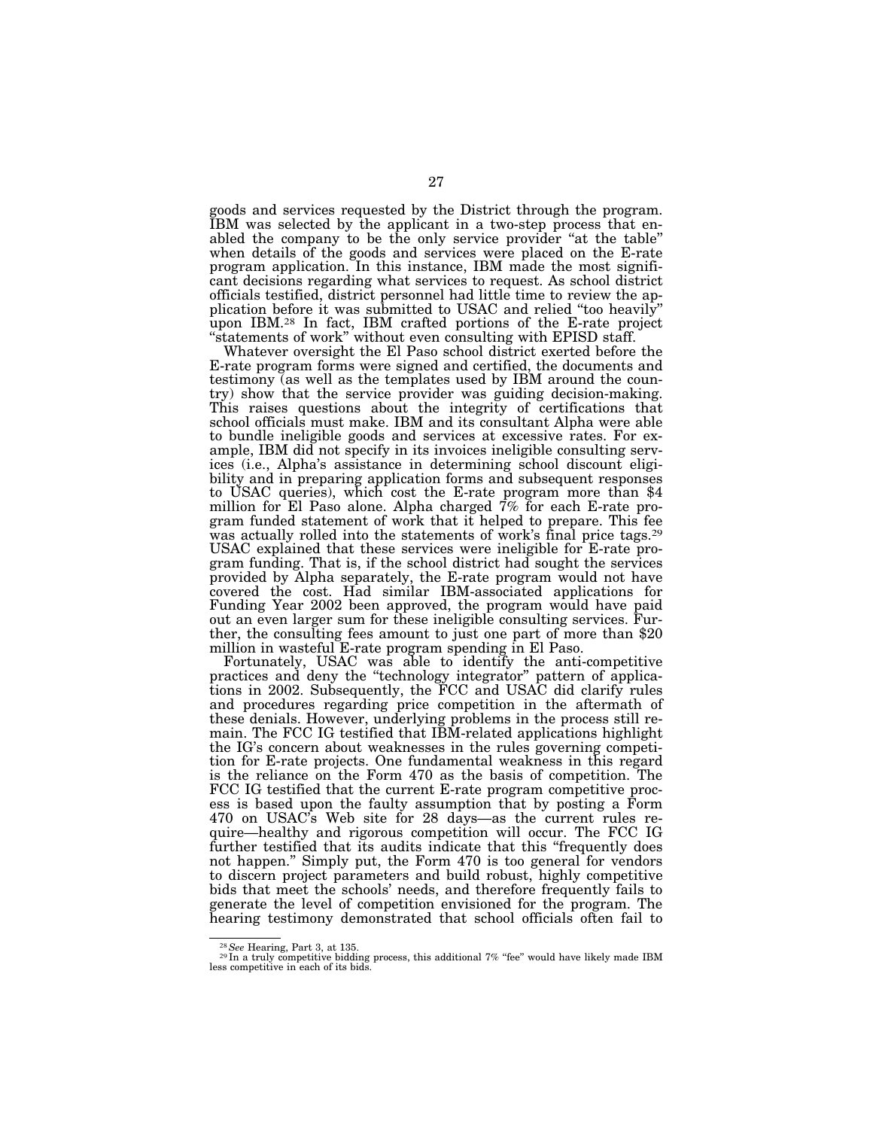goods and services requested by the District through the program. IBM was selected by the applicant in a two-step process that enabled the company to be the only service provider ''at the table'' when details of the goods and services were placed on the E-rate program application. In this instance, IBM made the most significant decisions regarding what services to request. As school district officials testified, district personnel had little time to review the application before it was submitted to USAC and relied ''too heavily'' upon IBM.28 In fact, IBM crafted portions of the E-rate project "statements of work" without even consulting with EPISD staff.

Whatever oversight the El Paso school district exerted before the E-rate program forms were signed and certified, the documents and testimony (as well as the templates used by IBM around the country) show that the service provider was guiding decision-making. This raises questions about the integrity of certifications that school officials must make. IBM and its consultant Alpha were able to bundle ineligible goods and services at excessive rates. For example, IBM did not specify in its invoices ineligible consulting services (i.e., Alpha's assistance in determining school discount eligibility and in preparing application forms and subsequent responses to USAC queries), which cost the E-rate program more than \$4 million for El Paso alone. Alpha charged 7% for each E-rate program funded statement of work that it helped to prepare. This fee was actually rolled into the statements of work's final price tags.<sup>29</sup> USAC explained that these services were ineligible for E-rate program funding. That is, if the school district had sought the services provided by Alpha separately, the E-rate program would not have covered the cost. Had similar IBM-associated applications for Funding Year 2002 been approved, the program would have paid out an even larger sum for these ineligible consulting services. Further, the consulting fees amount to just one part of more than \$20 million in wasteful E-rate program spending in El Paso.

Fortunately, USAC was able to identify the anti-competitive practices and deny the ''technology integrator'' pattern of applications in 2002. Subsequently, the FCC and USAC did clarify rules and procedures regarding price competition in the aftermath of these denials. However, underlying problems in the process still remain. The FCC IG testified that IBM-related applications highlight the IG's concern about weaknesses in the rules governing competition for E-rate projects. One fundamental weakness in this regard is the reliance on the Form 470 as the basis of competition. The FCC IG testified that the current E-rate program competitive process is based upon the faulty assumption that by posting a Form 470 on USAC's Web site for 28 days—as the current rules require—healthy and rigorous competition will occur. The FCC IG further testified that its audits indicate that this ''frequently does not happen.'' Simply put, the Form 470 is too general for vendors to discern project parameters and build robust, highly competitive bids that meet the schools' needs, and therefore frequently fails to generate the level of competition envisioned for the program. The hearing testimony demonstrated that school officials often fail to

<sup>28</sup>*See* Hearing, Part 3, at 135. <sup>29</sup> In a truly competitive bidding process, this additional 7% ''fee'' would have likely made IBM less competitive in each of its bids.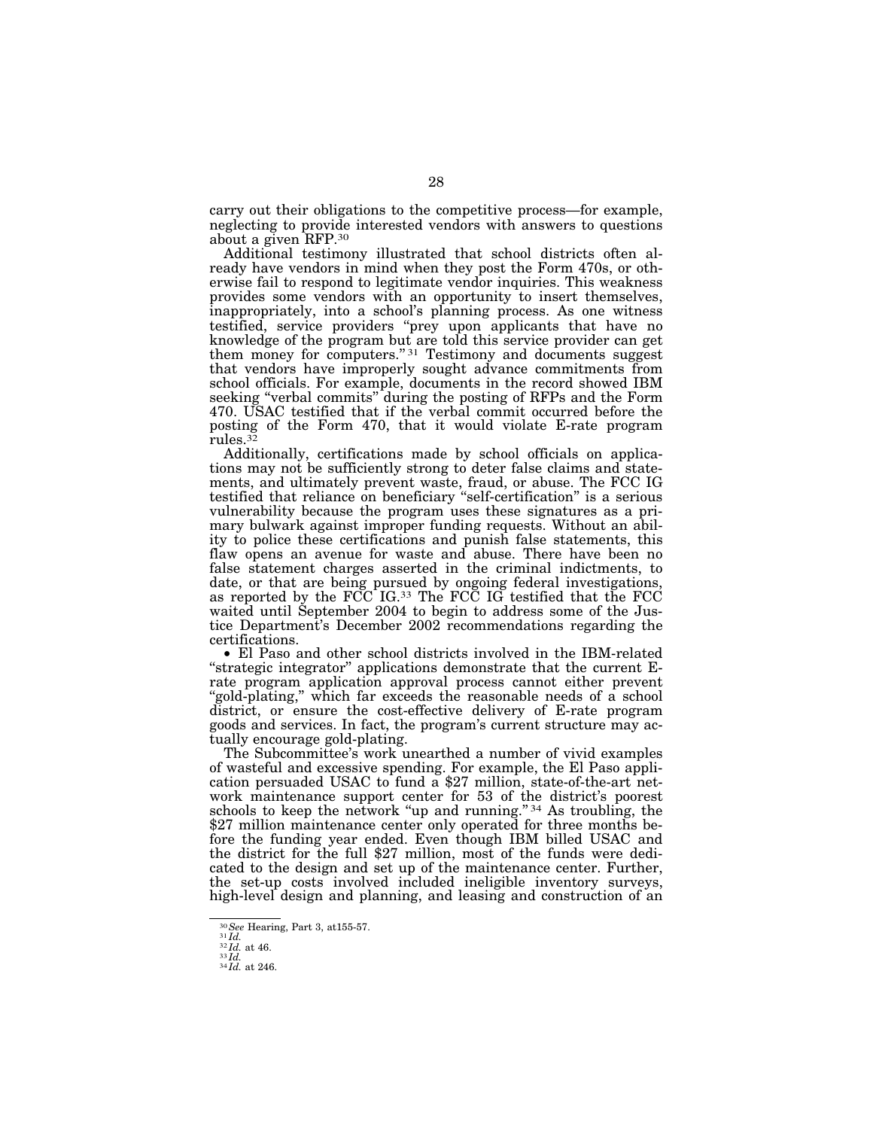carry out their obligations to the competitive process—for example, neglecting to provide interested vendors with answers to questions about a given RFP.30

Additional testimony illustrated that school districts often already have vendors in mind when they post the Form 470s, or otherwise fail to respond to legitimate vendor inquiries. This weakness provides some vendors with an opportunity to insert themselves, inappropriately, into a school's planning process. As one witness testified, service providers ''prey upon applicants that have no knowledge of the program but are told this service provider can get them money for computers."<sup>31</sup> Testimony and documents suggest that vendors have improperly sought advance commitments from school officials. For example, documents in the record showed IBM seeking ''verbal commits'' during the posting of RFPs and the Form 470. USAC testified that if the verbal commit occurred before the posting of the Form 470, that it would violate E-rate program rules.32

Additionally, certifications made by school officials on applications may not be sufficiently strong to deter false claims and statements, and ultimately prevent waste, fraud, or abuse. The FCC IG testified that reliance on beneficiary ''self-certification'' is a serious vulnerability because the program uses these signatures as a primary bulwark against improper funding requests. Without an ability to police these certifications and punish false statements, this flaw opens an avenue for waste and abuse. There have been no false statement charges asserted in the criminal indictments, to date, or that are being pursued by ongoing federal investigations, as reported by the  $\overline{FCC}$  IG.<sup>33</sup> The  $\overline{FCC}$  IG testified that the  $\overline{FCC}$ waited until September 2004 to begin to address some of the Justice Department's December 2002 recommendations regarding the certifications.

• El Paso and other school districts involved in the IBM-related "strategic integrator" applications demonstrate that the current Erate program application approval process cannot either prevent 'gold-plating," which far exceeds the reasonable needs of a school district, or ensure the cost-effective delivery of E-rate program goods and services. In fact, the program's current structure may actually encourage gold-plating.

The Subcommittee's work unearthed a number of vivid examples of wasteful and excessive spending. For example, the El Paso application persuaded USAC to fund a \$27 million, state-of-the-art network maintenance support center for 53 of the district's poorest schools to keep the network "up and running."<sup>34</sup> As troubling, the \$27 million maintenance center only operated for three months before the funding year ended. Even though IBM billed USAC and the district for the full \$27 million, most of the funds were dedicated to the design and set up of the maintenance center. Further, the set-up costs involved included ineligible inventory surveys, high-level design and planning, and leasing and construction of an

<sup>30</sup>*See* Hearing, Part 3, at155-57. <sup>31</sup> *Id.* <sup>32</sup> *Id.* at 46. <sup>33</sup> *Id.* <sup>34</sup> *Id.* at 246.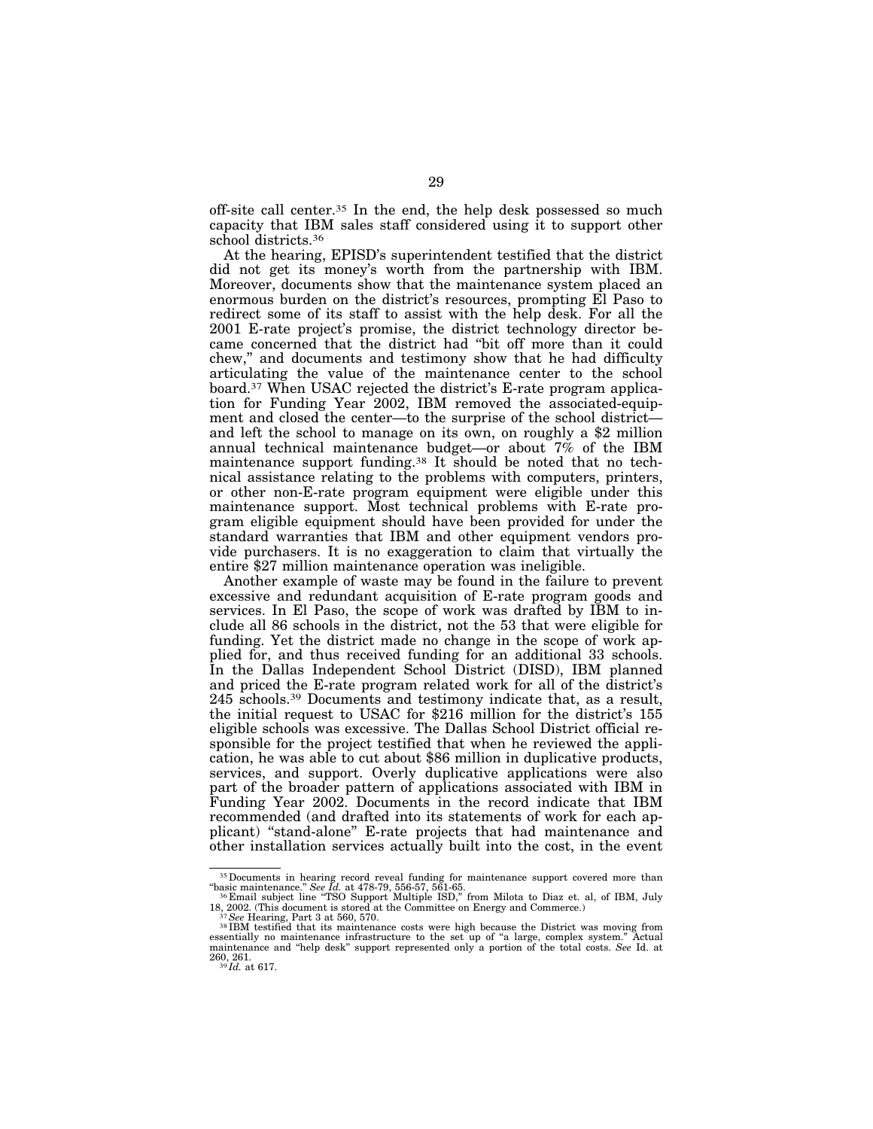off-site call center.35 In the end, the help desk possessed so much capacity that IBM sales staff considered using it to support other school districts.36

At the hearing, EPISD's superintendent testified that the district did not get its money's worth from the partnership with IBM. Moreover, documents show that the maintenance system placed an enormous burden on the district's resources, prompting El Paso to redirect some of its staff to assist with the help desk. For all the 2001 E-rate project's promise, the district technology director became concerned that the district had ''bit off more than it could chew,'' and documents and testimony show that he had difficulty articulating the value of the maintenance center to the school board.37 When USAC rejected the district's E-rate program application for Funding Year 2002, IBM removed the associated-equipment and closed the center—to the surprise of the school district and left the school to manage on its own, on roughly a \$2 million annual technical maintenance budget—or about 7% of the IBM maintenance support funding.38 It should be noted that no technical assistance relating to the problems with computers, printers, or other non-E-rate program equipment were eligible under this maintenance support. Most technical problems with E-rate program eligible equipment should have been provided for under the standard warranties that IBM and other equipment vendors provide purchasers. It is no exaggeration to claim that virtually the entire \$27 million maintenance operation was ineligible.

Another example of waste may be found in the failure to prevent excessive and redundant acquisition of E-rate program goods and services. In El Paso, the scope of work was drafted by IBM to include all 86 schools in the district, not the 53 that were eligible for funding. Yet the district made no change in the scope of work applied for, and thus received funding for an additional 33 schools. In the Dallas Independent School District (DISD), IBM planned and priced the E-rate program related work for all of the district's 245 schools.39 Documents and testimony indicate that, as a result, the initial request to USAC for \$216 million for the district's 155 eligible schools was excessive. The Dallas School District official responsible for the project testified that when he reviewed the application, he was able to cut about \$86 million in duplicative products, services, and support. Overly duplicative applications were also part of the broader pattern of applications associated with IBM in Funding Year 2002. Documents in the record indicate that IBM recommended (and drafted into its statements of work for each applicant) ''stand-alone'' E-rate projects that had maintenance and other installation services actually built into the cost, in the event

<sup>&</sup>lt;sup>35</sup> Documents in hearing record reveal funding for maintenance support covered more than "basic maintenance." See Id. at 478-79, 556-57, 561-65.<br><sup>36</sup> Email subject line "TSO Support Multiple ISD," from Milota to Diaz et.

<sup>18, 2002. (</sup>This document is stored at the Committee on Energy and Commerce.)<br><sup>37</sup>*See Hearing, Part 3 at 560, 570.*<br><sup>38</sup> IBM testified that its maintenance costs were high because the District was moving from

essentially no maintenance infrastructure to the set up of ''a large, complex system.'' Actual maintenance and ''help desk'' support represented only a portion of the total costs. *See* Id. at 260, 261. <sup>39</sup> *Id.* at 617.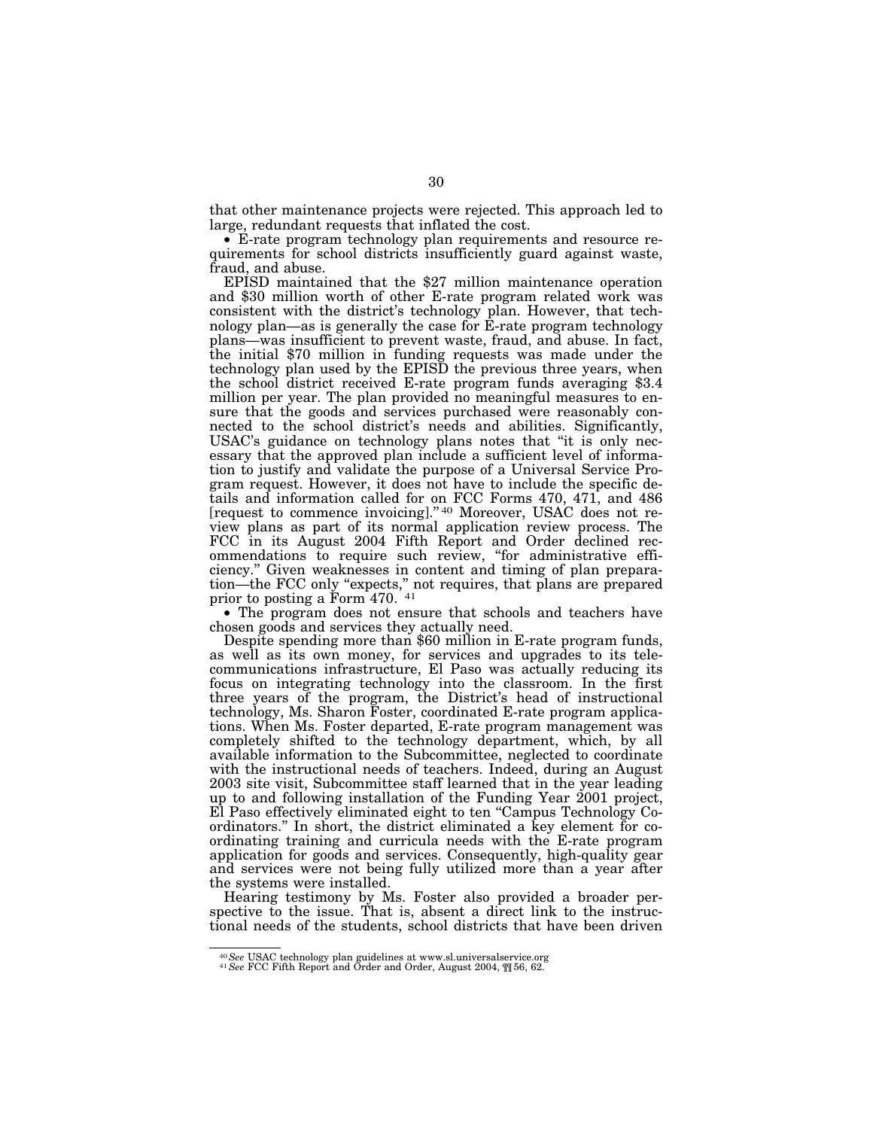that other maintenance projects were rejected. This approach led to large, redundant requests that inflated the cost.

• E-rate program technology plan requirements and resource requirements for school districts insufficiently guard against waste, fraud, and abuse.

EPISD maintained that the \$27 million maintenance operation and \$30 million worth of other E-rate program related work was consistent with the district's technology plan. However, that technology plan—as is generally the case for E-rate program technology plans—was insufficient to prevent waste, fraud, and abuse. In fact, the initial \$70 million in funding requests was made under the technology plan used by the EPISD the previous three years, when the school district received E-rate program funds averaging \$3.4 million per year. The plan provided no meaningful measures to ensure that the goods and services purchased were reasonably connected to the school district's needs and abilities. Significantly, USAC's guidance on technology plans notes that ''it is only necessary that the approved plan include a sufficient level of information to justify and validate the purpose of a Universal Service Program request. However, it does not have to include the specific details and information called for on FCC Forms 470, 471, and 486 [request to commence invoicing].'' 40 Moreover, USAC does not review plans as part of its normal application review process. The FCC in its August 2004 Fifth Report and Order declined recommendations to require such review, ''for administrative efficiency.'' Given weaknesses in content and timing of plan preparation—the FCC only "expects," not requires, that plans are prepared prior to posting a Form 470. 41

• The program does not ensure that schools and teachers have chosen goods and services they actually need.

Despite spending more than \$60 million in E-rate program funds, as well as its own money, for services and upgrades to its telecommunications infrastructure, El Paso was actually reducing its focus on integrating technology into the classroom. In the first three years of the program, the District's head of instructional technology, Ms. Sharon Foster, coordinated E-rate program applications. When Ms. Foster departed, E-rate program management was completely shifted to the technology department, which, by all available information to the Subcommittee, neglected to coordinate with the instructional needs of teachers. Indeed, during an August 2003 site visit, Subcommittee staff learned that in the year leading up to and following installation of the Funding Year 2001 project, El Paso effectively eliminated eight to ten ''Campus Technology Coordinators.'' In short, the district eliminated a key element for coordinating training and curricula needs with the E-rate program application for goods and services. Consequently, high-quality gear and services were not being fully utilized more than a year after the systems were installed.

Hearing testimony by Ms. Foster also provided a broader perspective to the issue. That is, absent a direct link to the instructional needs of the students, school districts that have been driven

<sup>40</sup>*See* USAC technology plan guidelines at www.sl.universalservice.org <sup>41</sup>*See* FCC Fifth Report and Order and Order, August 2004, ¶¶ 56, 62.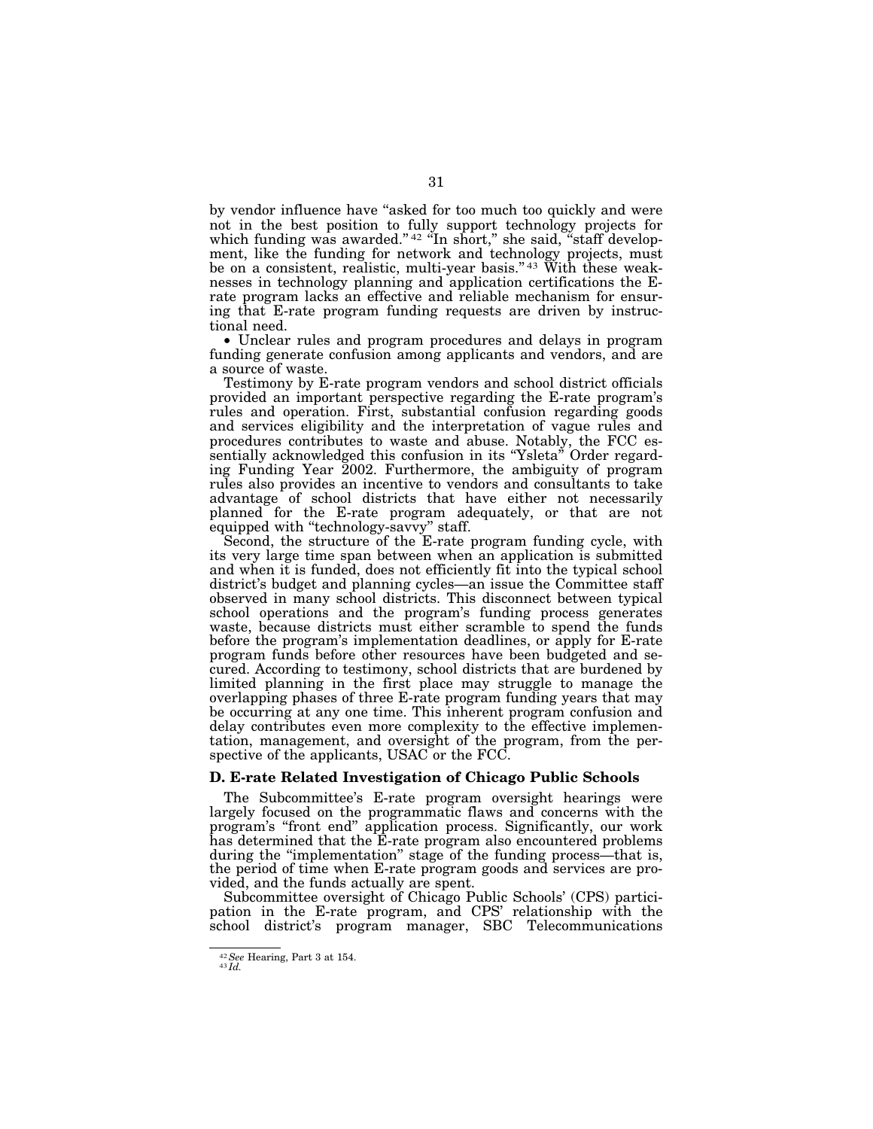by vendor influence have ''asked for too much too quickly and were not in the best position to fully support technology projects for which funding was awarded."<sup>42</sup> "In short," she said, "staff development, like the funding for network and technology projects, must be on a consistent, realistic, multi-year basis."<sup>43</sup> With these weaknesses in technology planning and application certifications the Erate program lacks an effective and reliable mechanism for ensuring that E-rate program funding requests are driven by instructional need.

• Unclear rules and program procedures and delays in program funding generate confusion among applicants and vendors, and are a source of waste.

Testimony by E-rate program vendors and school district officials provided an important perspective regarding the E-rate program's rules and operation. First, substantial confusion regarding goods and services eligibility and the interpretation of vague rules and procedures contributes to waste and abuse. Notably, the FCC essentially acknowledged this confusion in its "Ysleta" Order regarding Funding Year 2002. Furthermore, the ambiguity of program rules also provides an incentive to vendors and consultants to take advantage of school districts that have either not necessarily planned for the E-rate program adequately, or that are not equipped with ''technology-savvy'' staff.

Second, the structure of the E-rate program funding cycle, with its very large time span between when an application is submitted and when it is funded, does not efficiently fit into the typical school district's budget and planning cycles—an issue the Committee staff observed in many school districts. This disconnect between typical school operations and the program's funding process generates waste, because districts must either scramble to spend the funds before the program's implementation deadlines, or apply for E-rate program funds before other resources have been budgeted and secured. According to testimony, school districts that are burdened by limited planning in the first place may struggle to manage the overlapping phases of three E-rate program funding years that may be occurring at any one time. This inherent program confusion and delay contributes even more complexity to the effective implementation, management, and oversight of the program, from the perspective of the applicants, USAC or the FCC.

#### **D. E-rate Related Investigation of Chicago Public Schools**

The Subcommittee's E-rate program oversight hearings were largely focused on the programmatic flaws and concerns with the program's ''front end'' application process. Significantly, our work has determined that the E-rate program also encountered problems during the "implementation" stage of the funding process—that is, the period of time when E-rate program goods and services are provided, and the funds actually are spent.

Subcommittee oversight of Chicago Public Schools' (CPS) participation in the E-rate program, and CPS' relationship with the school district's program manager, SBC Telecommunications

<sup>42</sup>*See* Hearing, Part 3 at 154. <sup>43</sup> *Id.*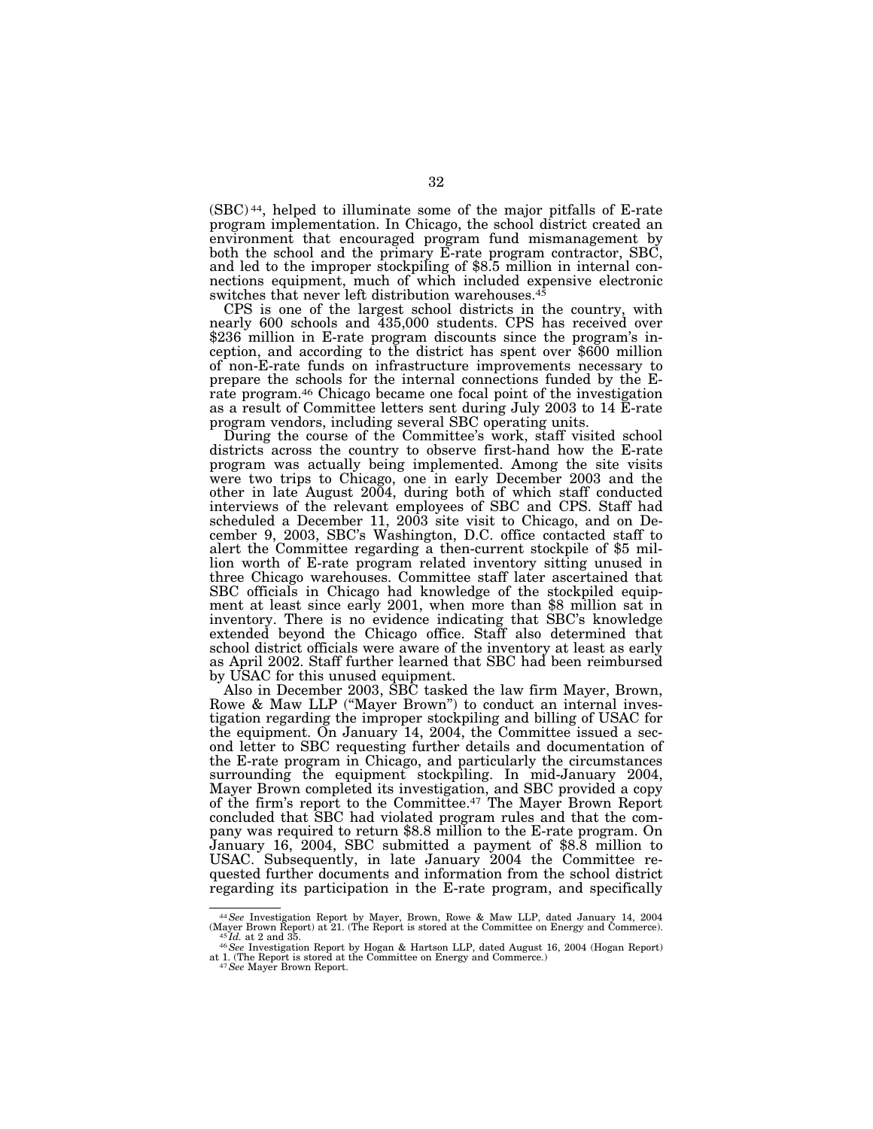(SBC) 44, helped to illuminate some of the major pitfalls of E-rate program implementation. In Chicago, the school district created an environment that encouraged program fund mismanagement by both the school and the primary E-rate program contractor, SBC, and led to the improper stockpiling of \$8.5 million in internal connections equipment, much of which included expensive electronic switches that never left distribution warehouses.<sup>45</sup>

CPS is one of the largest school districts in the country, with nearly 600 schools and 435,000 students. CPS has received over \$236 million in E-rate program discounts since the program's inception, and according to the district has spent over \$600 million of non-E-rate funds on infrastructure improvements necessary to prepare the schools for the internal connections funded by the Erate program.46 Chicago became one focal point of the investigation as a result of Committee letters sent during July 2003 to 14 E-rate program vendors, including several SBC operating units.

During the course of the Committee's work, staff visited school districts across the country to observe first-hand how the E-rate program was actually being implemented. Among the site visits were two trips to Chicago, one in early December 2003 and the other in late August 2004, during both of which staff conducted interviews of the relevant employees of SBC and CPS. Staff had scheduled a December 11, 2003 site visit to Chicago, and on December 9, 2003, SBC's Washington, D.C. office contacted staff to alert the Committee regarding a then-current stockpile of \$5 million worth of E-rate program related inventory sitting unused in three Chicago warehouses. Committee staff later ascertained that SBC officials in Chicago had knowledge of the stockpiled equipment at least since early 2001, when more than \$8 million sat in inventory. There is no evidence indicating that SBC's knowledge extended beyond the Chicago office. Staff also determined that school district officials were aware of the inventory at least as early as April 2002. Staff further learned that SBC had been reimbursed by USAC for this unused equipment.

Also in December 2003, SBC tasked the law firm Mayer, Brown, Rowe & Maw LLP (''Mayer Brown'') to conduct an internal investigation regarding the improper stockpiling and billing of USAC for the equipment. On January 14, 2004, the Committee issued a second letter to SBC requesting further details and documentation of the E-rate program in Chicago, and particularly the circumstances surrounding the equipment stockpiling. In mid-January 2004, Mayer Brown completed its investigation, and SBC provided a copy of the firm's report to the Committee.47 The Mayer Brown Report concluded that SBC had violated program rules and that the company was required to return \$8.8 million to the E-rate program. On January 16, 2004, SBC submitted a payment of \$8.8 million to USAC. Subsequently, in late January 2004 the Committee requested further documents and information from the school district regarding its participation in the E-rate program, and specifically

<sup>44</sup>*See* Investigation Report by Mayer, Brown, Rowe & Maw LLP, dated January 14, 2004 (Mayer Brown Report) at 21. (The Report is stored at the Committee on Energy and Commerce). <sup>45</sup> *Id.* at 2 and 35. <sup>46</sup>*See* Investigation Report by Hogan & Hartson LLP, dated August 16, 2004 (Hogan Report)

at 1. (The Report is stored at the Committee on Energy and Commerce.) <sup>47</sup>*See* Mayer Brown Report.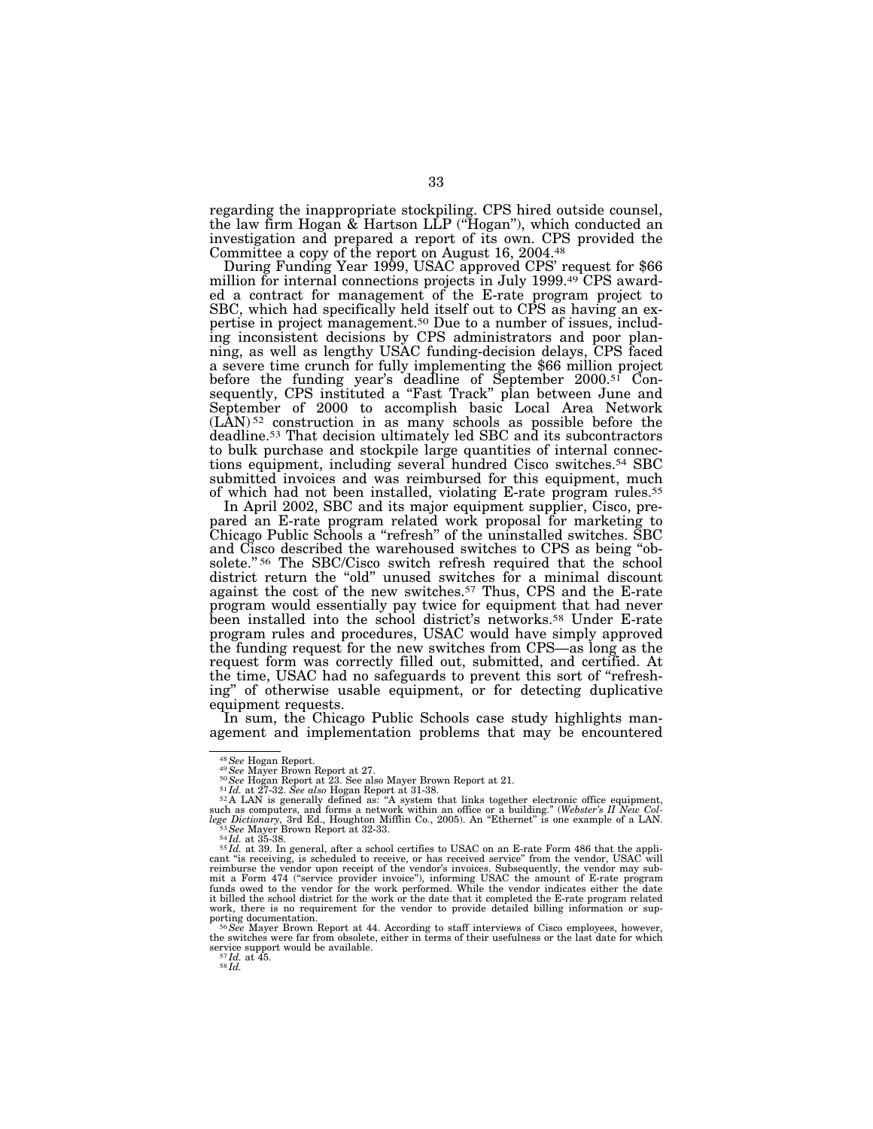regarding the inappropriate stockpiling. CPS hired outside counsel, the law firm Hogan & Hartson LLP (''Hogan''), which conducted an investigation and prepared a report of its own. CPS provided the Committee a copy of the report on August 16, 2004.48

During Funding Year 1999, USAC approved CPS' request for \$66 million for internal connections projects in July 1999.49 CPS awarded a contract for management of the E-rate program project to SBC, which had specifically held itself out to CPS as having an expertise in project management.50 Due to a number of issues, including inconsistent decisions by CPS administrators and poor planning, as well as lengthy USAC funding-decision delays, CPS faced a severe time crunch for fully implementing the \$66 million project before the funding year's deadline of September 2000.<sup>51</sup> Consequently, CPS instituted a "Fast Track" plan between June and September of 2000 to accomplish basic Local Area Network (LAN) 52 construction in as many schools as possible before the deadline.53 That decision ultimately led SBC and its subcontractors to bulk purchase and stockpile large quantities of internal connections equipment, including several hundred Cisco switches.54 SBC submitted invoices and was reimbursed for this equipment, much of which had not been installed, violating E-rate program rules.55

In April 2002, SBC and its major equipment supplier, Cisco, prepared an E-rate program related work proposal for marketing to Chicago Public Schools a ''refresh'' of the uninstalled switches. SBC and Cisco described the warehoused switches to CPS as being ''obsolete."<sup>56</sup> The SBC/Cisco switch refresh required that the school district return the ''old'' unused switches for a minimal discount against the cost of the new switches.57 Thus, CPS and the E-rate program would essentially pay twice for equipment that had never been installed into the school district's networks.58 Under E-rate program rules and procedures, USAC would have simply approved the funding request for the new switches from CPS—as long as the request form was correctly filled out, submitted, and certified. At the time, USAC had no safeguards to prevent this sort of ''refreshing'' of otherwise usable equipment, or for detecting duplicative equipment requests.

In sum, the Chicago Public Schools case study highlights management and implementation problems that may be encountered

<sup>&</sup>lt;sup>48</sup> See Hogan Report.<br><sup>49</sup> See Mayer Brown Report at 27.<br><sup>59</sup> See Mayer Brown Report at 21.<br><sup>51</sup>*Id.* at 27-32. See also Hogan Report at 31-38.<br><sup>52</sup> A LAN is generally defined as: "A system that links together electronic

cant "is receiving, is scheduled to receive, or has received service" from the vendor, USAC will<br>reimburse the vendor upon receipt of the vendor's invoices. Subsequently, the vendor may sub-<br>mit a Form 474 ("service provid work, there is no requirement for the vendor to provide detailed billing information or sup-

<sup>&</sup>lt;sup>56</sup>See Mayer Brown Report at 44. According to staff interviews of Cisco employees, however, the switches were far from obsolete, either in terms of their usefulness or the last date for which service support would be available.<br>  $\frac{57 \text{ Id.}}{58 \text{ Id.}}$  at 45.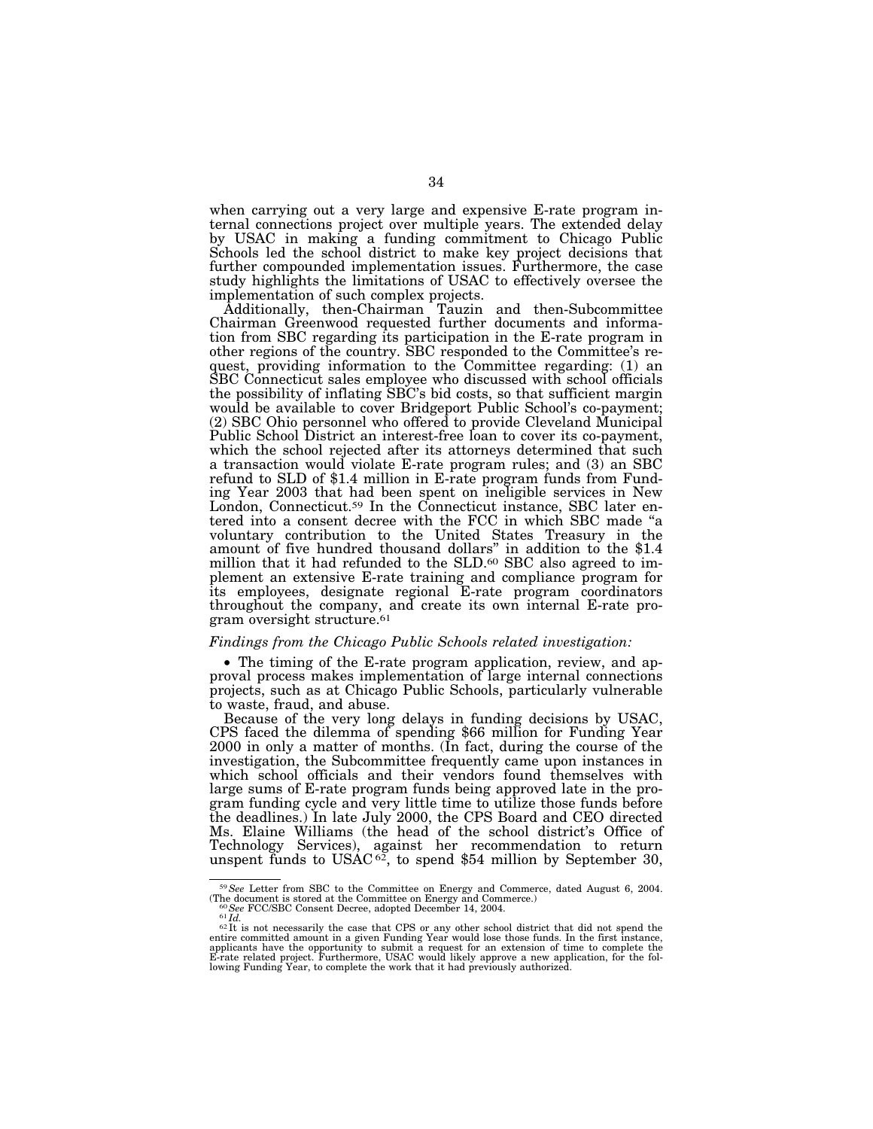when carrying out a very large and expensive E-rate program internal connections project over multiple years. The extended delay by USAC in making a funding commitment to Chicago Public Schools led the school district to make key project decisions that further compounded implementation issues. Furthermore, the case study highlights the limitations of USAC to effectively oversee the implementation of such complex projects.

Additionally, then-Chairman Tauzin and then-Subcommittee Chairman Greenwood requested further documents and information from SBC regarding its participation in the E-rate program in other regions of the country. SBC responded to the Committee's request, providing information to the Committee regarding: (1) an SBC Connecticut sales employee who discussed with school officials the possibility of inflating SBC's bid costs, so that sufficient margin would be available to cover Bridgeport Public School's co-payment; (2) SBC Ohio personnel who offered to provide Cleveland Municipal Public School District an interest-free loan to cover its co-payment, which the school rejected after its attorneys determined that such a transaction would violate E-rate program rules; and (3) an SBC refund to SLD of \$1.4 million in E-rate program funds from Funding Year 2003 that had been spent on ineligible services in New London, Connecticut.<sup>59</sup> In the Connecticut instance, SBC later entered into a consent decree with the FCC in which SBC made ''a voluntary contribution to the United States Treasury in the amount of five hundred thousand dollars'' in addition to the \$1.4 million that it had refunded to the SLD.60 SBC also agreed to implement an extensive E-rate training and compliance program for its employees, designate regional E-rate program coordinators throughout the company, and create its own internal E-rate program oversight structure.61

# *Findings from the Chicago Public Schools related investigation:*

• The timing of the E-rate program application, review, and approval process makes implementation of large internal connections projects, such as at Chicago Public Schools, particularly vulnerable to waste, fraud, and abuse.<br>Because of the very long delays in funding decisions by USAC,

CPS faced the dilemma of spending \$66 million for Funding Year 2000 in only a matter of months. (In fact, during the course of the investigation, the Subcommittee frequently came upon instances in which school officials and their vendors found themselves with large sums of E-rate program funds being approved late in the program funding cycle and very little time to utilize those funds before the deadlines.) In late July 2000, the CPS Board and CEO directed Ms. Elaine Williams (the head of the school district's Office of Technology Services), against her recommendation to return unspent funds to USAC $62$ , to spend \$54 million by September 30,

<sup>59</sup>*See* Letter from SBC to the Committee on Energy and Commerce, dated August 6, 2004. (The document is stored at the Committee on Energy and Commerce.)<br>  $^{60}$ See FCC/SBC Consent Decree, adopted December 14, 2004.<br>  $^{61}Id$ .

entire committed amount in a given Funding Year would lose those funds. In the first instance, applicants have the opportunity to submit a request for an extension of time to complete the E-rate related project. Furthermore, USAC would likely approve a new application, for the fol-lowing Funding Year, to complete the work that it had previously authorized.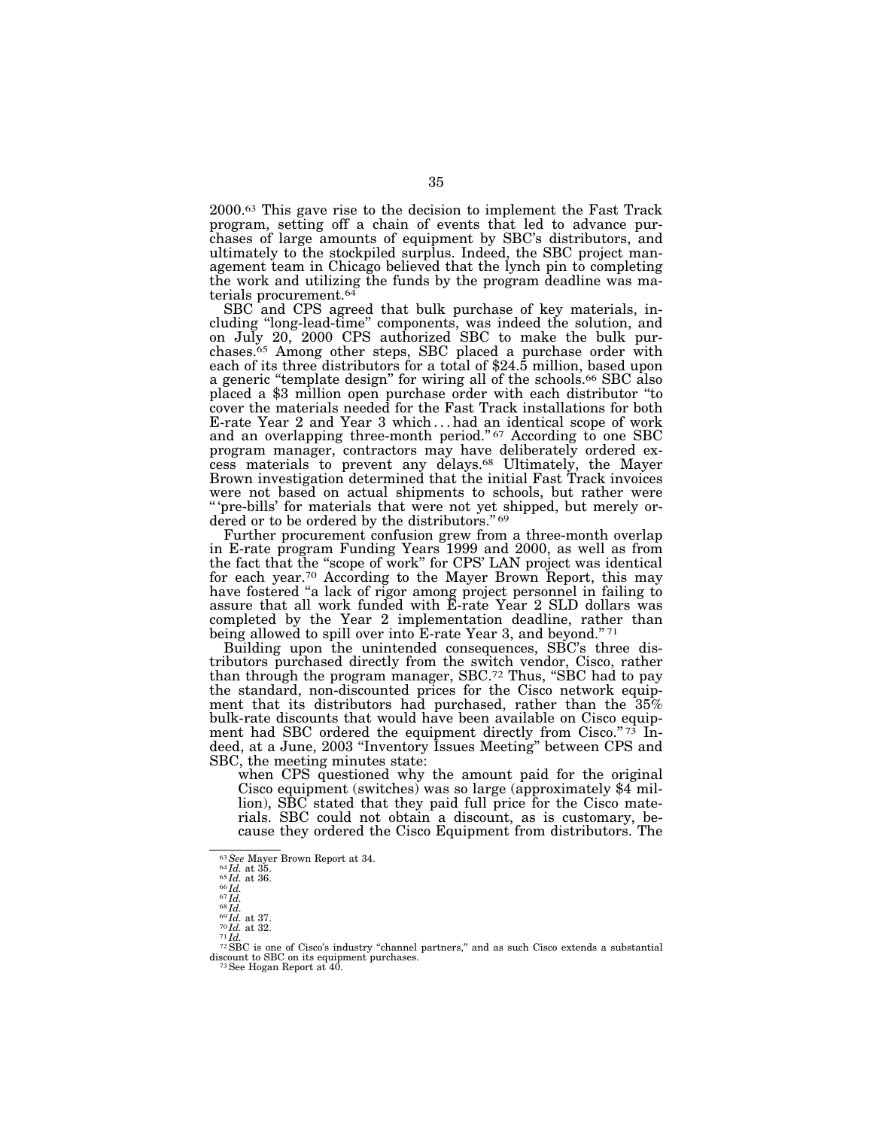2000.63 This gave rise to the decision to implement the Fast Track program, setting off a chain of events that led to advance purchases of large amounts of equipment by SBC's distributors, and ultimately to the stockpiled surplus. Indeed, the SBC project management team in Chicago believed that the lynch pin to completing the work and utilizing the funds by the program deadline was materials procurement.64

SBC and CPS agreed that bulk purchase of key materials, including ''long-lead-time'' components, was indeed the solution, and on July 20, 2000 CPS authorized SBC to make the bulk purchases.<sup>65</sup> Among other steps, SBC placed a purchase order with each of its three distributors for a total of \$24.5 million, based upon a generic "template design" for wiring all of the schools.<sup>66</sup> SBC also placed a \$3 million open purchase order with each distributor ''to cover the materials needed for the Fast Track installations for both E-rate Year 2 and Year 3 which... had an identical scope of work and an overlapping three-month period."<sup>67</sup> According to one SBC program manager, contractors may have deliberately ordered excess materials to prevent any delays.68 Ultimately, the Mayer Brown investigation determined that the initial Fast Track invoices were not based on actual shipments to schools, but rather were '' 'pre-bills' for materials that were not yet shipped, but merely ordered or to be ordered by the distributors."<sup>69</sup>

Further procurement confusion grew from a three-month overlap in E-rate program Funding Years 1999 and 2000, as well as from the fact that the ''scope of work'' for CPS' LAN project was identical for each year.70 According to the Mayer Brown Report, this may have fostered ''a lack of rigor among project personnel in failing to assure that all work funded with E-rate Year 2 SLD dollars was completed by the Year 2 implementation deadline, rather than being allowed to spill over into E-rate Year 3, and beyond."<sup>71</sup>

Building upon the unintended consequences, SBC's three distributors purchased directly from the switch vendor, Cisco, rather than through the program manager, SBC.<sup>72</sup> Thus, "SBC had to pay the standard, non-discounted prices for the Cisco network equipment that its distributors had purchased, rather than the 35% bulk-rate discounts that would have been available on Cisco equipment had SBC ordered the equipment directly from Cisco." 73 Indeed, at a June, 2003 ''Inventory Issues Meeting'' between CPS and SBC, the meeting minutes state:

when CPS questioned why the amount paid for the original Cisco equipment (switches) was so large (approximately \$4 million), SBC stated that they paid full price for the Cisco materials. SBC could not obtain a discount, as is customary, because they ordered the Cisco Equipment from distributors. The

<sup>&</sup>lt;sup>63</sup> See Mayer Brown Report at 34.<br>
<sup>64</sup> Id. at 35.<br>
<sup>65</sup> Id. at 36.<br>
<sup>66</sup> Id.<br>
<sup>66</sup> Id. at 37.<br>
<sup>68</sup> Id. at 37.<br>
<sup>68</sup> Id. at 32.<br>
<sup>69</sup> Id. at 32.<br>
<sup>69</sup> Id. at 32.<br>
<sup>71</sup> Id. at 32.<br>
<sup>71</sup> Id. <sup>72</sup> SBC is one of Cisco's ind discount to SBC on its equipment purchases.<br><sup>73</sup>See Hogan Report at 40.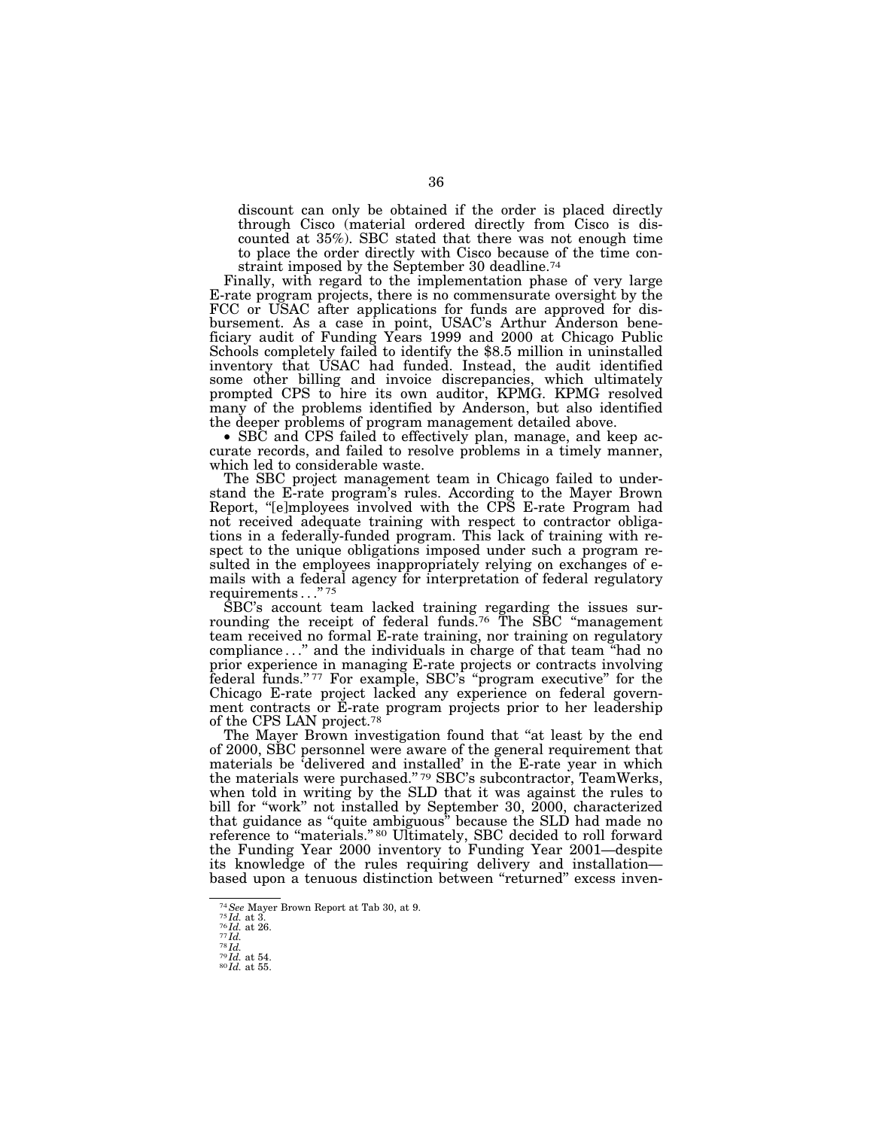discount can only be obtained if the order is placed directly through Cisco (material ordered directly from Cisco is discounted at 35%). SBC stated that there was not enough time to place the order directly with Cisco because of the time constraint imposed by the September 30 deadline.74

Finally, with regard to the implementation phase of very large E-rate program projects, there is no commensurate oversight by the FCC or USAC after applications for funds are approved for disbursement. As a case in point, USAC's Arthur Anderson beneficiary audit of Funding Years 1999 and 2000 at Chicago Public Schools completely failed to identify the \$8.5 million in uninstalled inventory that USAC had funded. Instead, the audit identified some other billing and invoice discrepancies, which ultimately prompted CPS to hire its own auditor, KPMG. KPMG resolved many of the problems identified by Anderson, but also identified the deeper problems of program management detailed above.

• SBC and CPS failed to effectively plan, manage, and keep accurate records, and failed to resolve problems in a timely manner, which led to considerable waste.

The SBC project management team in Chicago failed to understand the E-rate program's rules. According to the Mayer Brown Report, "[e]mployees involved with the CPS E-rate Program had not received adequate training with respect to contractor obligations in a federally-funded program. This lack of training with respect to the unique obligations imposed under such a program resulted in the employees inappropriately relying on exchanges of emails with a federal agency for interpretation of federal regulatory requirements . . .'' 75

SBC's account team lacked training regarding the issues surrounding the receipt of federal funds.<sup>76</sup> The SBC "management" team received no formal E-rate training, nor training on regulatory compliance . . .'' and the individuals in charge of that team ''had no prior experience in managing E-rate projects or contracts involving federal funds."<sup>77</sup> For example, SBC's "program executive" for the Chicago E-rate project lacked any experience on federal government contracts or E-rate program projects prior to her leadership of the CPS LAN project.78

The Mayer Brown investigation found that "at least by the end of 2000, SBC personnel were aware of the general requirement that materials be 'delivered and installed' in the E-rate year in which the materials were purchased."<sup>79</sup> SBC's subcontractor, TeamWerks, when told in writing by the SLD that it was against the rules to bill for "work" not installed by September 30, 2000, characterized that guidance as ''quite ambiguous'' because the SLD had made no reference to "materials." <sup>80</sup> Ultimately, SBC decided to roll forward the Funding Year 2000 inventory to Funding Year 2001—despite its knowledge of the rules requiring delivery and installation based upon a tenuous distinction between ''returned'' excess inven-

<sup>74</sup>*See* Mayer Brown Report at Tab 30, at 9. <sup>75</sup> *Id.* at 3. <sup>76</sup> *Id.* at 26. <sup>77</sup> *Id.* <sup>78</sup> *Id.* <sup>79</sup> *Id.* at 54. <sup>80</sup> *Id.* at 55.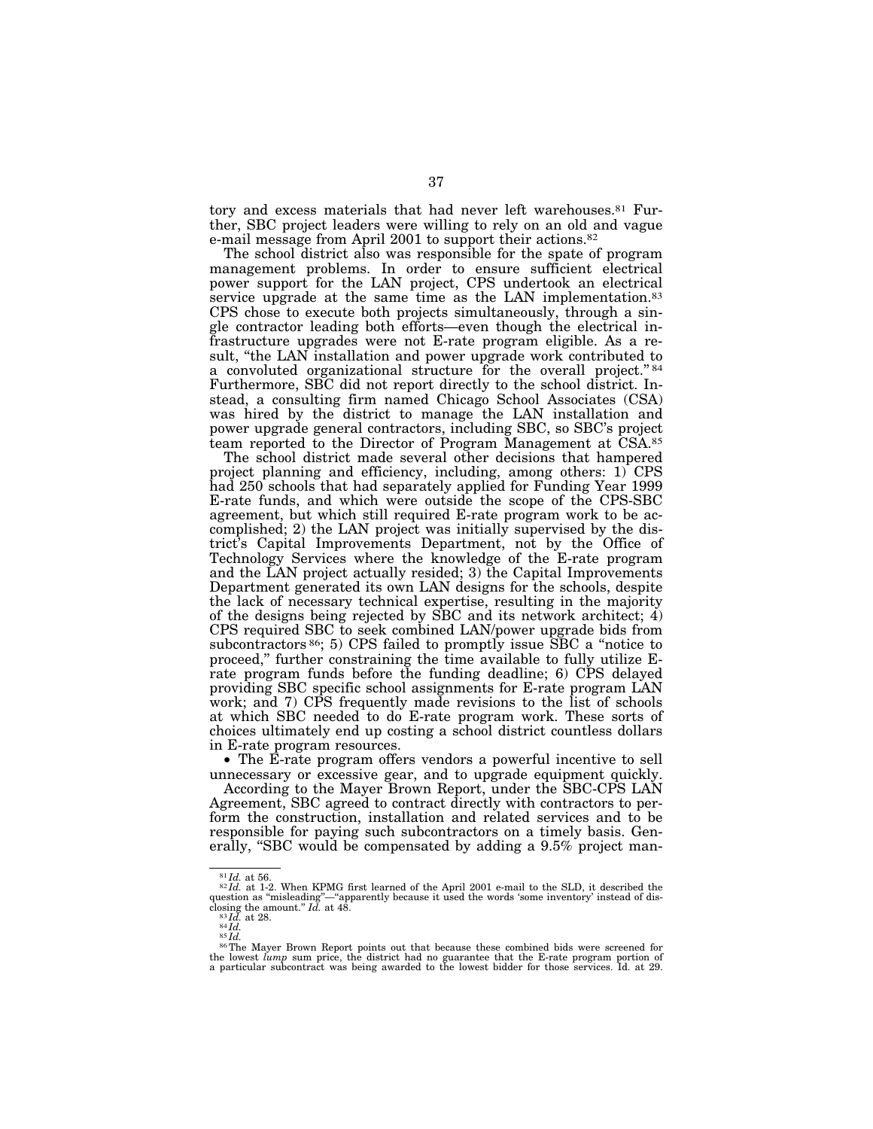tory and excess materials that had never left warehouses.<sup>81</sup> Further, SBC project leaders were willing to rely on an old and vague e-mail message from April 2001 to support their actions.82

The school district also was responsible for the spate of program management problems. In order to ensure sufficient electrical power support for the LAN project, CPS undertook an electrical service upgrade at the same time as the LAN implementation.<sup>83</sup> CPS chose to execute both projects simultaneously, through a single contractor leading both efforts—even though the electrical infrastructure upgrades were not E-rate program eligible. As a result, ''the LAN installation and power upgrade work contributed to a convoluted organizational structure for the overall project."<sup>84</sup> Furthermore, SBC did not report directly to the school district. Instead, a consulting firm named Chicago School Associates (CSA) was hired by the district to manage the LAN installation and power upgrade general contractors, including SBC, so SBC's project team reported to the Director of Program Management at CSA.85

The school district made several other decisions that hampered project planning and efficiency, including, among others: 1) CPS had 250 schools that had separately applied for Funding Year 1999 E-rate funds, and which were outside the scope of the CPS-SBC agreement, but which still required E-rate program work to be accomplished; 2) the LAN project was initially supervised by the district's Capital Improvements Department, not by the Office of Technology Services where the knowledge of the E-rate program and the LAN project actually resided; 3) the Capital Improvements Department generated its own LAN designs for the schools, despite the lack of necessary technical expertise, resulting in the majority of the designs being rejected by SBC and its network architect; 4) CPS required SBC to seek combined LAN/power upgrade bids from subcontractors <sup>86</sup>; 5) CPS failed to promptly issue SBC a "notice to proceed," further constraining the time available to fully utilize Erate program funds before the funding deadline; 6) CPS delayed providing SBC specific school assignments for E-rate program LAN work; and 7) CPS frequently made revisions to the list of schools at which SBC needed to do E-rate program work. These sorts of choices ultimately end up costing a school district countless dollars in E-rate program resources.

• The E-rate program offers vendors a powerful incentive to sell unnecessary or excessive gear, and to upgrade equipment quickly.

According to the Mayer Brown Report, under the SBC-CPS LAN Agreement, SBC agreed to contract directly with contractors to perform the construction, installation and related services and to be responsible for paying such subcontractors on a timely basis. Generally, "SBC would be compensated by adding a 9.5% project man-

 $81$ *Id.* at 56. 82 *Id.* at 1-2. When KPMG first learned of the April 2001 e-mail to the SLD, it described the question as "misleading"—"apparently because it used the words 'some inventory' instead of dis-<br>closing the amount."  $Id.$  at 48.

<sup>&</sup>lt;sup>83</sup>*Id.* at 28.<br><sup>84</sup>*Id.*<br><sup>85</sup>*Id.* 86The Mayer Brown Report points out that because these combined bids were screened for the lowest *lump* sum price, the district had no guarantee that the E-rate program portion of a particular subcontract was being awarded to the lowest bidder for those services. Id. at 29.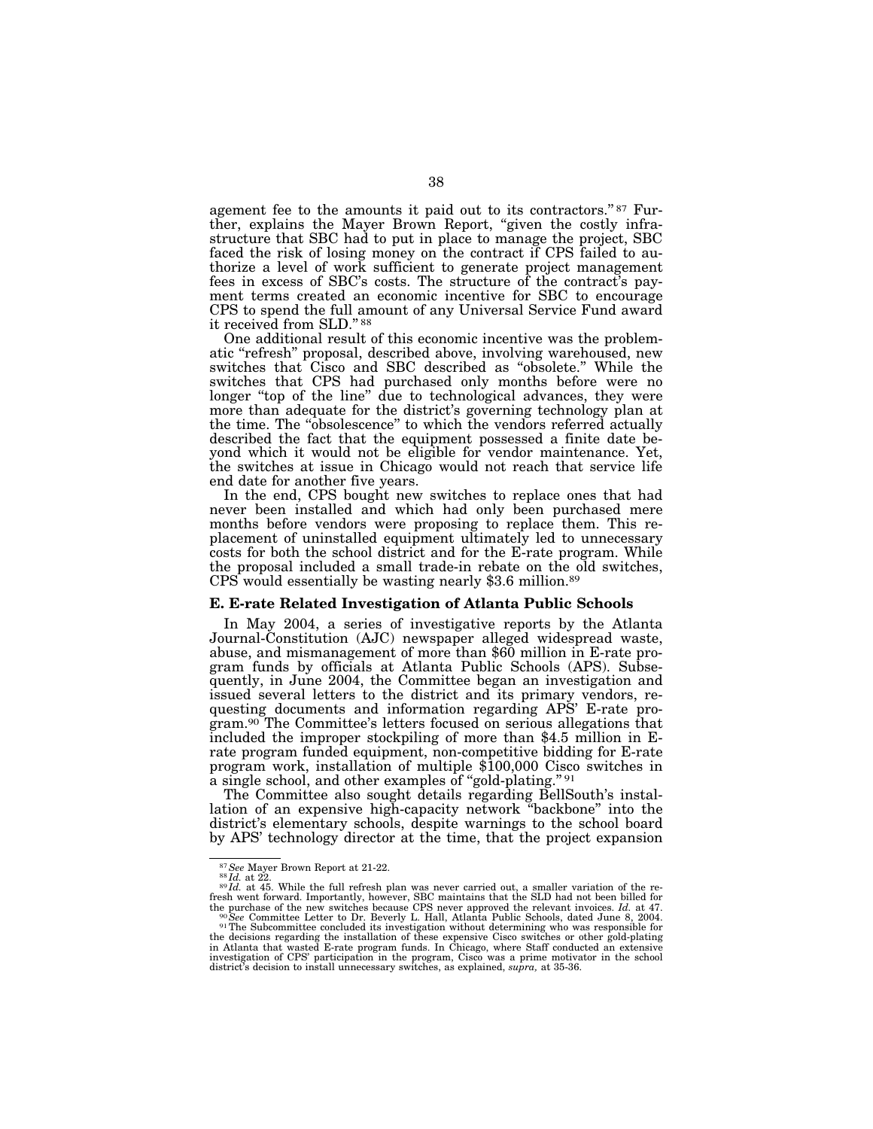agement fee to the amounts it paid out to its contractors." 87 Further, explains the Mayer Brown Report, "given the costly infrastructure that SBC had to put in place to manage the project, SBC faced the risk of losing money on the contract if CPS failed to authorize a level of work sufficient to generate project management fees in excess of SBC's costs. The structure of the contract's payment terms created an economic incentive for SBC to encourage CPS to spend the full amount of any Universal Service Fund award it received from SLD.'' 88

One additional result of this economic incentive was the problematic ''refresh'' proposal, described above, involving warehoused, new switches that Cisco and SBC described as ''obsolete.'' While the switches that CPS had purchased only months before were no longer "top of the line" due to technological advances, they were more than adequate for the district's governing technology plan at the time. The ''obsolescence'' to which the vendors referred actually described the fact that the equipment possessed a finite date beyond which it would not be eligible for vendor maintenance. Yet, the switches at issue in Chicago would not reach that service life end date for another five years.

In the end, CPS bought new switches to replace ones that had never been installed and which had only been purchased mere months before vendors were proposing to replace them. This replacement of uninstalled equipment ultimately led to unnecessary costs for both the school district and for the E-rate program. While the proposal included a small trade-in rebate on the old switches, CPS would essentially be wasting nearly \$3.6 million.89

#### **E. E-rate Related Investigation of Atlanta Public Schools**

In May 2004, a series of investigative reports by the Atlanta Journal-Constitution (AJC) newspaper alleged widespread waste, abuse, and mismanagement of more than \$60 million in E-rate program funds by officials at Atlanta Public Schools (APS). Subsequently, in June 2004, the Committee began an investigation and issued several letters to the district and its primary vendors, requesting documents and information regarding APS' E-rate program.90 The Committee's letters focused on serious allegations that included the improper stockpiling of more than \$4.5 million in Erate program funded equipment, non-competitive bidding for E-rate program work, installation of multiple \$100,000 Cisco switches in a single school, and other examples of "gold-plating." <sup>91</sup>

The Committee also sought details regarding BellSouth's installation of an expensive high-capacity network ''backbone'' into the district's elementary schools, despite warnings to the school board by APS' technology director at the time, that the project expansion

<sup>&</sup>lt;sup>87</sup> See Mayer Brown Report at 21-22.<br><sup>88</sup> *Id.* at 22. at 45. While the full refresh plan was never carried out, a smaller variation of the re-<sup>89</sup> *Id.* at 45. While the full refresh plan was never carried out, a smaller fresh went forward. Importantly, however, SBC maintains that the SLD had not been billed for the purchase of the new switches because CPS never approved the relevant invoices. Id. at 47.

the purchase of the new switches because CPS never approved the relevant invoices. *Id.* at 47. <sup>90</sup> See Committee Letter to Dr. Beverly L. Hall, Atlanta Public Schools, dated June 8, 2004.<br><sup>91</sup> The Subcommittee concluded investigation of CPS' participation in the program, Cisco was a prime motivator in the school district's decision to install unnecessary switches, as explained, *supra,* at 35-36.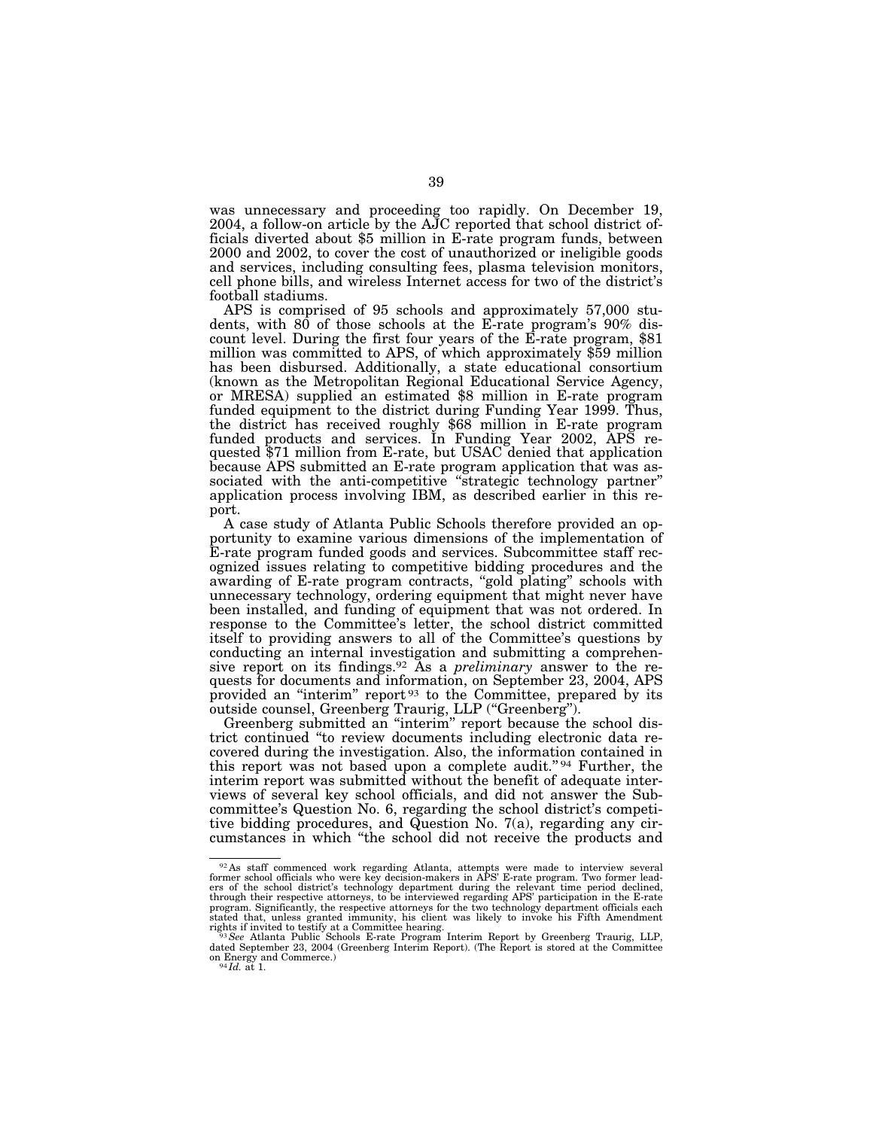was unnecessary and proceeding too rapidly. On December 19, 2004, a follow-on article by the AJC reported that school district officials diverted about \$5 million in E-rate program funds, between 2000 and 2002, to cover the cost of unauthorized or ineligible goods and services, including consulting fees, plasma television monitors, cell phone bills, and wireless Internet access for two of the district's football stadiums.

APS is comprised of 95 schools and approximately 57,000 students, with 80 of those schools at the E-rate program's 90% discount level. During the first four years of the E-rate program, \$81 million was committed to APS, of which approximately \$59 million has been disbursed. Additionally, a state educational consortium (known as the Metropolitan Regional Educational Service Agency, or MRESA) supplied an estimated \$8 million in E-rate program funded equipment to the district during Funding Year 1999. Thus, the district has received roughly \$68 million in E-rate program funded products and services. In Funding Year 2002, APS requested \$71 million from E-rate, but USAC denied that application because APS submitted an E-rate program application that was associated with the anti-competitive ''strategic technology partner'' application process involving IBM, as described earlier in this report.

A case study of Atlanta Public Schools therefore provided an opportunity to examine various dimensions of the implementation of E-rate program funded goods and services. Subcommittee staff recognized issues relating to competitive bidding procedures and the awarding of E-rate program contracts, ''gold plating'' schools with unnecessary technology, ordering equipment that might never have been installed, and funding of equipment that was not ordered. In response to the Committee's letter, the school district committed itself to providing answers to all of the Committee's questions by conducting an internal investigation and submitting a comprehensive report on its findings.92 As a *preliminary* answer to the requests for documents and information, on September 23, 2004, APS provided an ''interim'' report 93 to the Committee, prepared by its outside counsel, Greenberg Traurig, LLP (''Greenberg'').

Greenberg submitted an ''interim'' report because the school district continued ''to review documents including electronic data recovered during the investigation. Also, the information contained in this report was not based upon a complete audit."<sup>94</sup> Further, the interim report was submitted without the benefit of adequate interviews of several key school officials, and did not answer the Subcommittee's Question No. 6, regarding the school district's competitive bidding procedures, and Question No. 7(a), regarding any circumstances in which ''the school did not receive the products and

<sup>&</sup>lt;sup>92</sup> As staff commenced work regarding Atlanta, attempts were made to interview several former school officials who were key decision-makers in APS' E-rate program. Two former leaders of the school district's technology department during the relevant time period declined, through their respective attorneys, to be interviewed regarding APS' participation in the E-rate<br>program. Significantly, the respective attorneys for the two technology department officials each<br>stated that, unless granted rights if invited to testify at a Committee hearing. <sup>93</sup>*See* Atlanta Public Schools E-rate Program Interim Report by Greenberg Traurig, LLP,

dated September 23, 2004 (Greenberg Interim Report). (The Report is stored at the Committee on Energy and Commerce.) <sup>94</sup> *Id.* at 1.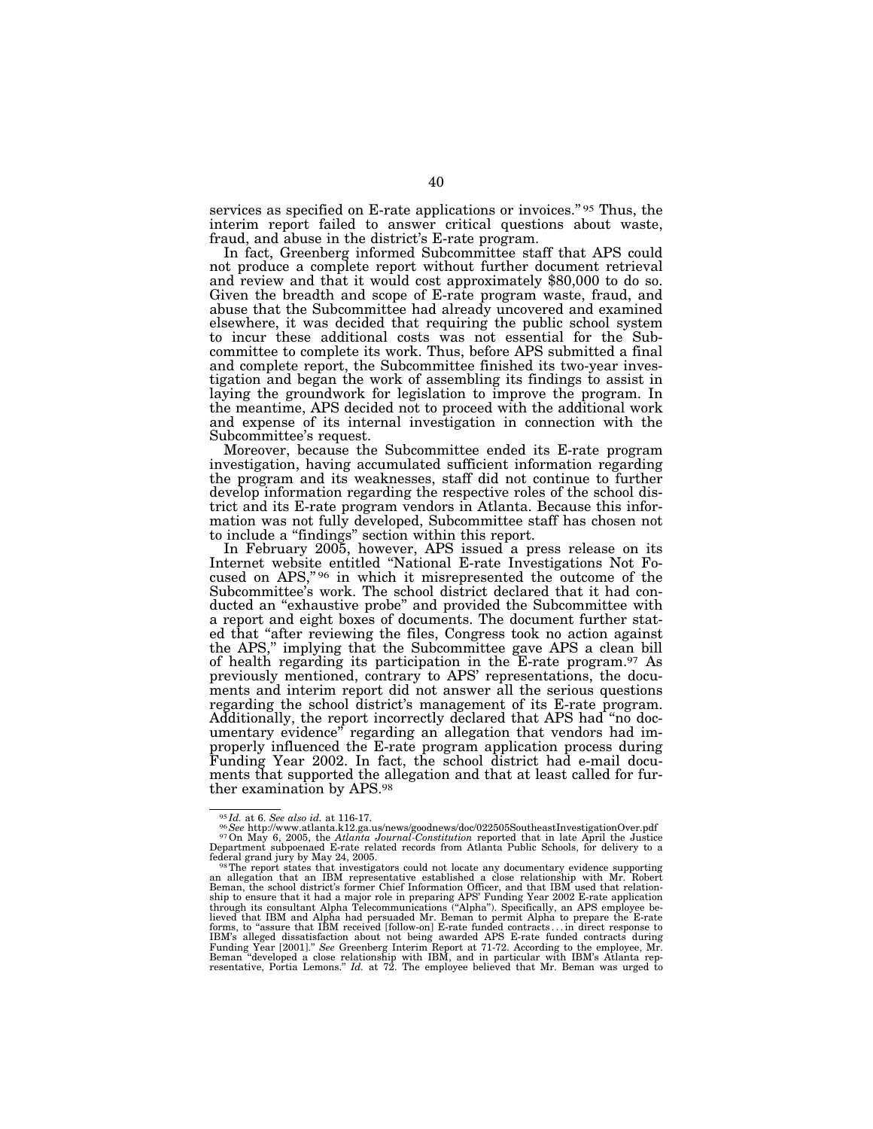services as specified on E-rate applications or invoices."<sup>95</sup> Thus, the interim report failed to answer critical questions about waste, fraud, and abuse in the district's E-rate program.

In fact, Greenberg informed Subcommittee staff that APS could not produce a complete report without further document retrieval and review and that it would cost approximately \$80,000 to do so. Given the breadth and scope of E-rate program waste, fraud, and abuse that the Subcommittee had already uncovered and examined elsewhere, it was decided that requiring the public school system to incur these additional costs was not essential for the Subcommittee to complete its work. Thus, before APS submitted a final and complete report, the Subcommittee finished its two-year investigation and began the work of assembling its findings to assist in laying the groundwork for legislation to improve the program. In the meantime, APS decided not to proceed with the additional work and expense of its internal investigation in connection with the Subcommittee's request.

Moreover, because the Subcommittee ended its E-rate program investigation, having accumulated sufficient information regarding the program and its weaknesses, staff did not continue to further develop information regarding the respective roles of the school district and its E-rate program vendors in Atlanta. Because this information was not fully developed, Subcommittee staff has chosen not to include a ''findings'' section within this report.

In February 2005, however, APS issued a press release on its Internet website entitled ''National E-rate Investigations Not Focused on APS,"<sup>96</sup> in which it misrepresented the outcome of the Subcommittee's work. The school district declared that it had conducted an ''exhaustive probe'' and provided the Subcommittee with a report and eight boxes of documents. The document further stated that ''after reviewing the files, Congress took no action against the APS,'' implying that the Subcommittee gave APS a clean bill of health regarding its participation in the E-rate program.97 As previously mentioned, contrary to APS' representations, the documents and interim report did not answer all the serious questions regarding the school district's management of its E-rate program. Additionally, the report incorrectly declared that APS had ''no documentary evidence'' regarding an allegation that vendors had improperly influenced the E-rate program application process during Funding Year 2002. In fact, the school district had e-mail documents that supported the allegation and that at least called for further examination by APS.98

<sup>&</sup>lt;sup>95</sup>*Id.* at 6. See also id. at 116-17.<br><sup>96</sup> See http://www.atlanta.k12.ga.us/news/goodnews/doc/022505SoutheastInvestigationOver.pdf<br><sup>97</sup> On May 6, 2005, the *Atlanta Journal-Constitution* reported that in late April the

federal grand jury by May 24, 2005.<br><sup>98</sup> The report states that investigators could not locate any documentary evidence supporting<br>an allegation that an IBM representative established a close relationship with Mr. Robert<br>B ship to ensure that it had a major role in preparing APS' Funding Year 2002 E-rate application through its consultant Alpha Telecommunications (''Alpha''). Specifically, an APS employee believed that IBM and Alpha had persuaded Mr. Beman to permit Alpha to prepare the E-rate forms, to "assure that IBM received [follow-on] E-rate funded contracts... in direct response to IBM's alleged dissatisfaction about not being awarded APS E-rate funded contracts during  $Year$  [2001]." See Greenberg Interim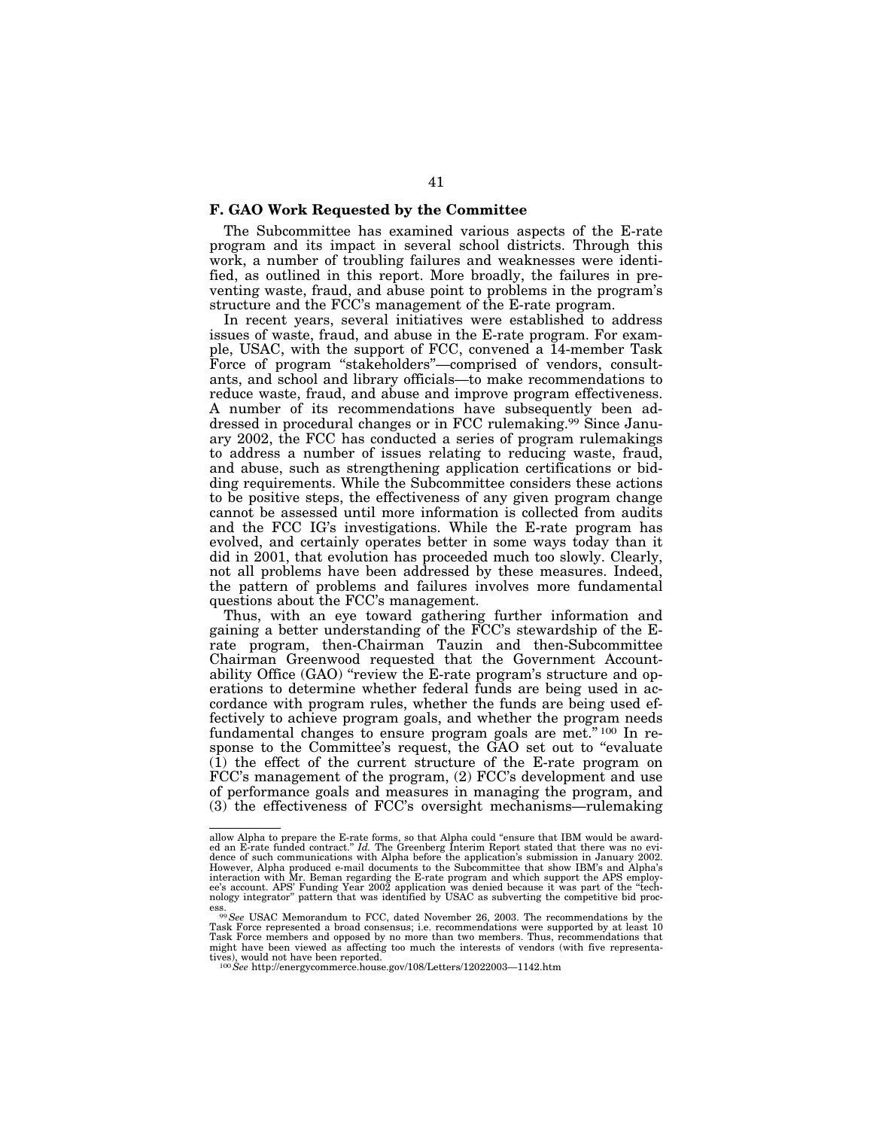# **F. GAO Work Requested by the Committee**

The Subcommittee has examined various aspects of the E-rate program and its impact in several school districts. Through this work, a number of troubling failures and weaknesses were identified, as outlined in this report. More broadly, the failures in preventing waste, fraud, and abuse point to problems in the program's structure and the FCC's management of the E-rate program.

In recent years, several initiatives were established to address issues of waste, fraud, and abuse in the E-rate program. For example, USAC, with the support of FCC, convened a 14-member Task Force of program "stakeholders"—comprised of vendors, consultants, and school and library officials—to make recommendations to reduce waste, fraud, and abuse and improve program effectiveness. A number of its recommendations have subsequently been addressed in procedural changes or in FCC rulemaking.99 Since January 2002, the FCC has conducted a series of program rulemakings to address a number of issues relating to reducing waste, fraud, and abuse, such as strengthening application certifications or bidding requirements. While the Subcommittee considers these actions to be positive steps, the effectiveness of any given program change cannot be assessed until more information is collected from audits and the FCC IG's investigations. While the E-rate program has evolved, and certainly operates better in some ways today than it did in 2001, that evolution has proceeded much too slowly. Clearly, not all problems have been addressed by these measures. Indeed, the pattern of problems and failures involves more fundamental questions about the FCC's management.

Thus, with an eye toward gathering further information and gaining a better understanding of the FCC's stewardship of the Erate program, then-Chairman Tauzin and then-Subcommittee Chairman Greenwood requested that the Government Accountability Office (GAO) "review the E-rate program's structure and operations to determine whether federal funds are being used in accordance with program rules, whether the funds are being used effectively to achieve program goals, and whether the program needs fundamental changes to ensure program goals are met."<sup>100</sup> In response to the Committee's request, the GAO set out to "evaluate" (1) the effect of the current structure of the E-rate program on FCC's management of the program, (2) FCC's development and use of performance goals and measures in managing the program, and (3) the effectiveness of FCC's oversight mechanisms—rulemaking

allow Alpha to prepare the E-rate forms, so that Alpha could "ensure that IBM would be award-<br>ed an E-rate funded contract." Id. The Greenberg Interim Report stated that there was no evi-<br>dence of such communications with However, Alpha produced e-mail documents to the Subcommittee that show IBM's and Alpha's<br>interaction with Mr. Beman regarding the E-rate program and which support the APS employ-<br>ee's account. APS' Funding Year 2002 applic nology integrator'' pattern that was identified by USAC as subverting the competitive bid proc-

ess. <sup>99</sup><br><sup>99</sup>See USAC Memorandum to FCC, dated November 26, 2003. The recommendations by the<br>state of the state of the state of the state of the state of the state of the state of the state of the state of the state of th Task Force represented a broad consensus; i.e. recommendations were supported by at least 10 Task Force members and opposed by no more than two members. Thus, recommendations that might have been viewed as affecting too much the interests of vendors (with five representatives), would not have been reported. <sup>100</sup>*See* http://energycommerce.house.gov/108/Letters/12022003—1142.htm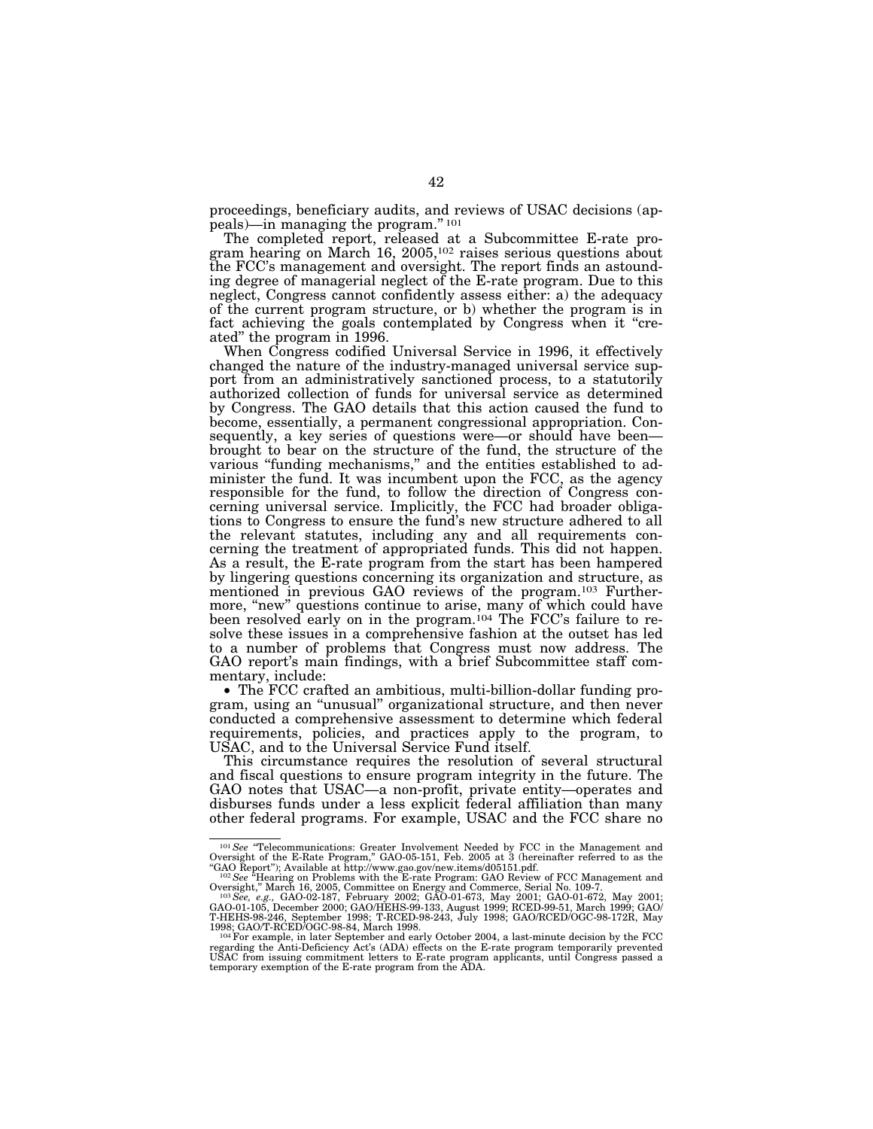proceedings, beneficiary audits, and reviews of USAC decisions (appeals)—in managing the program.'' 101

The completed report, released at a Subcommittee E-rate program hearing on March 16, 2005,102 raises serious questions about the FCC's management and oversight. The report finds an astounding degree of managerial neglect of the E-rate program. Due to this neglect, Congress cannot confidently assess either: a) the adequacy of the current program structure, or b) whether the program is in fact achieving the goals contemplated by Congress when it "created'' the program in 1996.

When Congress codified Universal Service in 1996, it effectively changed the nature of the industry-managed universal service support from an administratively sanctioned process, to a statutorily authorized collection of funds for universal service as determined by Congress. The GAO details that this action caused the fund to become, essentially, a permanent congressional appropriation. Consequently, a key series of questions were—or should have been brought to bear on the structure of the fund, the structure of the various "funding mechanisms," and the entities established to administer the fund. It was incumbent upon the FCC, as the agency responsible for the fund, to follow the direction of Congress concerning universal service. Implicitly, the FCC had broader obligations to Congress to ensure the fund's new structure adhered to all the relevant statutes, including any and all requirements concerning the treatment of appropriated funds. This did not happen. As a result, the E-rate program from the start has been hampered by lingering questions concerning its organization and structure, as mentioned in previous GAO reviews of the program.103 Furthermore, "new" questions continue to arise, many of which could have been resolved early on in the program.<sup>104</sup> The FCC's failure to resolve these issues in a comprehensive fashion at the outset has led to a number of problems that Congress must now address. The GAO report's main findings, with a brief Subcommittee staff com-

mentary, include:<br>• The FCC crafted an ambitious, multi-billion-dollar funding program, using an ''unusual'' organizational structure, and then never conducted a comprehensive assessment to determine which federal requirements, policies, and practices apply to the program, to USAC, and to the Universal Service Fund itself.

This circumstance requires the resolution of several structural and fiscal questions to ensure program integrity in the future. The GAO notes that USAC—a non-profit, private entity—operates and disburses funds under a less explicit federal affiliation than many other federal programs. For example, USAC and the FCC share no

<sup>&</sup>lt;sup>101</sup> See "Telecommunications: Greater Involvement Needed by FCC in the Management and Oversight of the E-Rate Program," GAO-05-151, Feb. 2005 at 3 (hereinafter referred to as the

<sup>&</sup>quot;GAO Report"); Available at http://www.gao.gov/new.items/d05151.pdf.<br><sup>102</sup>*See* "Hearing on Problems with the E-rate Program: GAO Review of FCC Management and<br>Oversight," March 16, 2005, Committee on Energy and Commerce, S

Oversight," March 16, 2005, Committee on Energy and Commerce, Serial No. 109-7.<br><sup>103</sup> *See, e.g.,* GAO-02-187, February 2002; GAO-01-673, May R2001; GAO-01-672, May 2001;<br>GAO-01-105, December 2000; GAO/HEHS-99-133, August 1998; GAO/T-RCED/OGC-98-84, March 1998. <sup>104</sup>For example, in later September and early October 2004, a last-minute decision by the FCC

regarding the Anti-Deficiency Act's (ADA) effects on the E-rate program temporarily prevented USAC from issuing commitment letters to E-rate program applicants, until Congress passed a temporary exemption of the E-rate program from the ADA.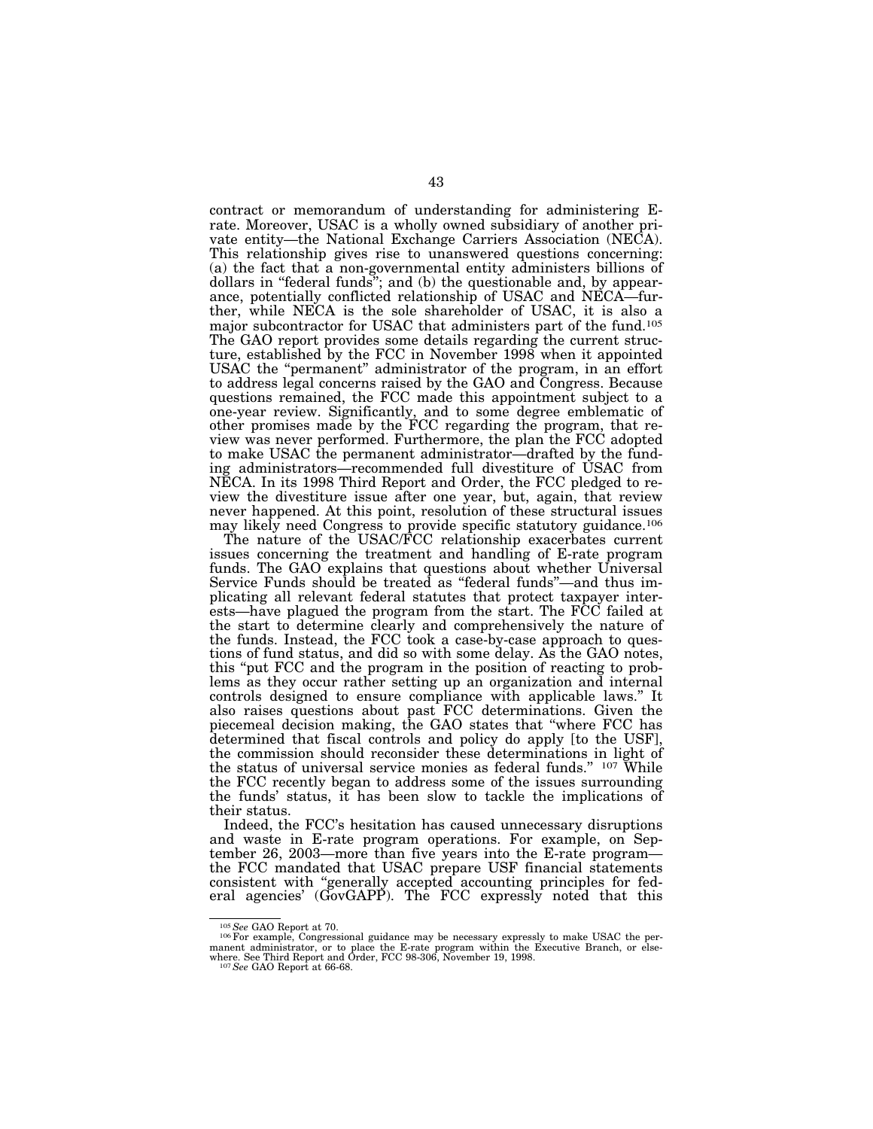contract or memorandum of understanding for administering Erate. Moreover, USAC is a wholly owned subsidiary of another private entity—the National Exchange Carriers Association (NECA). This relationship gives rise to unanswered questions concerning: (a) the fact that a non-governmental entity administers billions of dollars in "federal funds"; and (b) the questionable and, by appearance, potentially conflicted relationship of USAC and NECA—further, while NECA is the sole shareholder of USAC, it is also a major subcontractor for USAC that administers part of the fund.105 The GAO report provides some details regarding the current structure, established by the FCC in November 1998 when it appointed USAC the "permanent" administrator of the program, in an effort to address legal concerns raised by the GAO and Congress. Because questions remained, the FCC made this appointment subject to a one-year review. Significantly, and to some degree emblematic of other promises made by the FCC regarding the program, that review was never performed. Furthermore, the plan the FCC adopted to make USAC the permanent administrator—drafted by the funding administrators—recommended full divestiture of USAC from NECA. In its 1998 Third Report and Order, the FCC pledged to review the divestiture issue after one year, but, again, that review never happened. At this point, resolution of these structural issues may likely need Congress to provide specific statutory guidance.106

The nature of the USAC/FCC relationship exacerbates current issues concerning the treatment and handling of E-rate program funds. The GAO explains that questions about whether Universal Service Funds should be treated as ''federal funds''—and thus implicating all relevant federal statutes that protect taxpayer interests—have plagued the program from the start. The FCC failed at the start to determine clearly and comprehensively the nature of the funds. Instead, the FCC took a case-by-case approach to questions of fund status, and did so with some delay. As the GAO notes, this ''put FCC and the program in the position of reacting to problems as they occur rather setting up an organization and internal controls designed to ensure compliance with applicable laws.'' It also raises questions about past FCC determinations. Given the piecemeal decision making, the GAO states that ''where FCC has determined that fiscal controls and policy do apply [to the USF], the commission should reconsider these determinations in light of the status of universal service monies as federal funds.'' 107 While the FCC recently began to address some of the issues surrounding the funds' status, it has been slow to tackle the implications of their status.

Indeed, the FCC's hesitation has caused unnecessary disruptions and waste in E-rate program operations. For example, on September 26, 2003—more than five years into the E-rate program the FCC mandated that USAC prepare USF financial statements consistent with ''generally accepted accounting principles for federal agencies' (GovGAPP). The FCC expressly noted that this

<sup>&</sup>lt;sup>105</sup> See GAO Report at 70.<br><sup>106</sup>For example, Congressional guidance may be necessary expressly to make USAC the permanent administrator, or to place the E-rate program within the Executive Branch, or else-where. See Third Report and Order, FCC 98-306, November 19, 1998. <sup>107</sup>*See* GAO Report at 66-68.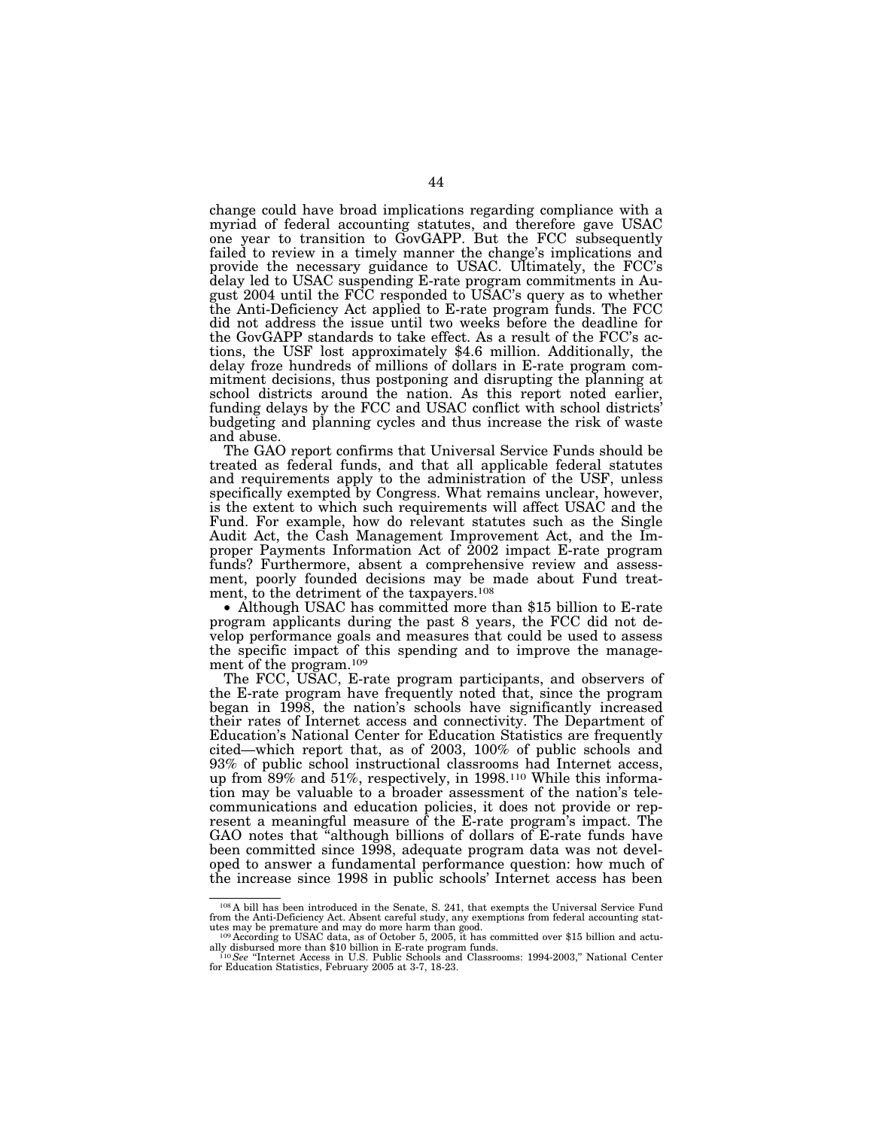change could have broad implications regarding compliance with a myriad of federal accounting statutes, and therefore gave USAC one year to transition to GovGAPP. But the FCC subsequently failed to review in a timely manner the change's implications and provide the necessary guidance to USAC. Ultimately, the FCC's delay led to USAC suspending E-rate program commitments in August 2004 until the FCC responded to USAC's query as to whether the Anti-Deficiency Act applied to E-rate program funds. The FCC did not address the issue until two weeks before the deadline for the GovGAPP standards to take effect. As a result of the FCC's actions, the USF lost approximately \$4.6 million. Additionally, the delay froze hundreds of millions of dollars in E-rate program commitment decisions, thus postponing and disrupting the planning at school districts around the nation. As this report noted earlier, funding delays by the FCC and USAC conflict with school districts' budgeting and planning cycles and thus increase the risk of waste and abuse.

The GAO report confirms that Universal Service Funds should be treated as federal funds, and that all applicable federal statutes and requirements apply to the administration of the USF, unless specifically exempted by Congress. What remains unclear, however, is the extent to which such requirements will affect USAC and the Fund. For example, how do relevant statutes such as the Single Audit Act, the Cash Management Improvement Act, and the Improper Payments Information Act of 2002 impact E-rate program funds? Furthermore, absent a comprehensive review and assessment, poorly founded decisions may be made about Fund treatment, to the detriment of the taxpayers.108

• Although USAC has committed more than \$15 billion to E-rate program applicants during the past 8 years, the FCC did not develop performance goals and measures that could be used to assess the specific impact of this spending and to improve the management of the program.109

The FCC, USAC, E-rate program participants, and observers of the E-rate program have frequently noted that, since the program began in 1998, the nation's schools have significantly increased their rates of Internet access and connectivity. The Department of Education's National Center for Education Statistics are frequently cited—which report that, as of 2003, 100% of public schools and 93% of public school instructional classrooms had Internet access, up from 89% and 51%, respectively, in 1998.<sup>110</sup> While this information may be valuable to a broader assessment of the nation's telecommunications and education policies, it does not provide or represent a meaningful measure of the E-rate program's impact. The GAO notes that ''although billions of dollars of E-rate funds have been committed since 1998, adequate program data was not developed to answer a fundamental performance question: how much of the increase since 1998 in public schools' Internet access has been

<sup>108</sup> A bill has been introduced in the Senate, S. 241, that exempts the Universal Service Fund from the Anti-Deficiency Act. Absent careful study, any exemptions from federal accounting stat-

utes may be premature and may do more harm than good.<br><sup>109</sup> According to USAC data, as of October 5, 2005, it has committed over \$15 billion and actually disbursed more than \$10 billion in E-rate program funds.

ally disbursed more than \$10 billion in E-rate program funds.<br><sup>110</sup>*See "*Internet Access in U.S. Public Schools and Classrooms: 1994-2003," National Center<br><sup>for Education Statistics, February 2005 at 3-7, 18-23.</sup>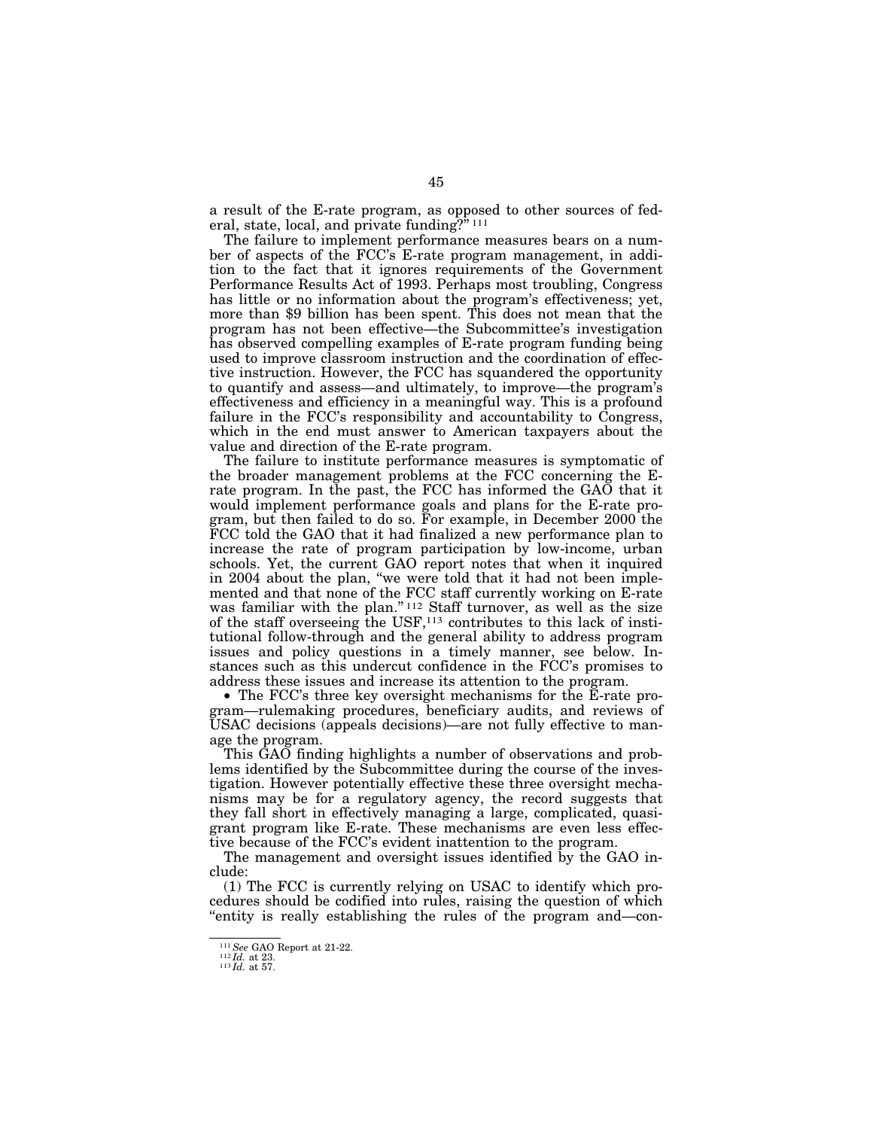a result of the E-rate program, as opposed to other sources of federal, state, local, and private funding?" $111$ 

The failure to implement performance measures bears on a number of aspects of the FCC's E-rate program management, in addition to the fact that it ignores requirements of the Government Performance Results Act of 1993. Perhaps most troubling, Congress has little or no information about the program's effectiveness; yet, more than \$9 billion has been spent. This does not mean that the program has not been effective—the Subcommittee's investigation has observed compelling examples of E-rate program funding being used to improve classroom instruction and the coordination of effective instruction. However, the FCC has squandered the opportunity to quantify and assess—and ultimately, to improve—the program's effectiveness and efficiency in a meaningful way. This is a profound failure in the FCC's responsibility and accountability to Congress, which in the end must answer to American taxpayers about the value and direction of the E-rate program.

The failure to institute performance measures is symptomatic of the broader management problems at the FCC concerning the Erate program. In the past, the FCC has informed the GAO that it would implement performance goals and plans for the E-rate program, but then failed to do so. For example, in December 2000 the FCC told the GAO that it had finalized a new performance plan to increase the rate of program participation by low-income, urban schools. Yet, the current GAO report notes that when it inquired in 2004 about the plan, ''we were told that it had not been implemented and that none of the FCC staff currently working on E-rate was familiar with the plan."<sup>112</sup> Staff turnover, as well as the size of the staff overseeing the USF,113 contributes to this lack of institutional follow-through and the general ability to address program issues and policy questions in a timely manner, see below. Instances such as this undercut confidence in the FCC's promises to address these issues and increase its attention to the program.

• The FCC's three key oversight mechanisms for the E-rate program—rulemaking procedures, beneficiary audits, and reviews of USAC decisions (appeals decisions)—are not fully effective to manage the program.

This GAO finding highlights a number of observations and problems identified by the Subcommittee during the course of the investigation. However potentially effective these three oversight mechanisms may be for a regulatory agency, the record suggests that they fall short in effectively managing a large, complicated, quasigrant program like E-rate. These mechanisms are even less effective because of the FCC's evident inattention to the program.

The management and oversight issues identified by the GAO include:

(1) The FCC is currently relying on USAC to identify which procedures should be codified into rules, raising the question of which ''entity is really establishing the rules of the program and—con-

<sup>111</sup>*See* GAO Report at 21-22. <sup>112</sup> *Id.* at 23. <sup>113</sup> *Id.* at 57.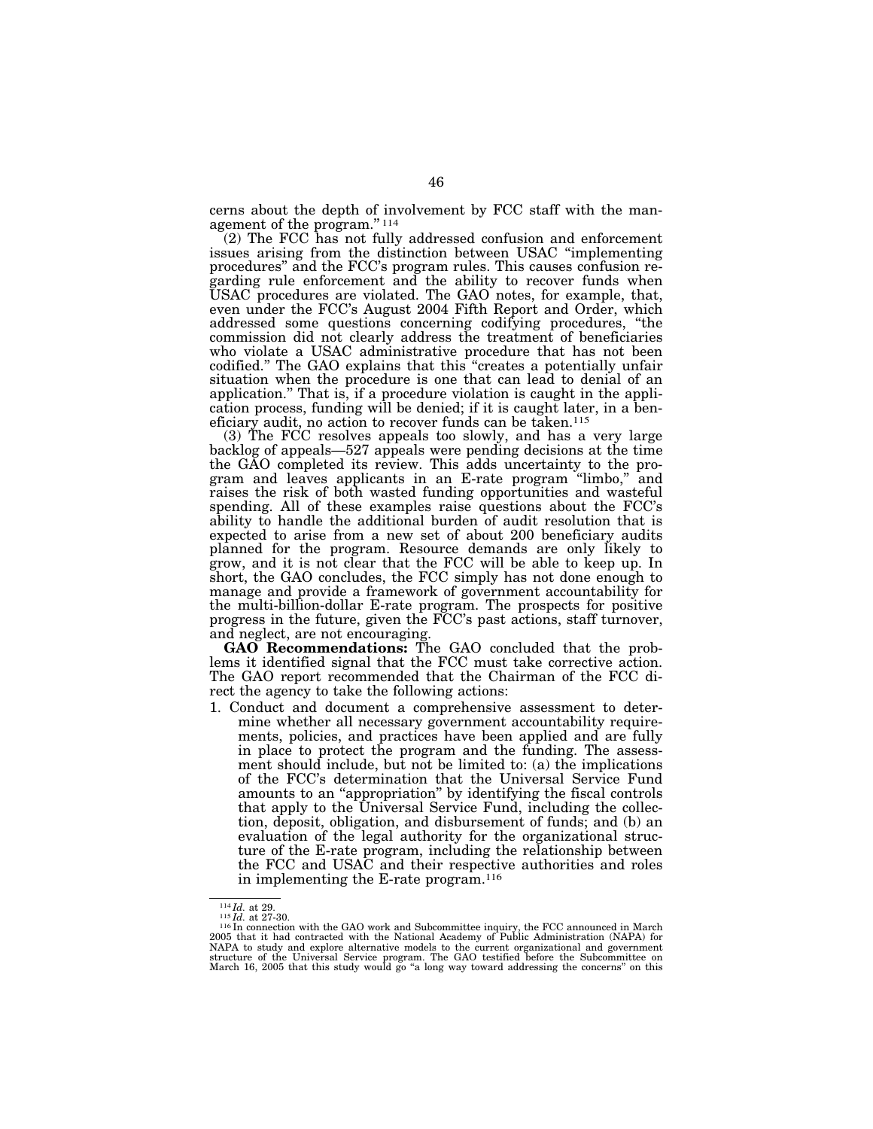cerns about the depth of involvement by FCC staff with the management of the program.'' 114

(2) The FCC has not fully addressed confusion and enforcement issues arising from the distinction between USAC ''implementing procedures'' and the FCC's program rules. This causes confusion regarding rule enforcement and the ability to recover funds when USAC procedures are violated. The GAO notes, for example, that, even under the FCC's August 2004 Fifth Report and Order, which addressed some questions concerning codifying procedures, ''the commission did not clearly address the treatment of beneficiaries who violate a USAC administrative procedure that has not been codified.'' The GAO explains that this ''creates a potentially unfair situation when the procedure is one that can lead to denial of an application.'' That is, if a procedure violation is caught in the application process, funding will be denied; if it is caught later, in a beneficiary audit, no action to recover funds can be taken.115

(3) The FCC resolves appeals too slowly, and has a very large backlog of appeals—527 appeals were pending decisions at the time the GAO completed its review. This adds uncertainty to the program and leaves applicants in an E-rate program "limbo," and raises the risk of both wasted funding opportunities and wasteful spending. All of these examples raise questions about the FCC's ability to handle the additional burden of audit resolution that is expected to arise from a new set of about 200 beneficiary audits planned for the program. Resource demands are only likely to grow, and it is not clear that the FCC will be able to keep up. In short, the GAO concludes, the FCC simply has not done enough to manage and provide a framework of government accountability for the multi-billion-dollar E-rate program. The prospects for positive progress in the future, given the FCC's past actions, staff turnover, and neglect, are not encouraging.

**GAO Recommendations:** The GAO concluded that the problems it identified signal that the FCC must take corrective action. The GAO report recommended that the Chairman of the FCC direct the agency to take the following actions:

1. Conduct and document a comprehensive assessment to determine whether all necessary government accountability requirements, policies, and practices have been applied and are fully in place to protect the program and the funding. The assessment should include, but not be limited to: (a) the implications of the FCC's determination that the Universal Service Fund amounts to an ''appropriation'' by identifying the fiscal controls that apply to the Universal Service Fund, including the collection, deposit, obligation, and disbursement of funds; and (b) an evaluation of the legal authority for the organizational structure of the E-rate program, including the relationship between the FCC and USAC and their respective authorities and roles in implementing the E-rate program.116

<sup>&</sup>lt;sup>114</sup>*Id.* at 29.<br><sup>115</sup>*Id.* at 27-30.<br><sup>116</sup>In connection with the GAO work and Subcommittee inquiry, the FCC announced in March<br>2005 that it had contracted with the National Academy of Public Administration (NAPA) for NAPA to study and explore alternative models to the current organizational and government structure of the Universal Service program. The GAO testified before the Subcommittee on<br>March 16, 2005 that this study would go "a long way toward addressing the concerns" on this